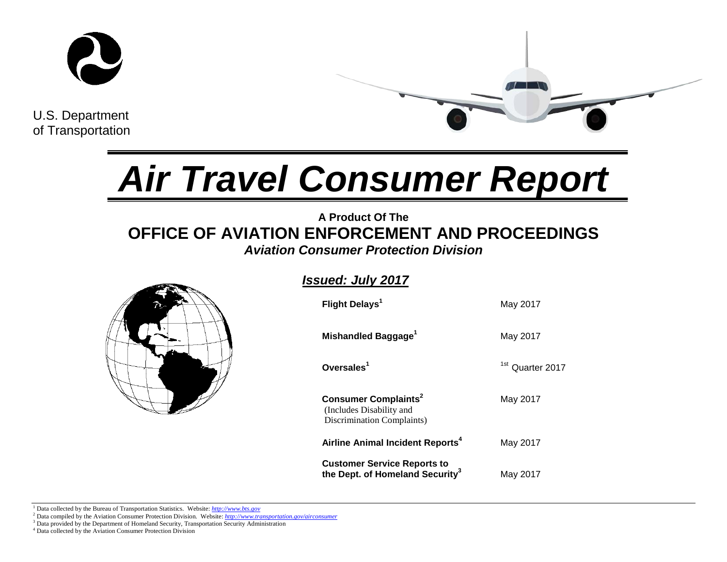

U.S. Department of Transportation

# *Air Travel Consumer Report*

# **A Product Of The OFFICE OF AVIATION ENFORCEMENT AND PROCEEDINGS** *Aviation Consumer Protection Division*



# *Issued: July 2017*

| Flight Delays <sup>1</sup>                                                                       | May 2017                    |
|--------------------------------------------------------------------------------------------------|-----------------------------|
| Mishandled Baggage <sup>1</sup>                                                                  | May 2017                    |
| Oversales <sup>1</sup>                                                                           | <sup>1st</sup> Quarter 2017 |
| <b>Consumer Complaints<sup>2</sup></b><br>(Includes Disability and<br>Discrimination Complaints) | May 2017                    |
| Airline Animal Incident Reports <sup>4</sup>                                                     | May 2017                    |
| <b>Customer Service Reports to</b><br>the Dept. of Homeland Security <sup>3</sup>                | May 2017                    |

<sup>1</sup> Data collected by the Bureau of Transportation Statistics. Website: *[http://www.bts.gov](http://www.bts.gov/)*

<sup>2</sup> Data compiled by the Aviation Consumer Protection Division. Website: *http://www.transportation.gov/aircons*<sup>3</sup> Data provided by the Department of Homeland Security, Transportation Security Administration

<sup>4</sup> Data collected by the Aviation Consumer Protection Division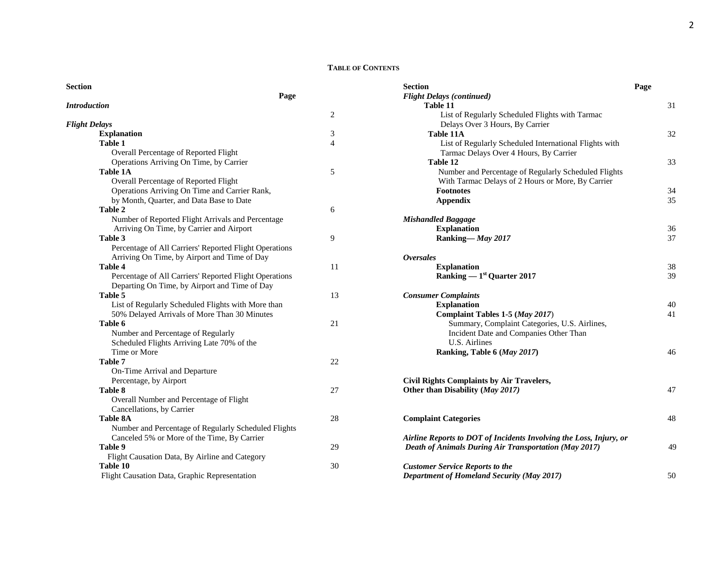# **TABLE OF CONTENTS**

| Page<br>Page<br><b>Flight Delays (continued)</b><br><b>Introduction</b><br>Table 11<br>31<br>$\overline{c}$<br>List of Regularly Scheduled Flights with Tarmac<br>Delays Over 3 Hours, By Carrier<br><b>Flight Delays</b><br>Table 11A<br>32<br><b>Explanation</b><br>3<br><b>Table 1</b><br>$\overline{4}$<br>List of Regularly Scheduled International Flights with<br>Overall Percentage of Reported Flight<br>Tarmac Delays Over 4 Hours, By Carrier<br>Table 12<br>Operations Arriving On Time, by Carrier<br>33<br><b>Table 1A</b><br>5<br>Number and Percentage of Regularly Scheduled Flights<br>Overall Percentage of Reported Flight<br>With Tarmac Delays of 2 Hours or More, By Carrier<br>Operations Arriving On Time and Carrier Rank,<br><b>Footnotes</b><br>34<br>35<br>by Month, Quarter, and Data Base to Date<br><b>Appendix</b><br>Table 2<br>6<br>Number of Reported Flight Arrivals and Percentage<br><b>Mishandled Baggage</b><br>Arriving On Time, by Carrier and Airport<br><b>Explanation</b><br>36<br>37<br>Ranking-May 2017<br>9<br>Table 3<br>Percentage of All Carriers' Reported Flight Operations<br>Arriving On Time, by Airport and Time of Day<br><i><b>Oversales</b></i><br>Table 4<br>11<br><b>Explanation</b><br>38<br>Ranking — $1st$ Quarter 2017<br>39<br>Percentage of All Carriers' Reported Flight Operations<br>Departing On Time, by Airport and Time of Day<br>Table 5<br>13<br><b>Consumer Complaints</b><br><b>Explanation</b><br>40<br>List of Regularly Scheduled Flights with More than<br>50% Delayed Arrivals of More Than 30 Minutes<br>Complaint Tables 1-5 (May 2017)<br>41<br>Table 6<br>21<br>Summary, Complaint Categories, U.S. Airlines,<br>Number and Percentage of Regularly<br>Incident Date and Companies Other Than<br>U.S. Airlines<br>Scheduled Flights Arriving Late 70% of the<br>Ranking, Table 6 (May 2017)<br>Time or More<br>46<br>Table 7<br>22<br>On-Time Arrival and Departure<br>Percentage, by Airport<br>Civil Rights Complaints by Air Travelers,<br>Table 8<br>27<br>Other than Disability (May 2017)<br>47<br>Overall Number and Percentage of Flight |
|-------------------------------------------------------------------------------------------------------------------------------------------------------------------------------------------------------------------------------------------------------------------------------------------------------------------------------------------------------------------------------------------------------------------------------------------------------------------------------------------------------------------------------------------------------------------------------------------------------------------------------------------------------------------------------------------------------------------------------------------------------------------------------------------------------------------------------------------------------------------------------------------------------------------------------------------------------------------------------------------------------------------------------------------------------------------------------------------------------------------------------------------------------------------------------------------------------------------------------------------------------------------------------------------------------------------------------------------------------------------------------------------------------------------------------------------------------------------------------------------------------------------------------------------------------------------------------------------------------------------------------------------------------------------------------------------------------------------------------------------------------------------------------------------------------------------------------------------------------------------------------------------------------------------------------------------------------------------------------------------------------------------------------------------------------------------------------------------------------------------------------------------|
|                                                                                                                                                                                                                                                                                                                                                                                                                                                                                                                                                                                                                                                                                                                                                                                                                                                                                                                                                                                                                                                                                                                                                                                                                                                                                                                                                                                                                                                                                                                                                                                                                                                                                                                                                                                                                                                                                                                                                                                                                                                                                                                                           |
|                                                                                                                                                                                                                                                                                                                                                                                                                                                                                                                                                                                                                                                                                                                                                                                                                                                                                                                                                                                                                                                                                                                                                                                                                                                                                                                                                                                                                                                                                                                                                                                                                                                                                                                                                                                                                                                                                                                                                                                                                                                                                                                                           |
|                                                                                                                                                                                                                                                                                                                                                                                                                                                                                                                                                                                                                                                                                                                                                                                                                                                                                                                                                                                                                                                                                                                                                                                                                                                                                                                                                                                                                                                                                                                                                                                                                                                                                                                                                                                                                                                                                                                                                                                                                                                                                                                                           |
|                                                                                                                                                                                                                                                                                                                                                                                                                                                                                                                                                                                                                                                                                                                                                                                                                                                                                                                                                                                                                                                                                                                                                                                                                                                                                                                                                                                                                                                                                                                                                                                                                                                                                                                                                                                                                                                                                                                                                                                                                                                                                                                                           |
|                                                                                                                                                                                                                                                                                                                                                                                                                                                                                                                                                                                                                                                                                                                                                                                                                                                                                                                                                                                                                                                                                                                                                                                                                                                                                                                                                                                                                                                                                                                                                                                                                                                                                                                                                                                                                                                                                                                                                                                                                                                                                                                                           |
|                                                                                                                                                                                                                                                                                                                                                                                                                                                                                                                                                                                                                                                                                                                                                                                                                                                                                                                                                                                                                                                                                                                                                                                                                                                                                                                                                                                                                                                                                                                                                                                                                                                                                                                                                                                                                                                                                                                                                                                                                                                                                                                                           |
|                                                                                                                                                                                                                                                                                                                                                                                                                                                                                                                                                                                                                                                                                                                                                                                                                                                                                                                                                                                                                                                                                                                                                                                                                                                                                                                                                                                                                                                                                                                                                                                                                                                                                                                                                                                                                                                                                                                                                                                                                                                                                                                                           |
|                                                                                                                                                                                                                                                                                                                                                                                                                                                                                                                                                                                                                                                                                                                                                                                                                                                                                                                                                                                                                                                                                                                                                                                                                                                                                                                                                                                                                                                                                                                                                                                                                                                                                                                                                                                                                                                                                                                                                                                                                                                                                                                                           |
|                                                                                                                                                                                                                                                                                                                                                                                                                                                                                                                                                                                                                                                                                                                                                                                                                                                                                                                                                                                                                                                                                                                                                                                                                                                                                                                                                                                                                                                                                                                                                                                                                                                                                                                                                                                                                                                                                                                                                                                                                                                                                                                                           |
|                                                                                                                                                                                                                                                                                                                                                                                                                                                                                                                                                                                                                                                                                                                                                                                                                                                                                                                                                                                                                                                                                                                                                                                                                                                                                                                                                                                                                                                                                                                                                                                                                                                                                                                                                                                                                                                                                                                                                                                                                                                                                                                                           |
|                                                                                                                                                                                                                                                                                                                                                                                                                                                                                                                                                                                                                                                                                                                                                                                                                                                                                                                                                                                                                                                                                                                                                                                                                                                                                                                                                                                                                                                                                                                                                                                                                                                                                                                                                                                                                                                                                                                                                                                                                                                                                                                                           |
|                                                                                                                                                                                                                                                                                                                                                                                                                                                                                                                                                                                                                                                                                                                                                                                                                                                                                                                                                                                                                                                                                                                                                                                                                                                                                                                                                                                                                                                                                                                                                                                                                                                                                                                                                                                                                                                                                                                                                                                                                                                                                                                                           |
|                                                                                                                                                                                                                                                                                                                                                                                                                                                                                                                                                                                                                                                                                                                                                                                                                                                                                                                                                                                                                                                                                                                                                                                                                                                                                                                                                                                                                                                                                                                                                                                                                                                                                                                                                                                                                                                                                                                                                                                                                                                                                                                                           |
|                                                                                                                                                                                                                                                                                                                                                                                                                                                                                                                                                                                                                                                                                                                                                                                                                                                                                                                                                                                                                                                                                                                                                                                                                                                                                                                                                                                                                                                                                                                                                                                                                                                                                                                                                                                                                                                                                                                                                                                                                                                                                                                                           |
|                                                                                                                                                                                                                                                                                                                                                                                                                                                                                                                                                                                                                                                                                                                                                                                                                                                                                                                                                                                                                                                                                                                                                                                                                                                                                                                                                                                                                                                                                                                                                                                                                                                                                                                                                                                                                                                                                                                                                                                                                                                                                                                                           |
|                                                                                                                                                                                                                                                                                                                                                                                                                                                                                                                                                                                                                                                                                                                                                                                                                                                                                                                                                                                                                                                                                                                                                                                                                                                                                                                                                                                                                                                                                                                                                                                                                                                                                                                                                                                                                                                                                                                                                                                                                                                                                                                                           |
|                                                                                                                                                                                                                                                                                                                                                                                                                                                                                                                                                                                                                                                                                                                                                                                                                                                                                                                                                                                                                                                                                                                                                                                                                                                                                                                                                                                                                                                                                                                                                                                                                                                                                                                                                                                                                                                                                                                                                                                                                                                                                                                                           |
|                                                                                                                                                                                                                                                                                                                                                                                                                                                                                                                                                                                                                                                                                                                                                                                                                                                                                                                                                                                                                                                                                                                                                                                                                                                                                                                                                                                                                                                                                                                                                                                                                                                                                                                                                                                                                                                                                                                                                                                                                                                                                                                                           |
|                                                                                                                                                                                                                                                                                                                                                                                                                                                                                                                                                                                                                                                                                                                                                                                                                                                                                                                                                                                                                                                                                                                                                                                                                                                                                                                                                                                                                                                                                                                                                                                                                                                                                                                                                                                                                                                                                                                                                                                                                                                                                                                                           |
|                                                                                                                                                                                                                                                                                                                                                                                                                                                                                                                                                                                                                                                                                                                                                                                                                                                                                                                                                                                                                                                                                                                                                                                                                                                                                                                                                                                                                                                                                                                                                                                                                                                                                                                                                                                                                                                                                                                                                                                                                                                                                                                                           |
|                                                                                                                                                                                                                                                                                                                                                                                                                                                                                                                                                                                                                                                                                                                                                                                                                                                                                                                                                                                                                                                                                                                                                                                                                                                                                                                                                                                                                                                                                                                                                                                                                                                                                                                                                                                                                                                                                                                                                                                                                                                                                                                                           |
|                                                                                                                                                                                                                                                                                                                                                                                                                                                                                                                                                                                                                                                                                                                                                                                                                                                                                                                                                                                                                                                                                                                                                                                                                                                                                                                                                                                                                                                                                                                                                                                                                                                                                                                                                                                                                                                                                                                                                                                                                                                                                                                                           |
|                                                                                                                                                                                                                                                                                                                                                                                                                                                                                                                                                                                                                                                                                                                                                                                                                                                                                                                                                                                                                                                                                                                                                                                                                                                                                                                                                                                                                                                                                                                                                                                                                                                                                                                                                                                                                                                                                                                                                                                                                                                                                                                                           |
|                                                                                                                                                                                                                                                                                                                                                                                                                                                                                                                                                                                                                                                                                                                                                                                                                                                                                                                                                                                                                                                                                                                                                                                                                                                                                                                                                                                                                                                                                                                                                                                                                                                                                                                                                                                                                                                                                                                                                                                                                                                                                                                                           |
|                                                                                                                                                                                                                                                                                                                                                                                                                                                                                                                                                                                                                                                                                                                                                                                                                                                                                                                                                                                                                                                                                                                                                                                                                                                                                                                                                                                                                                                                                                                                                                                                                                                                                                                                                                                                                                                                                                                                                                                                                                                                                                                                           |
|                                                                                                                                                                                                                                                                                                                                                                                                                                                                                                                                                                                                                                                                                                                                                                                                                                                                                                                                                                                                                                                                                                                                                                                                                                                                                                                                                                                                                                                                                                                                                                                                                                                                                                                                                                                                                                                                                                                                                                                                                                                                                                                                           |
|                                                                                                                                                                                                                                                                                                                                                                                                                                                                                                                                                                                                                                                                                                                                                                                                                                                                                                                                                                                                                                                                                                                                                                                                                                                                                                                                                                                                                                                                                                                                                                                                                                                                                                                                                                                                                                                                                                                                                                                                                                                                                                                                           |
|                                                                                                                                                                                                                                                                                                                                                                                                                                                                                                                                                                                                                                                                                                                                                                                                                                                                                                                                                                                                                                                                                                                                                                                                                                                                                                                                                                                                                                                                                                                                                                                                                                                                                                                                                                                                                                                                                                                                                                                                                                                                                                                                           |
|                                                                                                                                                                                                                                                                                                                                                                                                                                                                                                                                                                                                                                                                                                                                                                                                                                                                                                                                                                                                                                                                                                                                                                                                                                                                                                                                                                                                                                                                                                                                                                                                                                                                                                                                                                                                                                                                                                                                                                                                                                                                                                                                           |
|                                                                                                                                                                                                                                                                                                                                                                                                                                                                                                                                                                                                                                                                                                                                                                                                                                                                                                                                                                                                                                                                                                                                                                                                                                                                                                                                                                                                                                                                                                                                                                                                                                                                                                                                                                                                                                                                                                                                                                                                                                                                                                                                           |
|                                                                                                                                                                                                                                                                                                                                                                                                                                                                                                                                                                                                                                                                                                                                                                                                                                                                                                                                                                                                                                                                                                                                                                                                                                                                                                                                                                                                                                                                                                                                                                                                                                                                                                                                                                                                                                                                                                                                                                                                                                                                                                                                           |
|                                                                                                                                                                                                                                                                                                                                                                                                                                                                                                                                                                                                                                                                                                                                                                                                                                                                                                                                                                                                                                                                                                                                                                                                                                                                                                                                                                                                                                                                                                                                                                                                                                                                                                                                                                                                                                                                                                                                                                                                                                                                                                                                           |
| Cancellations, by Carrier                                                                                                                                                                                                                                                                                                                                                                                                                                                                                                                                                                                                                                                                                                                                                                                                                                                                                                                                                                                                                                                                                                                                                                                                                                                                                                                                                                                                                                                                                                                                                                                                                                                                                                                                                                                                                                                                                                                                                                                                                                                                                                                 |
| <b>Table 8A</b><br>48<br>28<br><b>Complaint Categories</b>                                                                                                                                                                                                                                                                                                                                                                                                                                                                                                                                                                                                                                                                                                                                                                                                                                                                                                                                                                                                                                                                                                                                                                                                                                                                                                                                                                                                                                                                                                                                                                                                                                                                                                                                                                                                                                                                                                                                                                                                                                                                                |
| Number and Percentage of Regularly Scheduled Flights                                                                                                                                                                                                                                                                                                                                                                                                                                                                                                                                                                                                                                                                                                                                                                                                                                                                                                                                                                                                                                                                                                                                                                                                                                                                                                                                                                                                                                                                                                                                                                                                                                                                                                                                                                                                                                                                                                                                                                                                                                                                                      |
| Canceled 5% or More of the Time, By Carrier<br>Airline Reports to DOT of Incidents Involving the Loss, Injury, or                                                                                                                                                                                                                                                                                                                                                                                                                                                                                                                                                                                                                                                                                                                                                                                                                                                                                                                                                                                                                                                                                                                                                                                                                                                                                                                                                                                                                                                                                                                                                                                                                                                                                                                                                                                                                                                                                                                                                                                                                         |
| Table 9<br>29<br>49<br>Death of Animals During Air Transportation (May 2017)                                                                                                                                                                                                                                                                                                                                                                                                                                                                                                                                                                                                                                                                                                                                                                                                                                                                                                                                                                                                                                                                                                                                                                                                                                                                                                                                                                                                                                                                                                                                                                                                                                                                                                                                                                                                                                                                                                                                                                                                                                                              |
| Flight Causation Data, By Airline and Category                                                                                                                                                                                                                                                                                                                                                                                                                                                                                                                                                                                                                                                                                                                                                                                                                                                                                                                                                                                                                                                                                                                                                                                                                                                                                                                                                                                                                                                                                                                                                                                                                                                                                                                                                                                                                                                                                                                                                                                                                                                                                            |
| Table 10<br>30<br><b>Customer Service Reports to the</b>                                                                                                                                                                                                                                                                                                                                                                                                                                                                                                                                                                                                                                                                                                                                                                                                                                                                                                                                                                                                                                                                                                                                                                                                                                                                                                                                                                                                                                                                                                                                                                                                                                                                                                                                                                                                                                                                                                                                                                                                                                                                                  |
| <b>Department of Homeland Security (May 2017)</b><br>50<br>Flight Causation Data, Graphic Representation                                                                                                                                                                                                                                                                                                                                                                                                                                                                                                                                                                                                                                                                                                                                                                                                                                                                                                                                                                                                                                                                                                                                                                                                                                                                                                                                                                                                                                                                                                                                                                                                                                                                                                                                                                                                                                                                                                                                                                                                                                  |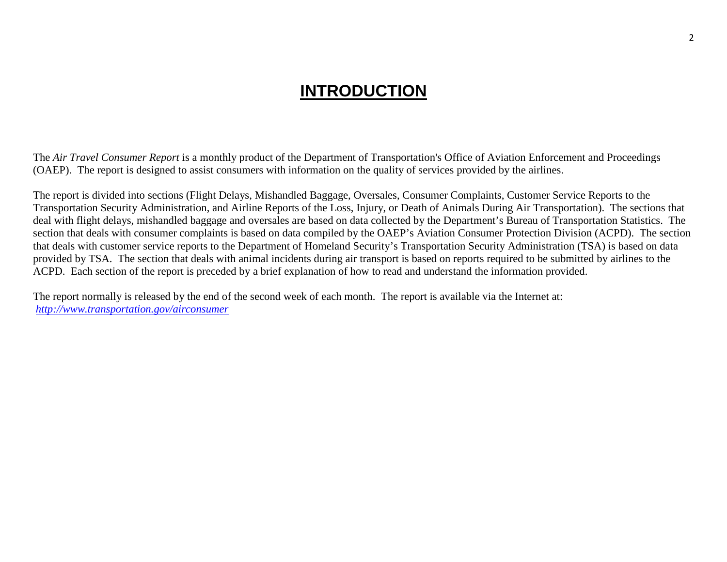# **INTRODUCTION**

The *Air Travel Consumer Report* is a monthly product of the Department of Transportation's Office of Aviation Enforcement and Proceedings (OAEP). The report is designed to assist consumers with information on the quality of services provided by the airlines.

The report is divided into sections (Flight Delays, Mishandled Baggage, Oversales, Consumer Complaints, Customer Service Reports to the Transportation Security Administration, and Airline Reports of the Loss, Injury, or Death of Animals During Air Transportation). The sections that deal with flight delays, mishandled baggage and oversales are based on data collected by the Department's Bureau of Transportation Statistics. The section that deals with consumer complaints is based on data compiled by the OAEP's Aviation Consumer Protection Division (ACPD). The section that deals with customer service reports to the Department of Homeland Security's Transportation Security Administration (TSA) is based on data provided by TSA. The section that deals with animal incidents during air transport is based on reports required to be submitted by airlines to the ACPD. Each section of the report is preceded by a brief explanation of how to read and understand the information provided.

The report normally is released by the end of the second week of each month. The report is available via the Internet at: *<http://www.transportation.gov/airconsumer>*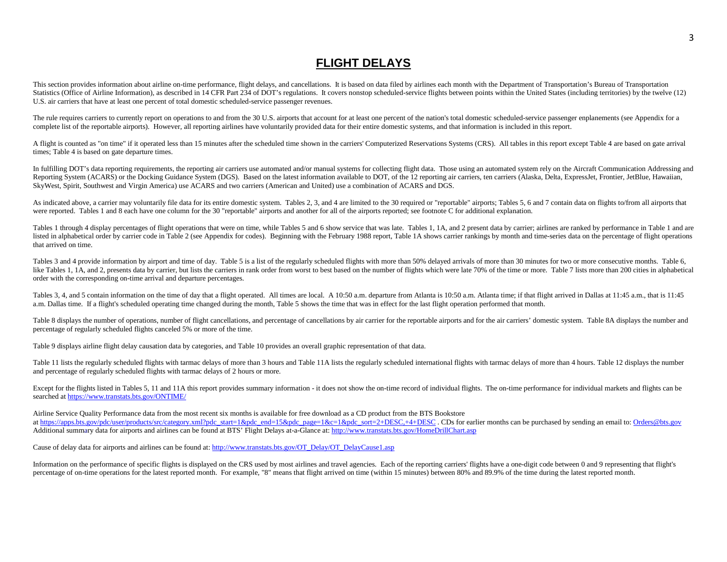# **FLIGHT DELAYS**

This section provides information about airline on-time performance, flight delays, and cancellations. It is based on data filed by airlines each month with the Department of Transportation's Bureau of Transportation Statistics (Office of Airline Information), as described in 14 CFR Part 234 of DOT's regulations. It covers nonstop scheduled-service flights between points within the United States (including territories) by the twelve (1 U.S. air carriers that have at least one percent of total domestic scheduled-service passenger revenues.

The rule requires carriers to currently report on operations to and from the 30 U.S. airports that account for at least one percent of the nation's total domestic scheduled-service passenger enplanements (see Appendix for complete list of the reportable airports). However, all reporting airlines have voluntarily provided data for their entire domestic systems, and that information is included in this report.

A flight is counted as "on time" if it operated less than 15 minutes after the scheduled time shown in the carriers' Computerized Reservations Systems (CRS). All tables in this report except Table 4 are based on gate arriv times; Table 4 is based on gate departure times.

In fulfilling DOT's data reporting requirements, the reporting air carriers use automated and/or manual systems for collecting flight data. Those using an automated system rely on the Aircraft Communication Addressing and Reporting System (ACARS) or the Docking Guidance System (DGS). Based on the latest information available to DOT, of the 12 reporting air carriers, ten carriers (Alaska, Delta, ExpressJet, Frontier, JetBlue, Hawaiian, SkyWest, Spirit, Southwest and Virgin America) use ACARS and two carriers (American and United) use a combination of ACARS and DGS.

As indicated above, a carrier may voluntarily file data for its entire domestic system. Tables 2, 3, and 4 are limited to the 30 required or "reportable" airports; Tables 5, 6 and 7 contain data on flights to/from all airp were reported. Tables 1 and 8 each have one column for the 30 "reportable" airports and another for all of the airports reported; see footnote C for additional explanation.

Tables 1 through 4 display percentages of flight operations that were on time, while Tables 5 and 6 show service that was late. Tables 1, 1A, and 2 present data by carrier; airlines are ranked by performance in Table 1 and listed in alphabetical order by carrier code in Table 2 (see Appendix for codes). Beginning with the February 1988 report, Table 1A shows carrier rankings by month and time-series data on the percentage of flight operations that arrived on time.

Tables 3 and 4 provide information by airport and time of day. Table 5 is a list of the regularly scheduled flights with more than 50% delayed arrivals of more than 30 minutes for two or more consecutive months. Table 6, like Tables 1, 1A, and 2, presents data by carrier, but lists the carriers in rank order from worst to best based on the number of flights which were late 70% of the time or more. Table 7 lists more than 200 cities in alph order with the corresponding on-time arrival and departure percentages.

Tables 3, 4, and 5 contain information on the time of day that a flight operated. All times are local. A 10:50 a.m. departure from Atlanta is 10:50 a.m. Atlanta time; if that flight arrived in Dallas at 11:45 a.m., that is a.m. Dallas time. If a flight's scheduled operating time changed during the month, Table 5 shows the time that was in effect for the last flight operation performed that month.

Table 8 displays the number of operations, number of flight cancellations, and percentage of cancellations by air carrier for the reportable airports and for the air carriers' domestic system. Table 8A displays the number percentage of regularly scheduled flights canceled 5% or more of the time.

Table 9 displays airline flight delay causation data by categories, and Table 10 provides an overall graphic representation of that data.

Table 11 lists the regularly scheduled flights with tarmac delays of more than 3 hours and Table 11A lists the regularly scheduled international flights with tarmac delays of more than 4 hours. Table 12 displays the number and percentage of regularly scheduled flights with tarmac delays of 2 hours or more.

Except for the flights listed in Tables 5, 11 and 11A this report provides summary information - it does not show the on-time record of individual flights. The on-time performance for individual markets and flights can be searched at<https://www.transtats.bts.gov/ONTIME/>

Airline Service Quality Performance data from the most recent six months is available for free download as a CD product from the BTS Bookstore at [https://apps.bts.gov/pdc/user/products/src/category.xml?pdc\\_start=1&pdc\\_end=15&pdc\\_page=1&c=1&pdc\\_sort=2+DESC,+4+DESC](https://apps.bts.gov/pdc/user/products/src/category.xml?pdc_start=1&pdc_end=15&pdc_page=1&c=1&pdc_sort=2+DESC,+4+DESC). CDs for earlier months can be purchased by sending an email to: Orders@bts.gov Additional summary data for airports and airlines can be found at BTS' Flight Delays at-a-Glance at[: http://www.transtats.bts.gov/HomeDrillChart.asp](http://www.transtats.bts.gov/HomeDrillChart.asp)

Cause of delay data for airports and airlines can be found at: http://www.transtats.bts.gov/OT\_Delay/OT\_DelayCause1.asp

Information on the performance of specific flights is displayed on the CRS used by most airlines and travel agencies. Each of the reporting carriers' flights have a one-digit code between 0 and 9 representing that flight's percentage of on-time operations for the latest reported month. For example, "8" means that flight arrived on time (within 15 minutes) between 80% and 89.9% of the time during the latest reported month.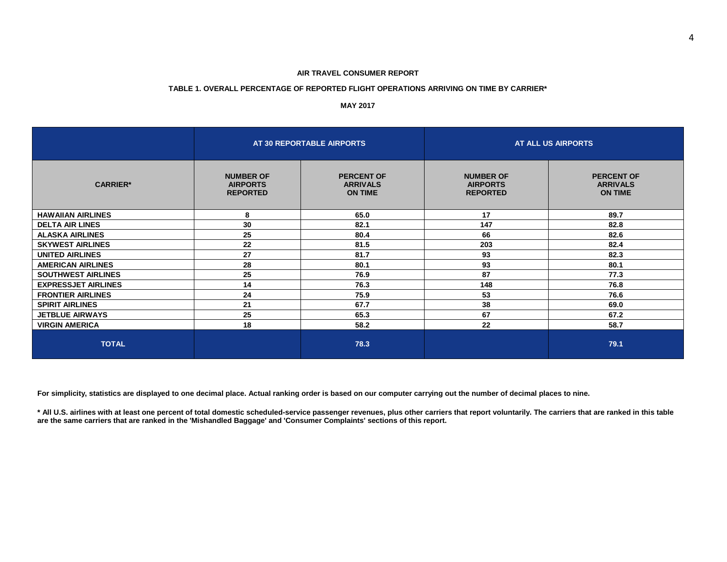## **TABLE 1. OVERALL PERCENTAGE OF REPORTED FLIGHT OPERATIONS ARRIVING ON TIME BY CARRIER\***

## **MAY 2017**

|                            |                                                        | AT 30 REPORTABLE AIRPORTS                              |                                                        | AT ALL US AIRPORTS                                     |
|----------------------------|--------------------------------------------------------|--------------------------------------------------------|--------------------------------------------------------|--------------------------------------------------------|
| <b>CARRIER*</b>            | <b>NUMBER OF</b><br><b>AIRPORTS</b><br><b>REPORTED</b> | <b>PERCENT OF</b><br><b>ARRIVALS</b><br><b>ON TIME</b> | <b>NUMBER OF</b><br><b>AIRPORTS</b><br><b>REPORTED</b> | <b>PERCENT OF</b><br><b>ARRIVALS</b><br><b>ON TIME</b> |
| <b>HAWAIIAN AIRLINES</b>   | 8                                                      | 65.0                                                   | 17                                                     | 89.7                                                   |
| <b>DELTA AIR LINES</b>     | 30                                                     | 82.1                                                   | 147                                                    | 82.8                                                   |
| <b>ALASKA AIRLINES</b>     | 25                                                     | 80.4                                                   | 66                                                     | 82.6                                                   |
| <b>SKYWEST AIRLINES</b>    | 22                                                     | 81.5                                                   | 203                                                    | 82.4                                                   |
| <b>UNITED AIRLINES</b>     | 27                                                     | 81.7                                                   | 93                                                     | 82.3                                                   |
| <b>AMERICAN AIRLINES</b>   | 28                                                     | 80.1                                                   | 93                                                     | 80.1                                                   |
| <b>SOUTHWEST AIRLINES</b>  | 25                                                     | 76.9                                                   | 87                                                     | 77.3                                                   |
| <b>EXPRESSJET AIRLINES</b> | 14                                                     | 76.3                                                   | 148                                                    | 76.8                                                   |
| <b>FRONTIER AIRLINES</b>   | 24                                                     | 75.9                                                   | 53                                                     | 76.6                                                   |
| <b>SPIRIT AIRLINES</b>     | 21                                                     | 67.7                                                   | 38                                                     | 69.0                                                   |
| <b>JETBLUE AIRWAYS</b>     | 25                                                     | 65.3                                                   | 67                                                     | 67.2                                                   |
| <b>VIRGIN AMERICA</b>      | 18                                                     | 58.2                                                   | 22                                                     | 58.7                                                   |
| <b>TOTAL</b>               |                                                        | 78.3                                                   |                                                        | 79.1                                                   |

**For simplicity, statistics are displayed to one decimal place. Actual ranking order is based on our computer carrying out the number of decimal places to nine.**

**\* All U.S. airlines with at least one percent of total domestic scheduled-service passenger revenues, plus other carriers that report voluntarily. The carriers that are ranked in this table are the same carriers that are ranked in the 'Mishandled Baggage' and 'Consumer Complaints' sections of this report.**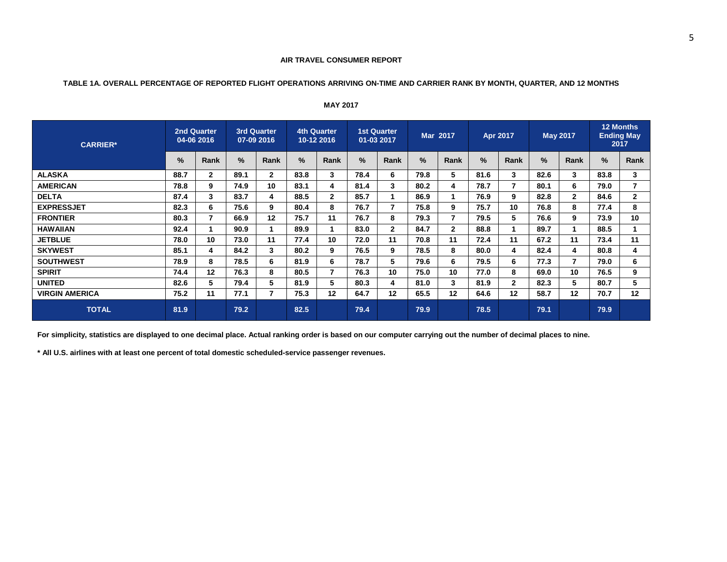# **TABLE 1A. OVERALL PERCENTAGE OF REPORTED FLIGHT OPERATIONS ARRIVING ON-TIME AND CARRIER RANK BY MONTH, QUARTER, AND 12 MONTHS**

| <b>CARRIER*</b>       | 2nd Quarter<br>04-06 2016 |              | 07-09 2016 | <b>3rd Quarter</b> |      | <b>4th Quarter</b><br>10-12 2016 |      | <b>1st Quarter</b><br>01-03 2017 |      | Mar 2017     |      | Apr 2017     |      | <b>May 2017</b> | <b>12 Months</b><br>2017 | <b>Ending May</b> |
|-----------------------|---------------------------|--------------|------------|--------------------|------|----------------------------------|------|----------------------------------|------|--------------|------|--------------|------|-----------------|--------------------------|-------------------|
|                       | $\frac{9}{6}$             | Rank         | $\%$       | Rank               | %    | Rank                             | $\%$ | Rank                             | $\%$ | Rank         | %    | Rank         | %    | Rank            | $\frac{9}{6}$            | Rank              |
| <b>ALASKA</b>         | 88.7                      | $\mathbf{2}$ | 89.1       | $\overline{2}$     | 83.8 | 3                                | 78.4 | 6                                | 79.8 | 5.           | 81.6 | 3            | 82.6 | 3               | 83.8                     | 3                 |
| <b>AMERICAN</b>       | 78.8                      | 9            | 74.9       | 10                 | 83.1 | 4                                | 81.4 | 3                                | 80.2 | 4            | 78.7 | 7            | 80.1 | 6               | 79.0                     |                   |
| <b>DELTA</b>          | 87.4                      | 3            | 83.7       | 4                  | 88.5 | $\mathbf{2}$                     | 85.7 |                                  | 86.9 |              | 76.9 | 9            | 82.8 | $\mathbf{2}$    | 84.6                     | 2                 |
| <b>EXPRESSJET</b>     | 82.3                      | 6            | 75.6       | 9                  | 80.4 | 8                                | 76.7 |                                  | 75.8 | 9            | 75.7 | 10           | 76.8 | 8               | 77.4                     | 8                 |
| <b>FRONTIER</b>       | 80.3                      | 7            | 66.9       | 12                 | 75.7 | 11                               | 76.7 | 8                                | 79.3 |              | 79.5 | 5            | 76.6 | 9               | 73.9                     | 10                |
| <b>HAWAIIAN</b>       | 92.4                      |              | 90.9       |                    | 89.9 |                                  | 83.0 | $\mathbf{2}$                     | 84.7 | $\mathbf{2}$ | 88.8 |              | 89.7 |                 | 88.5                     |                   |
| <b>JETBLUE</b>        | 78.0                      | 10           | 73.0       | 11                 | 77.4 | 10                               | 72.0 | 11                               | 70.8 | 11           | 72.4 | 11           | 67.2 | 11              | 73.4                     | 11                |
| <b>SKYWEST</b>        | 85.1                      | 4            | 84.2       | 3                  | 80.2 | 9                                | 76.5 | 9                                | 78.5 | 8            | 80.0 | 4            | 82.4 | 4               | 80.8                     | 4                 |
| <b>SOUTHWEST</b>      | 78.9                      | 8            | 78.5       | 6                  | 81.9 | 6                                | 78.7 | 5                                | 79.6 | 6            | 79.5 | 6            | 77.3 | 7               | 79.0                     | 6                 |
| <b>SPIRIT</b>         | 74.4                      | 12           | 76.3       | 8                  | 80.5 | 7                                | 76.3 | 10                               | 75.0 | 10           | 77.0 | 8            | 69.0 | 10              | 76.5                     | 9                 |
| <b>UNITED</b>         | 82.6                      | 5            | 79.4       | 5                  | 81.9 | 5                                | 80.3 | 4                                | 81.0 | 3            | 81.9 | $\mathbf{2}$ | 82.3 | 5               | 80.7                     | 5                 |
| <b>VIRGIN AMERICA</b> | 75.2                      | 11           | 77.1       | 7                  | 75.3 | 12                               | 64.7 | 12                               | 65.5 | 12           | 64.6 | 12           | 58.7 | 12              | 70.7                     | 12                |
| <b>TOTAL</b>          | 81.9                      |              | 79.2       |                    | 82.5 |                                  | 79.4 |                                  | 79.9 |              | 78.5 |              | 79.1 |                 | 79.9                     |                   |

# **MAY 2017**

**For simplicity, statistics are displayed to one decimal place. Actual ranking order is based on our computer carrying out the number of decimal places to nine.**

**\* All U.S. airlines with at least one percent of total domestic scheduled-service passenger revenues.**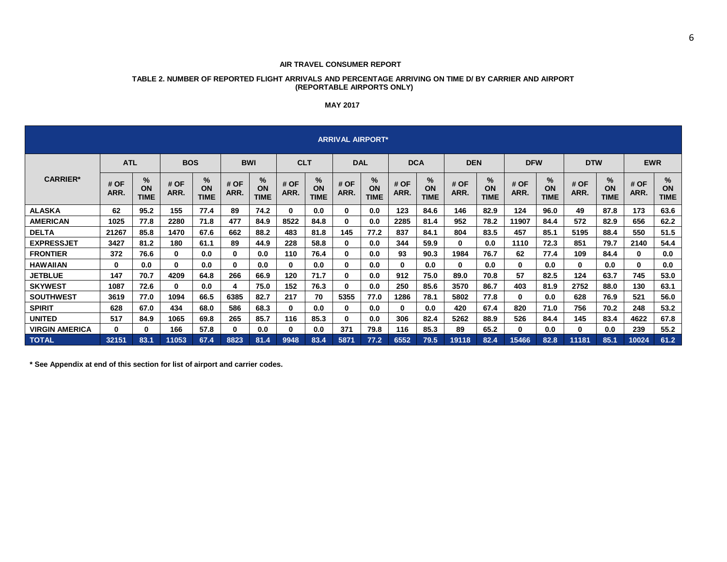#### **TABLE 2. NUMBER OF REPORTED FLIGHT ARRIVALS AND PERCENTAGE ARRIVING ON TIME D/ BY CARRIER AND AIRPORT (REPORTABLE AIRPORTS ONLY)**

# **MAY 2017**

|                       |              |                        |              |                           |              |                           |              |                           | <b>ARRIVAL AIRPORT*</b> |                           |              |                        |              |                        |              |                           |              |                           |              |                           |
|-----------------------|--------------|------------------------|--------------|---------------------------|--------------|---------------------------|--------------|---------------------------|-------------------------|---------------------------|--------------|------------------------|--------------|------------------------|--------------|---------------------------|--------------|---------------------------|--------------|---------------------------|
|                       | <b>ATL</b>   |                        | <b>BOS</b>   |                           | <b>BWI</b>   |                           | <b>CLT</b>   |                           | <b>DAL</b>              |                           | <b>DCA</b>   |                        | <b>DEN</b>   |                        | <b>DFW</b>   |                           | <b>DTW</b>   |                           | <b>EWR</b>   |                           |
| <b>CARRIER*</b>       | # OF<br>ARR. | %<br>ON<br><b>TIME</b> | # OF<br>ARR. | $\%$<br>ON<br><b>TIME</b> | # OF<br>ARR. | $\%$<br>ON<br><b>TIME</b> | # OF<br>ARR. | $\%$<br>ON<br><b>TIME</b> | # OF<br>ARR.            | $\%$<br>ON<br><b>TIME</b> | # OF<br>ARR. | %<br>ON<br><b>TIME</b> | # OF<br>ARR. | %<br>ON<br><b>TIME</b> | # OF<br>ARR. | $\%$<br>ON<br><b>TIME</b> | # OF<br>ARR. | $\%$<br>ON<br><b>TIME</b> | # OF<br>ARR. | $\%$<br>ON<br><b>TIME</b> |
| <b>ALASKA</b>         | 62           | 95.2                   | 155          | 77.4                      | 89           | 74.2                      | 0            | 0.0                       | $\mathbf{0}$            | 0.0                       | 123          | 84.6                   | 146          | 82.9                   | 124          | 96.0                      | 49           | 87.8                      | 173          | 63.6                      |
| <b>AMERICAN</b>       | 1025         | 77.8                   | 2280         | 71.8                      | 477          | 84.9                      | 8522         | 84.8                      | 0                       | 0.0                       | 2285         | 81.4                   | 952          | 78.2                   | 11907        | 84.4                      | 572          | 82.9                      | 656          | 62.2                      |
| <b>DELTA</b>          | 21267        | 85.8                   | 1470         | 67.6                      | 662          | 88.2                      | 483          | 81.8                      | 145                     | 77.2                      | 837          | 84.1                   | 804          | 83.5                   | 457          | 85.1                      | 5195         | 88.4                      | 550          | 51.5                      |
| <b>EXPRESSJET</b>     | 3427         | 81.2                   | 180          | 61.1                      | 89           | 44.9                      | 228          | 58.8                      | 0                       | 0.0                       | 344          | 59.9                   | 0            | 0.0                    | 1110         | 72.3                      | 851          | 79.7                      | 2140         | 54.4                      |
| <b>FRONTIER</b>       | 372          | 76.6                   | $\bf{0}$     | 0.0                       | 0            | 0.0                       | 110          | 76.4                      | 0                       | 0.0                       | 93           | 90.3                   | 1984         | 76.7                   | 62           | 77.4                      | 109          | 84.4                      | 0            | 0.0                       |
| <b>HAWAIIAN</b>       | 0            | 0.0                    | 0            | 0.0                       | 0            | 0.0                       | 0            | 0.0                       | 0                       | 0.0                       | 0            | 0.0                    | 0            | 0.0                    | 0            | 0.0                       | 0            | 0.0                       | $\bf{0}$     | 0.0                       |
| <b>JETBLUE</b>        | 147          | 70.7                   | 4209         | 64.8                      | 266          | 66.9                      | 120          | 71.7                      | 0                       | 0.0                       | 912          | 75.0                   | 89.0         | 70.8                   | 57           | 82.5                      | 124          | 63.7                      | 745          | 53.0                      |
| <b>SKYWEST</b>        | 1087         | 72.6                   | 0            | 0.0                       |              | 75.0                      | 152          | 76.3                      | 0                       | 0.0                       | 250          | 85.6                   | 3570         | 86.7                   | 403          | 81.9                      | 2752         | 88.0                      | 130          | 63.1                      |
| <b>SOUTHWEST</b>      | 3619         | 77.0                   | 1094         | 66.5                      | 6385         | 82.7                      | 217          | 70                        | 5355                    | 77.0                      | 1286         | 78.1                   | 5802         | 77.8                   | 0            | 0.0                       | 628          | 76.9                      | 521          | 56.0                      |
| <b>SPIRIT</b>         | 628          | 67.0                   | 434          | 68.0                      | 586          | 68.3                      | $\bf{0}$     | 0.0                       | 0                       | 0.0                       | $\mathbf{0}$ | 0.0                    | 420          | 67.4                   | 820          | 71.0                      | 756          | 70.2                      | 248          | 53.2                      |
| <b>UNITED</b>         | 517          | 84.9                   | 1065         | 69.8                      | 265          | 85.7                      | 116          | 85.3                      | $\mathbf{0}$            | 0.0                       | 306          | 82.4                   | 5262         | 88.9                   | 526          | 84.4                      | 145          | 83.4                      | 4622         | 67.8                      |
| <b>VIRGIN AMERICA</b> | 0            | 0                      | 166          | 57.8                      | 0            | 0.0                       | $\bf{0}$     | 0.0                       | 371                     | 79.8                      | 116          | 85.3                   | 89           | 65.2                   | 0            | 0.0                       | 0            | 0.0                       | 239          | 55.2                      |
| <b>TOTAL</b>          | 32151        | 83.1                   | 11053        | 67.4                      | 8823         | 81.4                      | 9948         | 83.4                      | 5871                    | 77.2                      | 6552         | 79.5                   | 19118        | 82.4                   | 15466        | 82.8                      | 11181        | 85.1                      | 10024        | 61.2                      |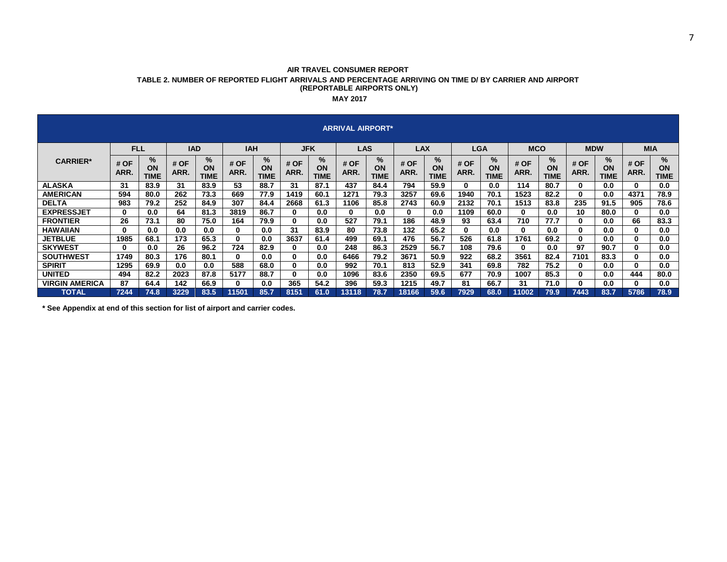# **AIR TRAVEL CONSUMER REPORT TABLE 2. NUMBER OF REPORTED FLIGHT ARRIVALS AND PERCENTAGE ARRIVING ON TIME D/ BY CARRIER AND AIRPORT (REPORTABLE AIRPORTS ONLY) MAY 2017**

|                       |              |                        |              |                        |              |                        |              |                        | <b>ARRIVAL AIRPORT*</b> |                        |              |                        |              |                        |              |                        |              |                           |              |                        |
|-----------------------|--------------|------------------------|--------------|------------------------|--------------|------------------------|--------------|------------------------|-------------------------|------------------------|--------------|------------------------|--------------|------------------------|--------------|------------------------|--------------|---------------------------|--------------|------------------------|
|                       | <b>FLL</b>   |                        | <b>IAD</b>   |                        | <b>IAH</b>   |                        | <b>JFK</b>   |                        | <b>LAS</b>              |                        | <b>LAX</b>   |                        | <b>LGA</b>   |                        | <b>MCO</b>   |                        | <b>MDW</b>   |                           |              | <b>MIA</b>             |
| <b>CARRIER*</b>       | # OF<br>ARR. | ℅<br>ON<br><b>TIME</b> | # OF<br>ARR. | ℅<br>ON<br><b>TIME</b> | # OF<br>ARR. | ℅<br>ON<br><b>TIME</b> | # OF<br>ARR. | ℅<br>ON<br><b>TIME</b> | # OF<br>ARR.            | %<br>ON<br><b>TIME</b> | # OF<br>ARR. | %<br>ON<br><b>TIME</b> | # OF<br>ARR. | ℅<br>ON<br><b>TIME</b> | # OF<br>ARR. | %<br>ON<br><b>TIME</b> | # OF<br>ARR. | $\%$<br>ON<br><b>TIME</b> | # OF<br>ARR. | %<br>ON<br><b>TIME</b> |
| <b>ALASKA</b>         | 31           | 83.9                   | 31           | 83.9                   | 53           | 88.7                   | 31           | 87.1                   | 437                     | 84.4                   | 794          | 59.9                   |              | 0.0                    | 114          | 80.7                   | 0            | 0.0                       | 0            | 0.0                    |
| AMERICAN              | 594          | 80.0                   | 262          | 73.3                   | 669          | 77.9                   | 1419         | 60.1                   | 1271                    | 79.3                   | 3257         | 69.6                   | 1940         | 70.1                   | 1523         | 82.2                   | 0            | 0.0                       | 4371         | 78.9                   |
| <b>DELTA</b>          | 983          | 79.2                   | 252          | 84.9                   | 307          | 84.4                   | 2668         | 61.3                   | 1106                    | 85.8                   | 2743         | 60.9                   | 2132         | 70.1                   | 1513         | 83.8                   | 235          | 91.5                      | 905          | 78.6                   |
| <b>EXPRESSJET</b>     | 0            | 0.0                    | 64           | 81.3                   | 3819         | 86.7                   |              | 0.0                    | 0                       | 0.0                    | 0            | 0.0                    | 1109         | 60.0                   | $\bf{0}$     | 0.0                    | 10           | 80.0                      | 0            | 0.0                    |
| <b>FRONTIER</b>       | 26           | 73.1                   | 80           | 75.0                   | 164          | 79.9                   |              | 0.0                    | 527                     | 79.1                   | 186          | 48.9                   | 93           | 63.4                   | 710          | 77.7                   | 0            | 0.0                       | 66           | 83.3                   |
| HAWAIIAN              | 0            | 0.0                    | 0.0          | 0.0                    | 0            | 0.0                    | 31           | 83.9                   | 80                      | 73.8                   | 132          | 65.2                   | $\bf{0}$     | 0.0                    | 0            | 0.0                    | 0            | 0.0                       | 0            | 0.0                    |
| <b>JETBLUE</b>        | 1985         | 68.1                   | 173          | 65.3                   | 0            | 0.0                    | 3637         | 61.4                   | 499                     | 69.1                   | 476          | 56.7                   | 526          | 61.8                   | 1761         | 69.2                   | 0            | 0.0                       | 0            | 0.0                    |
| SKYWEST               | 0            | 0.0                    | 26           | 96.2                   | 724          | 82.9                   |              | 0.0                    | 248                     | 86.3                   | 2529         | 56.7                   | 108          | 79.6                   | 0            | 0.0                    | 97           | 90.7                      | $\Omega$     | 0.0                    |
| SOUTHWEST             | 1749         | 80.3                   | 176          | 80.1                   | 0            | 0.0                    |              | 0.0                    | 6466                    | 79.2                   | 3671         | 50.9                   | 922          | 68.2                   | 3561         | 82.4                   | 7101         | 83.3                      | 0            | 0.0                    |
| <b>SPIRIT</b>         | 1295         | 69.9                   | 0.0          | 0.0                    | 588          | 68.0                   |              | 0.0                    | 992                     | 70.1                   | 813          | 52.9                   | 341          | 69.8                   | 782          | 75.2                   | $\bf{0}$     | 0.0                       | 0            | 0.0                    |
| <b>UNITED</b>         | 494          | 82.2                   | 2023         | 87.8                   | 5177         | 88.7                   |              | 0.0                    | 1096                    | 83.6                   | 2350         | 69.5                   | 677          | 70.9                   | 1007         | 85.3                   | 0            | 0.0                       | 444          | 80.0                   |
| <b>VIRGIN AMERICA</b> | 87           | 64.4                   | 142          | 66.9                   | 0            | 0.0                    | 365          | 54.2                   | 396                     | 59.3                   | 1215         | 49.7                   | 81           | 66.7                   | 31           | 71.0                   |              | 0.0                       | 0            | 0.0                    |
| <b>TOTAL</b>          | 7244         | 74.8                   | 3229         | 83.5                   | 11501        | 85.7                   | 8151         | 61.0                   | 13118                   | 78.7                   | 18166        | 59.6                   | 7929         | 68.0                   | 11002        | 79.9                   | 7443         | 83.7                      | 5786         | 78.9                   |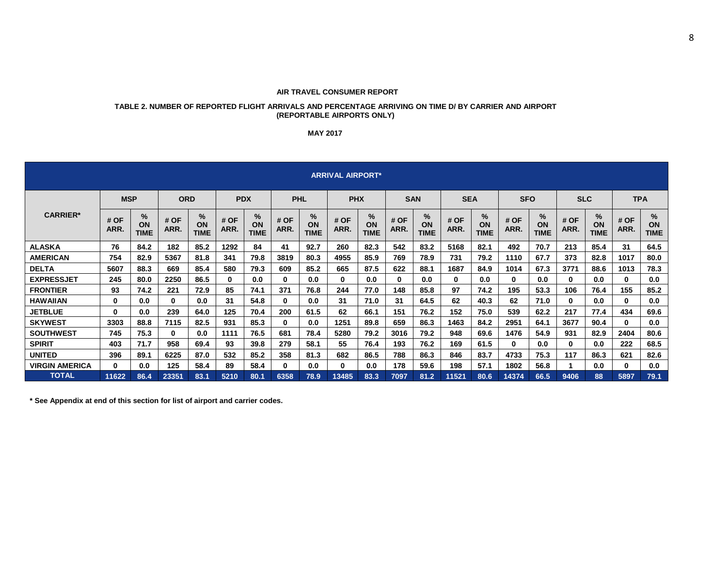## **TABLE 2. NUMBER OF REPORTED FLIGHT ARRIVALS AND PERCENTAGE ARRIVING ON TIME D/ BY CARRIER AND AIRPORT (REPORTABLE AIRPORTS ONLY)**

# **MAY 2017**

|                       |              |                           |              |                        |              |                        |              |                        | <b>ARRIVAL AIRPORT*</b> |                        |              |                           |              |                           |              |                        |              |                        |              |                                  |
|-----------------------|--------------|---------------------------|--------------|------------------------|--------------|------------------------|--------------|------------------------|-------------------------|------------------------|--------------|---------------------------|--------------|---------------------------|--------------|------------------------|--------------|------------------------|--------------|----------------------------------|
|                       | <b>MSP</b>   |                           | <b>ORD</b>   |                        | <b>PDX</b>   |                        |              | <b>PHL</b>             | <b>PHX</b>              |                        |              | <b>SAN</b>                | <b>SEA</b>   |                           | <b>SFO</b>   |                        | <b>SLC</b>   |                        |              | <b>TPA</b>                       |
| <b>CARRIER*</b>       | # OF<br>ARR. | $\%$<br>ON<br><b>TIME</b> | # OF<br>ARR. | %<br>ON<br><b>TIME</b> | # OF<br>ARR. | %<br>ON<br><b>TIME</b> | # OF<br>ARR. | %<br>ON<br><b>TIME</b> | # OF<br>ARR.            | %<br>ON<br><b>TIME</b> | # OF<br>ARR. | $\%$<br>ON<br><b>TIME</b> | # OF<br>ARR. | $\%$<br>ON<br><b>TIME</b> | # OF<br>ARR. | %<br>ON<br><b>TIME</b> | # OF<br>ARR. | %<br>ON<br><b>TIME</b> | # OF<br>ARR. | $\%$<br><b>ON</b><br><b>TIME</b> |
| <b>ALASKA</b>         | 76           | 84.2                      | 182          | 85.2                   | 1292         | 84                     | 41           | 92.7                   | 260                     | 82.3                   | 542          | 83.2                      | 5168         | 82.1                      | 492          | 70.7                   | 213          | 85.4                   | 31           | 64.5                             |
| <b>AMERICAN</b>       | 754          | 82.9                      | 5367         | 81.8                   | 341          | 79.8                   | 3819         | 80.3                   | 4955                    | 85.9                   | 769          | 78.9                      | 731          | 79.2                      | 1110         | 67.7                   | 373          | 82.8                   | 1017         | 80.0                             |
| <b>DELTA</b>          | 5607         | 88.3                      | 669          | 85.4                   | 580          | 79.3                   | 609          | 85.2                   | 665                     | 87.5                   | 622          | 88.1                      | 1687         | 84.9                      | 1014         | 67.3                   | 3771         | 88.6                   | 1013         | 78.3                             |
| <b>EXPRESSJET</b>     | 245          | 80.0                      | 2250         | 86.5                   | $\bf{0}$     | 0.0                    | $\bf{0}$     | 0.0                    | $\Omega$                | 0.0                    | $\bf{0}$     | 0.0                       | 0            | 0.0                       | 0            | 0.0                    | $\bf{0}$     | 0.0                    | $\mathbf{0}$ | 0.0                              |
| <b>FRONTIER</b>       | 93           | 74.2                      | 221          | 72.9                   | 85           | 74.1                   | 371          | 76.8                   | 244                     | 77.0                   | 148          | 85.8                      | 97           | 74.2                      | 195          | 53.3                   | 106          | 76.4                   | 155          | 85.2                             |
| <b>HAWAIIAN</b>       | 0            | 0.0                       | 0            | 0.0                    | 31           | 54.8                   | $\bf{0}$     | 0.0                    | 31                      | 71.0                   | 31           | 64.5                      | 62           | 40.3                      | 62           | 71.0                   | $\bf{0}$     | 0.0                    | 0            | 0.0                              |
| <b>JETBLUE</b>        | 0            | 0.0                       | 239          | 64.0                   | 125          | 70.4                   | 200          | 61.5                   | 62                      | 66.1                   | 151          | 76.2                      | 152          | 75.0                      | 539          | 62.2                   | 217          | 77.4                   | 434          | 69.6                             |
| <b>SKYWEST</b>        | 3303         | 88.8                      | 7115         | 82.5                   | 931          | 85.3                   | 0            | 0.0                    | 1251                    | 89.8                   | 659          | 86.3                      | 1463         | 84.2                      | 2951         | 64.1                   | 3677         | 90.4                   | 0            | 0.0                              |
| <b>SOUTHWEST</b>      | 745          | 75.3                      | $\bf{0}$     | 0.0                    | 1111         | 76.5                   | 681          | 78.4                   | 5280                    | 79.2                   | 3016         | 79.2                      | 948          | 69.6                      | 1476         | 54.9                   | 931          | 82.9                   | 2404         | 80.6                             |
| <b>SPIRIT</b>         | 403          | 71.7                      | 958          | 69.4                   | 93           | 39.8                   | 279          | 58.1                   | 55                      | 76.4                   | 193          | 76.2                      | 169          | 61.5                      | 0            | 0.0                    | $\bf{0}$     | 0.0                    | 222          | 68.5                             |
| <b>UNITED</b>         | 396          | 89.1                      | 6225         | 87.0                   | 532          | 85.2                   | 358          | 81.3                   | 682                     | 86.5                   | 788          | 86.3                      | 846          | 83.7                      | 4733         | 75.3                   | 117          | 86.3                   | 621          | 82.6                             |
| <b>VIRGIN AMERICA</b> | 0            | 0.0                       | 125          | 58.4                   | 89           | 58.4                   | $\bf{0}$     | 0.0                    | 0                       | 0.0                    | 178          | 59.6                      | 198          | 57.1                      | 1802         | 56.8                   |              | 0.0                    | 0            | 0.0                              |
| <b>TOTAL</b>          | 11622        | 86.4                      | 23351        | 83.1                   | 5210         | 80.1                   | 6358         | 78.9                   | 13485                   | 83.3                   | 7097         | 81.2                      | 11521        | 80.6                      | 14374        | 66.5                   | 9406         | 88                     | 5897         | 79.1                             |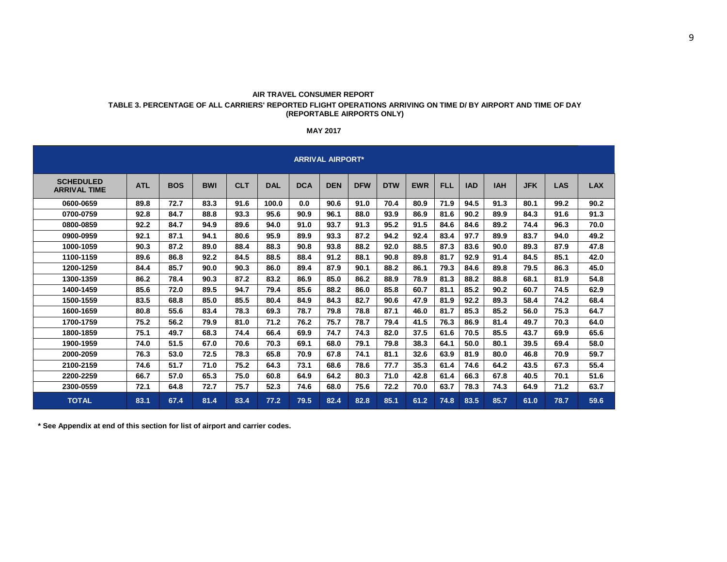# **AIR TRAVEL CONSUMER REPORT TABLE 3. PERCENTAGE OF ALL CARRIERS' REPORTED FLIGHT OPERATIONS ARRIVING ON TIME D/ BY AIRPORT AND TIME OF DAY (REPORTABLE AIRPORTS ONLY)**

|                                         |            |            |            |            |            |            | <b>ARRIVAL AIRPORT*</b> |            |            |            |            |            |            |            |            |            |
|-----------------------------------------|------------|------------|------------|------------|------------|------------|-------------------------|------------|------------|------------|------------|------------|------------|------------|------------|------------|
| <b>SCHEDULED</b><br><b>ARRIVAL TIME</b> | <b>ATL</b> | <b>BOS</b> | <b>BWI</b> | <b>CLT</b> | <b>DAL</b> | <b>DCA</b> | <b>DEN</b>              | <b>DFW</b> | <b>DTW</b> | <b>EWR</b> | <b>FLL</b> | <b>IAD</b> | <b>IAH</b> | <b>JFK</b> | <b>LAS</b> | <b>LAX</b> |
| 0600-0659                               | 89.8       | 72.7       | 83.3       | 91.6       | 100.0      | 0.0        | 90.6                    | 91.0       | 70.4       | 80.9       | 71.9       | 94.5       | 91.3       | 80.1       | 99.2       | 90.2       |
| 0700-0759                               | 92.8       | 84.7       | 88.8       | 93.3       | 95.6       | 90.9       | 96.1                    | 88.0       | 93.9       | 86.9       | 81.6       | 90.2       | 89.9       | 84.3       | 91.6       | 91.3       |
| 0800-0859                               | 92.2       | 84.7       | 94.9       | 89.6       | 94.0       | 91.0       | 93.7                    | 91.3       | 95.2       | 91.5       | 84.6       | 84.6       | 89.2       | 74.4       | 96.3       | 70.0       |
| 0900-0959                               | 92.1       | 87.1       | 94.1       | 80.6       | 95.9       | 89.9       | 93.3                    | 87.2       | 94.2       | 92.4       | 83.4       | 97.7       | 89.9       | 83.7       | 94.0       | 49.2       |
| 1000-1059                               | 90.3       | 87.2       | 89.0       | 88.4       | 88.3       | 90.8       | 93.8                    | 88.2       | 92.0       | 88.5       | 87.3       | 83.6       | 90.0       | 89.3       | 87.9       | 47.8       |
| 1100-1159                               | 89.6       | 86.8       | 92.2       | 84.5       | 88.5       | 88.4       | 91.2                    | 88.1       | 90.8       | 89.8       | 81.7       | 92.9       | 91.4       | 84.5       | 85.1       | 42.0       |
| 1200-1259                               | 84.4       | 85.7       | 90.0       | 90.3       | 86.0       | 89.4       | 87.9                    | 90.1       | 88.2       | 86.1       | 79.3       | 84.6       | 89.8       | 79.5       | 86.3       | 45.0       |
| 1300-1359                               | 86.2       | 78.4       | 90.3       | 87.2       | 83.2       | 86.9       | 85.0                    | 86.2       | 88.9       | 78.9       | 81.3       | 88.2       | 88.8       | 68.1       | 81.9       | 54.8       |
| 1400-1459                               | 85.6       | 72.0       | 89.5       | 94.7       | 79.4       | 85.6       | 88.2                    | 86.0       | 85.8       | 60.7       | 81.1       | 85.2       | 90.2       | 60.7       | 74.5       | 62.9       |
| 1500-1559                               | 83.5       | 68.8       | 85.0       | 85.5       | 80.4       | 84.9       | 84.3                    | 82.7       | 90.6       | 47.9       | 81.9       | 92.2       | 89.3       | 58.4       | 74.2       | 68.4       |
| 1600-1659                               | 80.8       | 55.6       | 83.4       | 78.3       | 69.3       | 78.7       | 79.8                    | 78.8       | 87.1       | 46.0       | 81.7       | 85.3       | 85.2       | 56.0       | 75.3       | 64.7       |
| 1700-1759                               | 75.2       | 56.2       | 79.9       | 81.0       | 71.2       | 76.2       | 75.7                    | 78.7       | 79.4       | 41.5       | 76.3       | 86.9       | 81.4       | 49.7       | 70.3       | 64.0       |
| 1800-1859                               | 75.1       | 49.7       | 68.3       | 74.4       | 66.4       | 69.9       | 74.7                    | 74.3       | 82.0       | 37.5       | 61.6       | 70.5       | 85.5       | 43.7       | 69.9       | 65.6       |
| 1900-1959                               | 74.0       | 51.5       | 67.0       | 70.6       | 70.3       | 69.1       | 68.0                    | 79.1       | 79.8       | 38.3       | 64.1       | 50.0       | 80.1       | 39.5       | 69.4       | 58.0       |
| 2000-2059                               | 76.3       | 53.0       | 72.5       | 78.3       | 65.8       | 70.9       | 67.8                    | 74.1       | 81.1       | 32.6       | 63.9       | 81.9       | 80.0       | 46.8       | 70.9       | 59.7       |
| 2100-2159                               | 74.6       | 51.7       | 71.0       | 75.2       | 64.3       | 73.1       | 68.6                    | 78.6       | 77.7       | 35.3       | 61.4       | 74.6       | 64.2       | 43.5       | 67.3       | 55.4       |
| 2200-2259                               | 66.7       | 57.0       | 65.3       | 75.0       | 60.8       | 64.9       | 64.2                    | 80.3       | 71.0       | 42.8       | 61.4       | 66.3       | 67.8       | 40.5       | 70.1       | 51.6       |
| 2300-0559                               | 72.1       | 64.8       | 72.7       | 75.7       | 52.3       | 74.6       | 68.0                    | 75.6       | 72.2       | 70.0       | 63.7       | 78.3       | 74.3       | 64.9       | 71.2       | 63.7       |
| <b>TOTAL</b>                            | 83.1       | 67.4       | 81.4       | 83.4       | 77.2       | 79.5       | 82.4                    | 82.8       | 85.1       | 61.2       | 74.8       | 83.5       | 85.7       | 61.0       | 78.7       | 59.6       |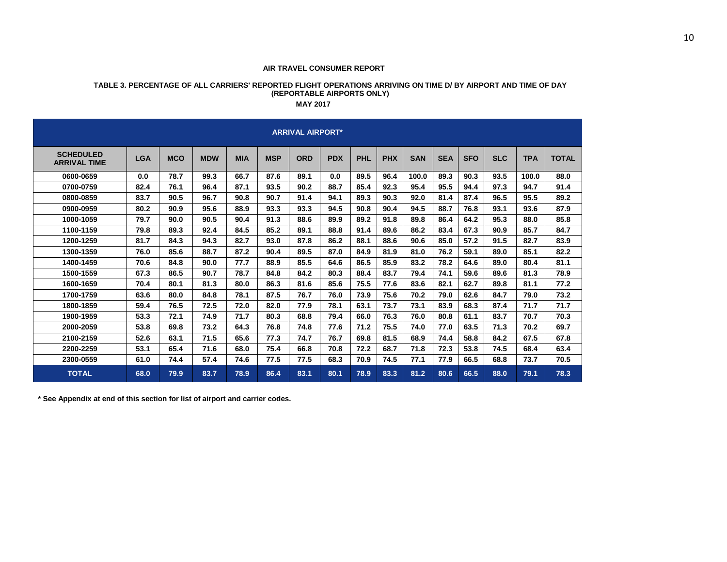# **TABLE 3. PERCENTAGE OF ALL CARRIERS' REPORTED FLIGHT OPERATIONS ARRIVING ON TIME D/ BY AIRPORT AND TIME OF DAY (REPORTABLE AIRPORTS ONLY) MAY 2017**

|                                         |            |            |            |            |            | <b>ARRIVAL AIRPORT*</b> |            |            |            |            |            |            |            |            |              |
|-----------------------------------------|------------|------------|------------|------------|------------|-------------------------|------------|------------|------------|------------|------------|------------|------------|------------|--------------|
| <b>SCHEDULED</b><br><b>ARRIVAL TIME</b> | <b>LGA</b> | <b>MCO</b> | <b>MDW</b> | <b>MIA</b> | <b>MSP</b> | ORD                     | <b>PDX</b> | <b>PHL</b> | <b>PHX</b> | <b>SAN</b> | <b>SEA</b> | <b>SFO</b> | <b>SLC</b> | <b>TPA</b> | <b>TOTAL</b> |
| 0600-0659                               | 0.0        | 78.7       | 99.3       | 66.7       | 87.6       | 89.1                    | 0.0        | 89.5       | 96.4       | 100.0      | 89.3       | 90.3       | 93.5       | 100.0      | 88.0         |
| 0700-0759                               | 82.4       | 76.1       | 96.4       | 87.1       | 93.5       | 90.2                    | 88.7       | 85.4       | 92.3       | 95.4       | 95.5       | 94.4       | 97.3       | 94.7       | 91.4         |
| 0800-0859                               | 83.7       | 90.5       | 96.7       | 90.8       | 90.7       | 91.4                    | 94.1       | 89.3       | 90.3       | 92.0       | 81.4       | 87.4       | 96.5       | 95.5       | 89.2         |
| 0900-0959                               | 80.2       | 90.9       | 95.6       | 88.9       | 93.3       | 93.3                    | 94.5       | 90.8       | 90.4       | 94.5       | 88.7       | 76.8       | 93.1       | 93.6       | 87.9         |
| 1000-1059                               | 79.7       | 90.0       | 90.5       | 90.4       | 91.3       | 88.6                    | 89.9       | 89.2       | 91.8       | 89.8       | 86.4       | 64.2       | 95.3       | 88.0       | 85.8         |
| 1100-1159                               | 79.8       | 89.3       | 92.4       | 84.5       | 85.2       | 89.1                    | 88.8       | 91.4       | 89.6       | 86.2       | 83.4       | 67.3       | 90.9       | 85.7       | 84.7         |
| 1200-1259                               | 81.7       | 84.3       | 94.3       | 82.7       | 93.0       | 87.8                    | 86.2       | 88.1       | 88.6       | 90.6       | 85.0       | 57.2       | 91.5       | 82.7       | 83.9         |
| 1300-1359                               | 76.0       | 85.6       | 88.7       | 87.2       | 90.4       | 89.5                    | 87.0       | 84.9       | 81.9       | 81.0       | 76.2       | 59.1       | 89.0       | 85.1       | 82.2         |
| 1400-1459                               | 70.6       | 84.8       | 90.0       | 77.7       | 88.9       | 85.5                    | 64.6       | 86.5       | 85.9       | 83.2       | 78.2       | 64.6       | 89.0       | 80.4       | 81.1         |
| 1500-1559                               | 67.3       | 86.5       | 90.7       | 78.7       | 84.8       | 84.2                    | 80.3       | 88.4       | 83.7       | 79.4       | 74.1       | 59.6       | 89.6       | 81.3       | 78.9         |
| 1600-1659                               | 70.4       | 80.1       | 81.3       | 80.0       | 86.3       | 81.6                    | 85.6       | 75.5       | 77.6       | 83.6       | 82.1       | 62.7       | 89.8       | 81.1       | 77.2         |
| 1700-1759                               | 63.6       | 80.0       | 84.8       | 78.1       | 87.5       | 76.7                    | 76.0       | 73.9       | 75.6       | 70.2       | 79.0       | 62.6       | 84.7       | 79.0       | 73.2         |
| 1800-1859                               | 59.4       | 76.5       | 72.5       | 72.0       | 82.0       | 77.9                    | 78.1       | 63.1       | 73.7       | 73.1       | 83.9       | 68.3       | 87.4       | 71.7       | 71.7         |
| 1900-1959                               | 53.3       | 72.1       | 74.9       | 71.7       | 80.3       | 68.8                    | 79.4       | 66.0       | 76.3       | 76.0       | 80.8       | 61.1       | 83.7       | 70.7       | 70.3         |
| 2000-2059                               | 53.8       | 69.8       | 73.2       | 64.3       | 76.8       | 74.8                    | 77.6       | 71.2       | 75.5       | 74.0       | 77.0       | 63.5       | 71.3       | 70.2       | 69.7         |
| 2100-2159                               | 52.6       | 63.1       | 71.5       | 65.6       | 77.3       | 74.7                    | 76.7       | 69.8       | 81.5       | 68.9       | 74.4       | 58.8       | 84.2       | 67.5       | 67.8         |
| 2200-2259                               | 53.1       | 65.4       | 71.6       | 68.0       | 75.4       | 66.8                    | 70.8       | 72.2       | 68.7       | 71.8       | 72.3       | 53.8       | 74.5       | 68.4       | 63.4         |
| 2300-0559                               | 61.0       | 74.4       | 57.4       | 74.6       | 77.5       | 77.5                    | 68.3       | 70.9       | 74.5       | 77.1       | 77.9       | 66.5       | 68.8       | 73.7       | 70.5         |
| <b>TOTAL</b>                            | 68.0       | 79.9       | 83.7       | 78.9       | 86.4       | 83.1                    | 80.1       | 78.9       | 83.3       | 81.2       | 80.6       | 66.5       | 88.0       | 79.1       | 78.3         |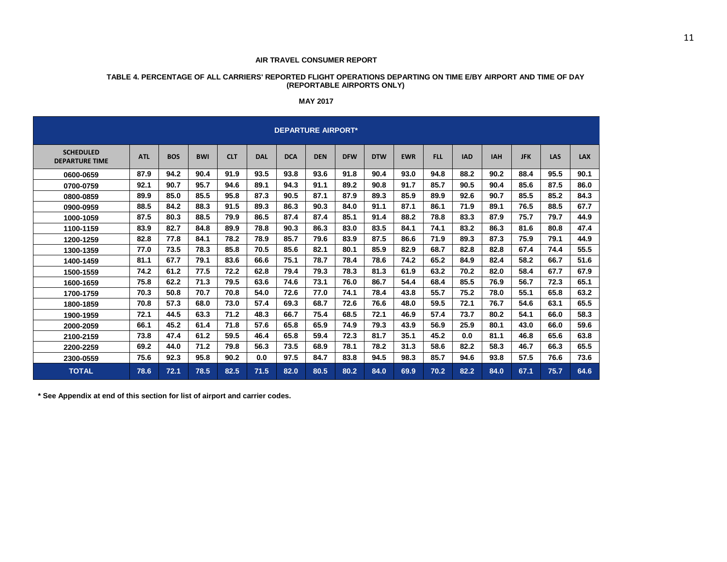#### **TABLE 4. PERCENTAGE OF ALL CARRIERS' REPORTED FLIGHT OPERATIONS DEPARTING ON TIME E/BY AIRPORT AND TIME OF DAY (REPORTABLE AIRPORTS ONLY)**

# **MAY 2017**

|                                           |            |            |            |            |            |            | <b>DEPARTURE AIRPORT*</b> |            |            |            |            |            |            |            |            |            |
|-------------------------------------------|------------|------------|------------|------------|------------|------------|---------------------------|------------|------------|------------|------------|------------|------------|------------|------------|------------|
| <b>SCHEDULED</b><br><b>DEPARTURE TIME</b> | <b>ATL</b> | <b>BOS</b> | <b>BWI</b> | <b>CLT</b> | <b>DAL</b> | <b>DCA</b> | <b>DEN</b>                | <b>DFW</b> | <b>DTW</b> | <b>EWR</b> | <b>FLL</b> | <b>IAD</b> | <b>IAH</b> | <b>JFK</b> | <b>LAS</b> | <b>LAX</b> |
| 0600-0659                                 | 87.9       | 94.2       | 90.4       | 91.9       | 93.5       | 93.8       | 93.6                      | 91.8       | 90.4       | 93.0       | 94.8       | 88.2       | 90.2       | 88.4       | 95.5       | 90.1       |
| 0700-0759                                 | 92.1       | 90.7       | 95.7       | 94.6       | 89.1       | 94.3       | 91.1                      | 89.2       | 90.8       | 91.7       | 85.7       | 90.5       | 90.4       | 85.6       | 87.5       | 86.0       |
| 0800-0859                                 | 89.9       | 85.0       | 85.5       | 95.8       | 87.3       | 90.5       | 87.1                      | 87.9       | 89.3       | 85.9       | 89.9       | 92.6       | 90.7       | 85.5       | 85.2       | 84.3       |
| 0900-0959                                 | 88.5       | 84.2       | 88.3       | 91.5       | 89.3       | 86.3       | 90.3                      | 84.0       | 91.1       | 87.1       | 86.1       | 71.9       | 89.1       | 76.5       | 88.5       | 67.7       |
| 1000-1059                                 | 87.5       | 80.3       | 88.5       | 79.9       | 86.5       | 87.4       | 87.4                      | 85.1       | 91.4       | 88.2       | 78.8       | 83.3       | 87.9       | 75.7       | 79.7       | 44.9       |
| 1100-1159                                 | 83.9       | 82.7       | 84.8       | 89.9       | 78.8       | 90.3       | 86.3                      | 83.0       | 83.5       | 84.1       | 74.1       | 83.2       | 86.3       | 81.6       | 80.8       | 47.4       |
| 1200-1259                                 | 82.8       | 77.8       | 84.1       | 78.2       | 78.9       | 85.7       | 79.6                      | 83.9       | 87.5       | 86.6       | 71.9       | 89.3       | 87.3       | 75.9       | 79.1       | 44.9       |
| 1300-1359                                 | 77.0       | 73.5       | 78.3       | 85.8       | 70.5       | 85.6       | 82.1                      | 80.1       | 85.9       | 82.9       | 68.7       | 82.8       | 82.8       | 67.4       | 74.4       | 55.5       |
| 1400-1459                                 | 81.1       | 67.7       | 79.1       | 83.6       | 66.6       | 75.1       | 78.7                      | 78.4       | 78.6       | 74.2       | 65.2       | 84.9       | 82.4       | 58.2       | 66.7       | 51.6       |
| 1500-1559                                 | 74.2       | 61.2       | 77.5       | 72.2       | 62.8       | 79.4       | 79.3                      | 78.3       | 81.3       | 61.9       | 63.2       | 70.2       | 82.0       | 58.4       | 67.7       | 67.9       |
| 1600-1659                                 | 75.8       | 62.2       | 71.3       | 79.5       | 63.6       | 74.6       | 73.1                      | 76.0       | 86.7       | 54.4       | 68.4       | 85.5       | 76.9       | 56.7       | 72.3       | 65.1       |
| 1700-1759                                 | 70.3       | 50.8       | 70.7       | 70.8       | 54.0       | 72.6       | 77.0                      | 74.1       | 78.4       | 43.8       | 55.7       | 75.2       | 78.0       | 55.1       | 65.8       | 63.2       |
| 1800-1859                                 | 70.8       | 57.3       | 68.0       | 73.0       | 57.4       | 69.3       | 68.7                      | 72.6       | 76.6       | 48.0       | 59.5       | 72.1       | 76.7       | 54.6       | 63.1       | 65.5       |
| 1900-1959                                 | 72.1       | 44.5       | 63.3       | 71.2       | 48.3       | 66.7       | 75.4                      | 68.5       | 72.1       | 46.9       | 57.4       | 73.7       | 80.2       | 54.1       | 66.0       | 58.3       |
| 2000-2059                                 | 66.1       | 45.2       | 61.4       | 71.8       | 57.6       | 65.8       | 65.9                      | 74.9       | 79.3       | 43.9       | 56.9       | 25.9       | 80.1       | 43.0       | 66.0       | 59.6       |
| 2100-2159                                 | 73.8       | 47.4       | 61.2       | 59.5       | 46.4       | 65.8       | 59.4                      | 72.3       | 81.7       | 35.1       | 45.2       | 0.0        | 81.1       | 46.8       | 65.6       | 63.8       |
| 2200-2259                                 | 69.2       | 44.0       | 71.2       | 79.8       | 56.3       | 73.5       | 68.9                      | 78.1       | 78.2       | 31.3       | 58.6       | 82.2       | 58.3       | 46.7       | 66.3       | 65.5       |
| 2300-0559                                 | 75.6       | 92.3       | 95.8       | 90.2       | 0.0        | 97.5       | 84.7                      | 83.8       | 94.5       | 98.3       | 85.7       | 94.6       | 93.8       | 57.5       | 76.6       | 73.6       |
| <b>TOTAL</b>                              | 78.6       | 72.1       | 78.5       | 82.5       | 71.5       | 82.0       | 80.5                      | 80.2       | 84.0       | 69.9       | 70.2       | 82.2       | 84.0       | 67.1       | 75.7       | 64.6       |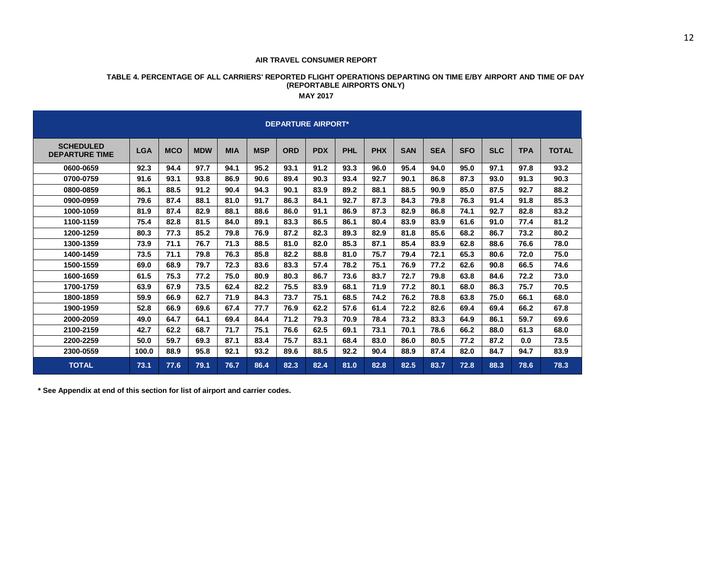# **TABLE 4. PERCENTAGE OF ALL CARRIERS' REPORTED FLIGHT OPERATIONS DEPARTING ON TIME E/BY AIRPORT AND TIME OF DAY (REPORTABLE AIRPORTS ONLY)**

**MAY 2017**

|                                           |            |            |            |            |            |            | <b>DEPARTURE AIRPORT*</b> |            |            |            |            |            |            |            |              |
|-------------------------------------------|------------|------------|------------|------------|------------|------------|---------------------------|------------|------------|------------|------------|------------|------------|------------|--------------|
| <b>SCHEDULED</b><br><b>DEPARTURE TIME</b> | <b>LGA</b> | <b>MCO</b> | <b>MDW</b> | <b>MIA</b> | <b>MSP</b> | <b>ORD</b> | <b>PDX</b>                | <b>PHL</b> | <b>PHX</b> | <b>SAN</b> | <b>SEA</b> | <b>SFO</b> | <b>SLC</b> | <b>TPA</b> | <b>TOTAL</b> |
| 0600-0659                                 | 92.3       | 94.4       | 97.7       | 94.1       | 95.2       | 93.1       | 91.2                      | 93.3       | 96.0       | 95.4       | 94.0       | 95.0       | 97.1       | 97.8       | 93.2         |
| 0700-0759                                 | 91.6       | 93.1       | 93.8       | 86.9       | 90.6       | 89.4       | 90.3                      | 93.4       | 92.7       | 90.1       | 86.8       | 87.3       | 93.0       | 91.3       | 90.3         |
| 0800-0859                                 | 86.1       | 88.5       | 91.2       | 90.4       | 94.3       | 90.1       | 83.9                      | 89.2       | 88.1       | 88.5       | 90.9       | 85.0       | 87.5       | 92.7       | 88.2         |
| 0900-0959                                 | 79.6       | 87.4       | 88.1       | 81.0       | 91.7       | 86.3       | 84.1                      | 92.7       | 87.3       | 84.3       | 79.8       | 76.3       | 91.4       | 91.8       | 85.3         |
| 1000-1059                                 | 81.9       | 87.4       | 82.9       | 88.1       | 88.6       | 86.0       | 91.1                      | 86.9       | 87.3       | 82.9       | 86.8       | 74.1       | 92.7       | 82.8       | 83.2         |
| 1100-1159                                 | 75.4       | 82.8       | 81.5       | 84.0       | 89.1       | 83.3       | 86.5                      | 86.1       | 80.4       | 83.9       | 83.9       | 61.6       | 91.0       | 77.4       | 81.2         |
| 1200-1259                                 | 80.3       | 77.3       | 85.2       | 79.8       | 76.9       | 87.2       | 82.3                      | 89.3       | 82.9       | 81.8       | 85.6       | 68.2       | 86.7       | 73.2       | 80.2         |
| 1300-1359                                 | 73.9       | 71.1       | 76.7       | 71.3       | 88.5       | 81.0       | 82.0                      | 85.3       | 87.1       | 85.4       | 83.9       | 62.8       | 88.6       | 76.6       | 78.0         |
| 1400-1459                                 | 73.5       | 71.1       | 79.8       | 76.3       | 85.8       | 82.2       | 88.8                      | 81.0       | 75.7       | 79.4       | 72.1       | 65.3       | 80.6       | 72.0       | 75.0         |
| 1500-1559                                 | 69.0       | 68.9       | 79.7       | 72.3       | 83.6       | 83.3       | 57.4                      | 78.2       | 75.1       | 76.9       | 77.2       | 62.6       | 90.8       | 66.5       | 74.6         |
| 1600-1659                                 | 61.5       | 75.3       | 77.2       | 75.0       | 80.9       | 80.3       | 86.7                      | 73.6       | 83.7       | 72.7       | 79.8       | 63.8       | 84.6       | 72.2       | 73.0         |
| 1700-1759                                 | 63.9       | 67.9       | 73.5       | 62.4       | 82.2       | 75.5       | 83.9                      | 68.1       | 71.9       | 77.2       | 80.1       | 68.0       | 86.3       | 75.7       | 70.5         |
| 1800-1859                                 | 59.9       | 66.9       | 62.7       | 71.9       | 84.3       | 73.7       | 75.1                      | 68.5       | 74.2       | 76.2       | 78.8       | 63.8       | 75.0       | 66.1       | 68.0         |
| 1900-1959                                 | 52.8       | 66.9       | 69.6       | 67.4       | 77.7       | 76.9       | 62.2                      | 57.6       | 61.4       | 72.2       | 82.6       | 69.4       | 69.4       | 66.2       | 67.8         |
| 2000-2059                                 | 49.0       | 64.7       | 64.1       | 69.4       | 84.4       | 71.2       | 79.3                      | 70.9       | 78.4       | 73.2       | 83.3       | 64.9       | 86.1       | 59.7       | 69.6         |
| 2100-2159                                 | 42.7       | 62.2       | 68.7       | 71.7       | 75.1       | 76.6       | 62.5                      | 69.1       | 73.1       | 70.1       | 78.6       | 66.2       | 88.0       | 61.3       | 68.0         |
| 2200-2259                                 | 50.0       | 59.7       | 69.3       | 87.1       | 83.4       | 75.7       | 83.1                      | 68.4       | 83.0       | 86.0       | 80.5       | 77.2       | 87.2       | 0.0        | 73.5         |
| 2300-0559                                 | 100.0      | 88.9       | 95.8       | 92.1       | 93.2       | 89.6       | 88.5                      | 92.2       | 90.4       | 88.9       | 87.4       | 82.0       | 84.7       | 94.7       | 83.9         |
| <b>TOTAL</b>                              | 73.1       | 77.6       | 79.1       | 76.7       | 86.4       | 82.3       | 82.4                      | 81.0       | 82.8       | 82.5       | 83.7       | 72.8       | 88.3       | 78.6       | 78.3         |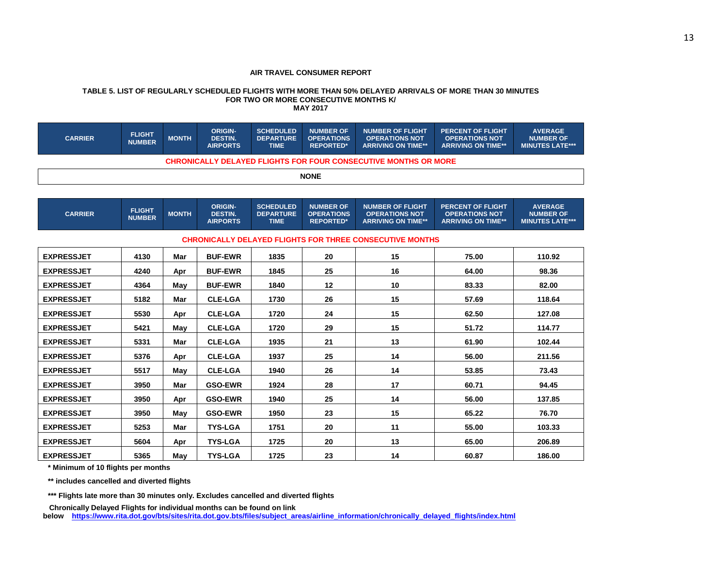### **TABLE 5. LIST OF REGULARLY SCHEDULED FLIGHTS WITH MORE THAN 50% DELAYED ARRIVALS OF MORE THAN 30 MINUTES FOR TWO OR MORE CONSECUTIVE MONTHS K/ MAY 2017**

| <b>CARRIER</b> | <b>FLIGHT</b><br><b>NUMBER</b>                                         | <b>MONTH</b> | <b>ORIGIN-</b><br><b>DESTIN.</b><br><b>AIRPORTS</b> | <b>SCHEDULED</b><br><b>DEPARTURE</b><br><b>TIME</b> | <b>NUMBER OF</b><br><b>OPERATIONS</b><br><b>REPORTED*</b> | <b>NUMBER OF FLIGHT</b><br><b>OPERATIONS NOT</b><br><b>ARRIVING ON TIME**</b> | <b>PERCENT OF FLIGHT</b><br><b>OPERATIONS NOT</b><br><b>ARRIVING ON TIME**</b> | <b>AVERAGE</b><br><b>NUMBER OF</b><br><b>MINUTES LATE***</b> |  |  |
|----------------|------------------------------------------------------------------------|--------------|-----------------------------------------------------|-----------------------------------------------------|-----------------------------------------------------------|-------------------------------------------------------------------------------|--------------------------------------------------------------------------------|--------------------------------------------------------------|--|--|
|                | <b>CHRONICALLY DELAYED FLIGHTS FOR FOUR CONSECUTIVE MONTHS OR MORE</b> |              |                                                     |                                                     |                                                           |                                                                               |                                                                                |                                                              |  |  |
| <b>NONE</b>    |                                                                        |              |                                                     |                                                     |                                                           |                                                                               |                                                                                |                                                              |  |  |

| <b>CARRIER</b>    | <b>FLIGHT</b><br><b>NUMBER</b> | <b>MONTH</b> | <b>ORIGIN-</b><br><b>DESTIN.</b><br><b>AIRPORTS</b> | <b>SCHEDULED</b><br><b>DEPARTURE</b><br><b>TIME</b> | <b>NUMBER OF</b><br><b>OPERATIONS</b><br><b>REPORTED*</b> | <b>NUMBER OF FLIGHT</b><br><b>OPERATIONS NOT</b><br><b>ARRIVING ON TIME**</b> | <b>PERCENT OF FLIGHT</b><br><b>OPERATIONS NOT</b><br><b>ARRIVING ON TIME**</b> | <b>AVERAGE</b><br><b>NUMBER OF</b><br><b>MINUTES LATE***</b> |
|-------------------|--------------------------------|--------------|-----------------------------------------------------|-----------------------------------------------------|-----------------------------------------------------------|-------------------------------------------------------------------------------|--------------------------------------------------------------------------------|--------------------------------------------------------------|
|                   |                                |              |                                                     |                                                     |                                                           | <b>CHRONICALLY DELAYED FLIGHTS FOR THREE CONSECUTIVE MONTHS</b>               |                                                                                |                                                              |
| <b>EXPRESSJET</b> | 4130                           | Mar          | <b>BUF-EWR</b>                                      | 1835                                                | 20                                                        | 15                                                                            | 75.00                                                                          | 110.92                                                       |
| <b>EXPRESSJET</b> | 4240                           | Apr          | <b>BUF-EWR</b>                                      | 1845                                                | 25                                                        | 16                                                                            | 64.00                                                                          | 98.36                                                        |
| <b>EXPRESSJET</b> | 4364                           | Mav          | <b>BUF-EWR</b>                                      | 1840                                                | 12                                                        | 10                                                                            | 83.33                                                                          | 82.00                                                        |
| <b>EXPRESSJET</b> | 5182                           | Mar          | <b>CLE-LGA</b>                                      | 1730                                                | 26                                                        | 15                                                                            | 57.69                                                                          | 118.64                                                       |
| <b>EXPRESSJET</b> | 5530                           | Apr          | <b>CLE-LGA</b>                                      | 1720                                                | 24                                                        | 15                                                                            | 62.50                                                                          | 127.08                                                       |
| <b>EXPRESSJET</b> | 5421                           | Mav          | <b>CLE-LGA</b>                                      | 1720                                                | 29                                                        | 15                                                                            | 51.72                                                                          | 114.77                                                       |
| <b>EXPRESSJET</b> | 5331                           | Mar          | <b>CLE-LGA</b>                                      | 1935                                                | 21                                                        | 13                                                                            | 61.90                                                                          | 102.44                                                       |
| <b>EXPRESSJET</b> | 5376                           | Apr          | <b>CLE-LGA</b>                                      | 1937                                                | 25                                                        | 14                                                                            | 56.00                                                                          | 211.56                                                       |
| <b>EXPRESSJET</b> | 5517                           | Mav          | <b>CLE-LGA</b>                                      | 1940                                                | 26                                                        | 14                                                                            | 53.85                                                                          | 73.43                                                        |
| <b>EXPRESSJET</b> | 3950                           | Mar          | <b>GSO-EWR</b>                                      | 1924                                                | 28                                                        | 17                                                                            | 60.71                                                                          | 94.45                                                        |
| <b>EXPRESSJET</b> | 3950                           | Apr          | <b>GSO-EWR</b>                                      | 1940                                                | 25                                                        | 14                                                                            | 56.00                                                                          | 137.85                                                       |
| <b>EXPRESSJET</b> | 3950                           | May          | <b>GSO-EWR</b>                                      | 1950                                                | 23                                                        | 15                                                                            | 65.22                                                                          | 76.70                                                        |
| <b>EXPRESSJET</b> | 5253                           | Mar          | <b>TYS-LGA</b>                                      | 1751                                                | 20                                                        | 11                                                                            | 55.00                                                                          | 103.33                                                       |
| <b>EXPRESSJET</b> | 5604                           | Apr          | <b>TYS-LGA</b>                                      | 1725                                                | 20                                                        | 13                                                                            | 65.00                                                                          | 206.89                                                       |
| <b>EXPRESSJET</b> | 5365                           | Mav          | <b>TYS-LGA</b>                                      | 1725                                                | 23                                                        | 14                                                                            | 60.87                                                                          | 186.00                                                       |

**\* Minimum of 10 flights per months**

**\*\* includes cancelled and diverted flights**

**\*\*\* Flights late more than 30 minutes only. Excludes cancelled and diverted flights**

 **Chronically Delayed Flights for individual months can be found on link**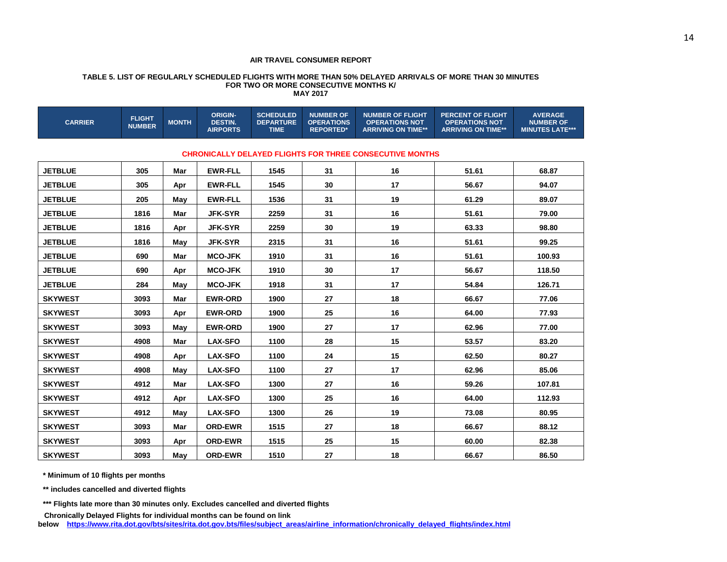#### **TABLE 5. LIST OF REGULARLY SCHEDULED FLIGHTS WITH MORE THAN 50% DELAYED ARRIVALS OF MORE THAN 30 MINUTES FOR TWO OR MORE CONSECUTIVE MONTHS K/ MAY 2017**

| <b>CARRIER</b> | <b>FLIGHT</b><br><b>NUMBER</b> | <b>MONTH</b> | <b>ORIGIN-</b><br><b>DESTIN.</b><br><b>AIRPORTS</b> | <b>SCHEDULED</b><br><b>DEPARTURE</b><br><b>TIME</b> | <b>NUMBER OF</b><br><b>NUMBER OF FLIGHT</b><br><b>OPERATIONS</b><br><b>OPERATIONS NOT</b><br><b>REPORTED*</b><br><b>ARRIVING ON TIME**</b> |                                                                 | <b>PERCENT OF FLIGHT</b><br><b>OPERATIONS NOT</b><br><b>ARRIVING ON TIME**</b> | <b>AVERAGE</b><br><b>NUMBER OF</b><br><b>MINUTES LATE***</b> |
|----------------|--------------------------------|--------------|-----------------------------------------------------|-----------------------------------------------------|--------------------------------------------------------------------------------------------------------------------------------------------|-----------------------------------------------------------------|--------------------------------------------------------------------------------|--------------------------------------------------------------|
|                |                                |              |                                                     |                                                     |                                                                                                                                            | <b>CHRONICALLY DELAYED FLIGHTS FOR THREE CONSECUTIVE MONTHS</b> |                                                                                |                                                              |
| <b>JETBLUE</b> | 305                            | Mar          | <b>EWR-FLL</b>                                      | 1545                                                | 31                                                                                                                                         | 16                                                              | 51.61                                                                          | 68.87                                                        |
| <b>JETBLUE</b> | 305                            | Apr          | <b>EWR-FLL</b>                                      | 1545                                                | 30                                                                                                                                         | 17                                                              | 56.67                                                                          | 94.07                                                        |
| <b>JETBLUE</b> | 205                            | May          | <b>EWR-FLL</b>                                      | 1536                                                | 31                                                                                                                                         | 19                                                              | 61.29                                                                          | 89.07                                                        |
| <b>JETBLUE</b> | 1816                           | Mar          | <b>JFK-SYR</b>                                      | 2259                                                | 31                                                                                                                                         | 16                                                              | 51.61                                                                          | 79.00                                                        |
| <b>JETBLUE</b> | 1816                           | Apr          | <b>JFK-SYR</b>                                      | 2259                                                | 30                                                                                                                                         | 19                                                              | 63.33                                                                          | 98.80                                                        |
| <b>JETBLUE</b> | 1816                           | May          | <b>JFK-SYR</b>                                      | 2315                                                | 31                                                                                                                                         | 16                                                              | 51.61                                                                          | 99.25                                                        |
| <b>JETBLUE</b> | 690                            | Mar          | <b>MCO-JFK</b>                                      | 1910                                                | 31                                                                                                                                         | 16                                                              | 51.61                                                                          | 100.93                                                       |
| <b>JETBLUE</b> | 690                            | Apr          | <b>MCO-JFK</b>                                      | 1910                                                | 30                                                                                                                                         | 17                                                              | 56.67                                                                          | 118.50                                                       |
| <b>JETBLUE</b> | 284                            | May          | <b>MCO-JFK</b>                                      | 1918                                                | 31                                                                                                                                         | 17                                                              | 54.84                                                                          | 126.71                                                       |
| <b>SKYWEST</b> | 3093                           | Mar          | <b>EWR-ORD</b>                                      | 1900                                                | 27                                                                                                                                         | 18                                                              | 66.67                                                                          | 77.06                                                        |
| <b>SKYWEST</b> | 3093                           | Apr          | <b>EWR-ORD</b>                                      | 1900                                                | 25                                                                                                                                         | 16                                                              | 64.00                                                                          | 77.93                                                        |
| <b>SKYWEST</b> | 3093                           | May          | <b>EWR-ORD</b>                                      | 1900                                                | 27                                                                                                                                         | 17                                                              | 62.96                                                                          | 77.00                                                        |
| <b>SKYWEST</b> | 4908                           | Mar          | <b>LAX-SFO</b>                                      | 1100                                                | 28                                                                                                                                         | 15                                                              | 53.57                                                                          | 83.20                                                        |
| <b>SKYWEST</b> | 4908                           | Apr          | <b>LAX-SFO</b>                                      | 1100                                                | 24                                                                                                                                         | 15                                                              | 62.50                                                                          | 80.27                                                        |
| <b>SKYWEST</b> | 4908                           | May          | <b>LAX-SFO</b>                                      | 1100                                                | 27                                                                                                                                         | 17                                                              | 62.96                                                                          | 85.06                                                        |
| <b>SKYWEST</b> | 4912                           | Mar          | <b>LAX-SFO</b>                                      | 1300                                                | 27                                                                                                                                         | 16                                                              | 59.26                                                                          | 107.81                                                       |
| <b>SKYWEST</b> | 4912                           | Apr          | <b>LAX-SFO</b>                                      | 1300                                                | 25                                                                                                                                         | 16                                                              | 64.00                                                                          | 112.93                                                       |
| <b>SKYWEST</b> | 4912                           | May          | <b>LAX-SFO</b>                                      | 1300                                                | 26                                                                                                                                         | 19                                                              | 73.08                                                                          | 80.95                                                        |
| <b>SKYWEST</b> | 3093                           | Mar          | <b>ORD-EWR</b>                                      | 1515                                                | 27                                                                                                                                         | 18                                                              | 66.67                                                                          | 88.12                                                        |
| <b>SKYWEST</b> | 3093                           | Apr          | <b>ORD-EWR</b>                                      | 1515                                                | 25                                                                                                                                         | 15                                                              | 60.00                                                                          | 82.38                                                        |
| <b>SKYWEST</b> | 3093                           | Mav          | <b>ORD-EWR</b>                                      | 1510                                                | 27                                                                                                                                         | 18                                                              | 66.67                                                                          | 86.50                                                        |

**\* Minimum of 10 flights per months**

**\*\* includes cancelled and diverted flights**

**\*\*\* Flights late more than 30 minutes only. Excludes cancelled and diverted flights**

 **Chronically Delayed Flights for individual months can be found on link below [https://www.rita.dot.gov/bts/sites/rita.dot.gov.bts/files/subject\\_areas/airline\\_information/chronically\\_delayed\\_flights/index.html](https://www.rita.dot.gov/bts/sites/rita.dot.gov.bts/files/subject_areas/airline_information/chronically_delayed_flights/index.html)**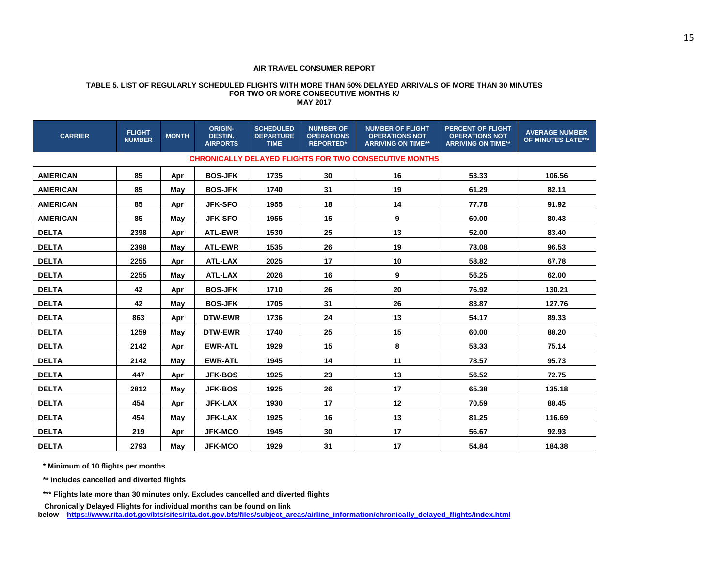#### **TABLE 5. LIST OF REGULARLY SCHEDULED FLIGHTS WITH MORE THAN 50% DELAYED ARRIVALS OF MORE THAN 30 MINUTES FOR TWO OR MORE CONSECUTIVE MONTHS K/ MAY 2017**

| <b>CARRIER</b>  | <b>FLIGHT</b><br><b>NUMBER</b> | <b>MONTH</b> | <b>ORIGIN-</b><br><b>DESTIN.</b><br><b>AIRPORTS</b> | <b>SCHEDULED</b><br><b>DEPARTURE</b><br><b>TIME</b> | <b>NUMBER OF</b><br><b>OPERATIONS</b><br><b>REPORTED*</b> | <b>NUMBER OF FLIGHT</b><br><b>OPERATIONS NOT</b><br><b>ARRIVING ON TIME**</b> | <b>PERCENT OF FLIGHT</b><br><b>OPERATIONS NOT</b><br><b>ARRIVING ON TIME**</b> | <b>AVERAGE NUMBER</b><br>OF MINUTES LATE*** |
|-----------------|--------------------------------|--------------|-----------------------------------------------------|-----------------------------------------------------|-----------------------------------------------------------|-------------------------------------------------------------------------------|--------------------------------------------------------------------------------|---------------------------------------------|
|                 |                                |              |                                                     |                                                     |                                                           | <b>CHRONICALLY DELAYED FLIGHTS FOR TWO CONSECUTIVE MONTHS</b>                 |                                                                                |                                             |
| <b>AMERICAN</b> | 85                             | Apr          | <b>BOS-JFK</b>                                      | 1735                                                | 30                                                        | 16                                                                            | 53.33                                                                          | 106.56                                      |
| <b>AMERICAN</b> | 85                             | May          | <b>BOS-JFK</b>                                      | 1740                                                | 31                                                        | 19                                                                            | 61.29                                                                          | 82.11                                       |
| <b>AMERICAN</b> | 85                             | Apr          | <b>JFK-SFO</b>                                      | 1955                                                | 18                                                        | 14                                                                            | 77.78                                                                          | 91.92                                       |
| <b>AMERICAN</b> | 85                             | May          | <b>JFK-SFO</b>                                      | 1955                                                | 15                                                        | 9                                                                             | 60.00                                                                          | 80.43                                       |
| <b>DELTA</b>    | 2398                           | Apr          | <b>ATL-EWR</b>                                      | 1530                                                | 25                                                        | 13                                                                            | 52.00                                                                          | 83.40                                       |
| <b>DELTA</b>    | 2398                           | Mav          | <b>ATL-EWR</b>                                      | 1535                                                | 26                                                        | 19                                                                            | 73.08                                                                          | 96.53                                       |
| <b>DELTA</b>    | 2255                           | Apr          | ATL-LAX                                             | 2025                                                | 17                                                        | 10                                                                            | 58.82                                                                          | 67.78                                       |
| <b>DELTA</b>    | 2255                           | May          | ATL-LAX                                             | 2026                                                | 16                                                        | 9                                                                             | 56.25                                                                          | 62.00                                       |
| <b>DELTA</b>    | 42                             | Apr          | <b>BOS-JFK</b>                                      | 1710                                                | 26                                                        | 20                                                                            | 76.92                                                                          | 130.21                                      |
| <b>DELTA</b>    | 42                             | May          | <b>BOS-JFK</b>                                      | 1705                                                | 31                                                        | 26                                                                            | 83.87                                                                          | 127.76                                      |
| <b>DELTA</b>    | 863                            | Apr          | <b>DTW-EWR</b>                                      | 1736                                                | 24                                                        | 13                                                                            | 54.17                                                                          | 89.33                                       |
| <b>DELTA</b>    | 1259                           | May          | <b>DTW-EWR</b>                                      | 1740                                                | 25                                                        | 15                                                                            | 60.00                                                                          | 88.20                                       |
| <b>DELTA</b>    | 2142                           | Apr          | <b>EWR-ATL</b>                                      | 1929                                                | 15                                                        | 8                                                                             | 53.33                                                                          | 75.14                                       |
| <b>DELTA</b>    | 2142                           | May          | <b>EWR-ATL</b>                                      | 1945                                                | 14                                                        | 11                                                                            | 78.57                                                                          | 95.73                                       |
| <b>DELTA</b>    | 447                            | Apr          | <b>JFK-BOS</b>                                      | 1925                                                | 23                                                        | 13                                                                            | 56.52                                                                          | 72.75                                       |
| <b>DELTA</b>    | 2812                           | May          | <b>JFK-BOS</b>                                      | 1925                                                | 26                                                        | 17                                                                            | 65.38                                                                          | 135.18                                      |
| <b>DELTA</b>    | 454                            | Apr          | <b>JFK-LAX</b>                                      | 1930                                                | 17                                                        | 12                                                                            | 70.59                                                                          | 88.45                                       |
| <b>DELTA</b>    | 454                            | May          | <b>JFK-LAX</b>                                      | 1925                                                | 16                                                        | 13                                                                            | 81.25                                                                          | 116.69                                      |
| <b>DELTA</b>    | 219                            | Apr          | <b>JFK-MCO</b>                                      | 1945                                                | 30                                                        | 17                                                                            | 56.67                                                                          | 92.93                                       |
| <b>DELTA</b>    | 2793                           | May          | <b>JFK-MCO</b>                                      | 1929                                                | 31                                                        | 17                                                                            | 54.84                                                                          | 184.38                                      |

**\* Minimum of 10 flights per months**

**\*\* includes cancelled and diverted flights**

**\*\*\* Flights late more than 30 minutes only. Excludes cancelled and diverted flights**

 **Chronically Delayed Flights for individual months can be found on link**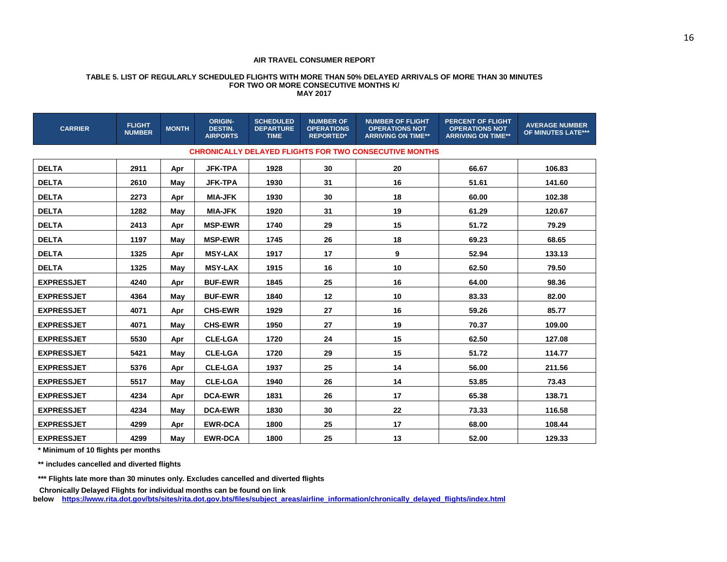#### **TABLE 5. LIST OF REGULARLY SCHEDULED FLIGHTS WITH MORE THAN 50% DELAYED ARRIVALS OF MORE THAN 30 MINUTES FOR TWO OR MORE CONSECUTIVE MONTHS K/ MAY 2017**

| <b>CARRIER</b>    | <b>FLIGHT</b><br><b>NUMBER</b>                                                                                                                                                                                                                                                                                                                                                                                                                                                                                                                                                                                 | <b>MONTH</b> | <b>ORIGIN-</b><br><b>DESTIN.</b><br><b>AIRPORTS</b> | <b>SCHEDULED</b><br><b>DEPARTURE</b><br><b>TIME</b> | <b>NUMBER OF</b><br><b>OPERATIONS</b><br><b>REPORTED*</b> | <b>NUMBER OF FLIGHT</b><br><b>OPERATIONS NOT</b><br><b>ARRIVING ON TIME**</b> | <b>PERCENT OF FLIGHT</b><br><b>OPERATIONS NOT</b><br><b>ARRIVING ON TIME**</b> | <b>AVERAGE NUMBER</b><br>OF MINUTES LATE*** |
|-------------------|----------------------------------------------------------------------------------------------------------------------------------------------------------------------------------------------------------------------------------------------------------------------------------------------------------------------------------------------------------------------------------------------------------------------------------------------------------------------------------------------------------------------------------------------------------------------------------------------------------------|--------------|-----------------------------------------------------|-----------------------------------------------------|-----------------------------------------------------------|-------------------------------------------------------------------------------|--------------------------------------------------------------------------------|---------------------------------------------|
|                   |                                                                                                                                                                                                                                                                                                                                                                                                                                                                                                                                                                                                                |              |                                                     |                                                     |                                                           | <b>CHRONICALLY DELAYED FLIGHTS FOR TWO CONSECUTIVE MONTHS</b>                 |                                                                                |                                             |
| <b>DELTA</b>      | 2911<br><b>JFK-TPA</b><br>Apr<br>2610<br><b>JFK-TPA</b><br>May<br>2273<br><b>MIA-JFK</b><br>Apr<br>1282<br>May<br><b>MIA-JFK</b><br>2413<br><b>MSP-EWR</b><br>Apr<br>1197<br><b>MSP-EWR</b><br>May<br>1325<br><b>MSY-LAX</b><br>Apr<br>1325<br><b>MSY-LAX</b><br>May<br>4240<br><b>BUF-EWR</b><br>Apr<br>4364<br>May<br><b>BUF-EWR</b><br>4071<br><b>CHS-EWR</b><br>Apr<br>4071<br><b>CHS-EWR</b><br>May<br>5530<br><b>CLE-LGA</b><br>Apr<br>5421<br>May<br><b>CLE-LGA</b><br>5376<br><b>CLE-LGA</b><br>Apr<br><b>CLE-LGA</b><br>5517<br>May<br>4234<br><b>DCA-EWR</b><br>Apr<br>4234<br><b>DCA-EWR</b><br>Mav |              | 1928                                                | 30                                                  | 20                                                        | 66.67                                                                         | 106.83                                                                         |                                             |
| <b>DELTA</b>      |                                                                                                                                                                                                                                                                                                                                                                                                                                                                                                                                                                                                                |              |                                                     | 1930                                                | 31                                                        | 16                                                                            | 51.61                                                                          | 141.60                                      |
| <b>DELTA</b>      |                                                                                                                                                                                                                                                                                                                                                                                                                                                                                                                                                                                                                |              |                                                     | 1930                                                | 30                                                        | 18                                                                            | 60.00                                                                          | 102.38                                      |
| <b>DELTA</b>      |                                                                                                                                                                                                                                                                                                                                                                                                                                                                                                                                                                                                                |              |                                                     | 1920                                                | 31                                                        | 19                                                                            | 61.29                                                                          | 120.67                                      |
| <b>DELTA</b>      |                                                                                                                                                                                                                                                                                                                                                                                                                                                                                                                                                                                                                |              |                                                     | 1740                                                | 29                                                        | 15                                                                            | 51.72                                                                          | 79.29                                       |
| <b>DELTA</b>      |                                                                                                                                                                                                                                                                                                                                                                                                                                                                                                                                                                                                                |              |                                                     | 1745                                                | 26                                                        | 18                                                                            | 69.23                                                                          | 68.65                                       |
| <b>DELTA</b>      |                                                                                                                                                                                                                                                                                                                                                                                                                                                                                                                                                                                                                |              |                                                     | 1917                                                | 17                                                        | 9                                                                             | 52.94                                                                          | 133.13                                      |
| <b>DELTA</b>      |                                                                                                                                                                                                                                                                                                                                                                                                                                                                                                                                                                                                                |              |                                                     | 1915                                                | 16                                                        | 10                                                                            | 62.50                                                                          | 79.50                                       |
| <b>EXPRESSJET</b> |                                                                                                                                                                                                                                                                                                                                                                                                                                                                                                                                                                                                                |              |                                                     | 1845                                                | 25                                                        | 16                                                                            | 64.00                                                                          | 98.36                                       |
| <b>EXPRESSJET</b> |                                                                                                                                                                                                                                                                                                                                                                                                                                                                                                                                                                                                                |              |                                                     | 1840                                                | 12                                                        | 10                                                                            | 83.33                                                                          | 82.00                                       |
| <b>EXPRESSJET</b> |                                                                                                                                                                                                                                                                                                                                                                                                                                                                                                                                                                                                                |              |                                                     | 1929                                                | 27                                                        | 16                                                                            | 59.26                                                                          | 85.77                                       |
| <b>EXPRESSJET</b> |                                                                                                                                                                                                                                                                                                                                                                                                                                                                                                                                                                                                                |              |                                                     | 1950                                                | 27                                                        | 19                                                                            | 70.37                                                                          | 109.00                                      |
| <b>EXPRESSJET</b> |                                                                                                                                                                                                                                                                                                                                                                                                                                                                                                                                                                                                                |              |                                                     | 1720                                                | 24                                                        | 15                                                                            | 62.50                                                                          | 127.08                                      |
| <b>EXPRESSJET</b> |                                                                                                                                                                                                                                                                                                                                                                                                                                                                                                                                                                                                                |              |                                                     | 1720                                                | 29                                                        | 15                                                                            | 51.72                                                                          | 114.77                                      |
| <b>EXPRESSJET</b> |                                                                                                                                                                                                                                                                                                                                                                                                                                                                                                                                                                                                                |              |                                                     | 1937                                                | 25                                                        | 14                                                                            | 56.00                                                                          | 211.56                                      |
| <b>EXPRESSJET</b> |                                                                                                                                                                                                                                                                                                                                                                                                                                                                                                                                                                                                                |              |                                                     | 1940                                                | 26                                                        | 14                                                                            | 53.85                                                                          | 73.43                                       |
| <b>EXPRESSJET</b> |                                                                                                                                                                                                                                                                                                                                                                                                                                                                                                                                                                                                                |              |                                                     | 1831                                                | 26                                                        | 17                                                                            | 65.38                                                                          | 138.71                                      |
| <b>EXPRESSJET</b> |                                                                                                                                                                                                                                                                                                                                                                                                                                                                                                                                                                                                                |              |                                                     | 1830                                                | 30                                                        | 22                                                                            | 73.33                                                                          | 116.58                                      |
| <b>EXPRESSJET</b> | 4299                                                                                                                                                                                                                                                                                                                                                                                                                                                                                                                                                                                                           | Apr          | <b>EWR-DCA</b>                                      | 1800                                                | 25                                                        | 17                                                                            | 68.00                                                                          | 108.44                                      |
| <b>EXPRESSJET</b> | 4299                                                                                                                                                                                                                                                                                                                                                                                                                                                                                                                                                                                                           | Mav          | <b>EWR-DCA</b>                                      | 1800                                                | 25                                                        | 13                                                                            | 52.00                                                                          | 129.33                                      |

**\* Minimum of 10 flights per months**

**\*\* includes cancelled and diverted flights**

**\*\*\* Flights late more than 30 minutes only. Excludes cancelled and diverted flights**

 **Chronically Delayed Flights for individual months can be found on link**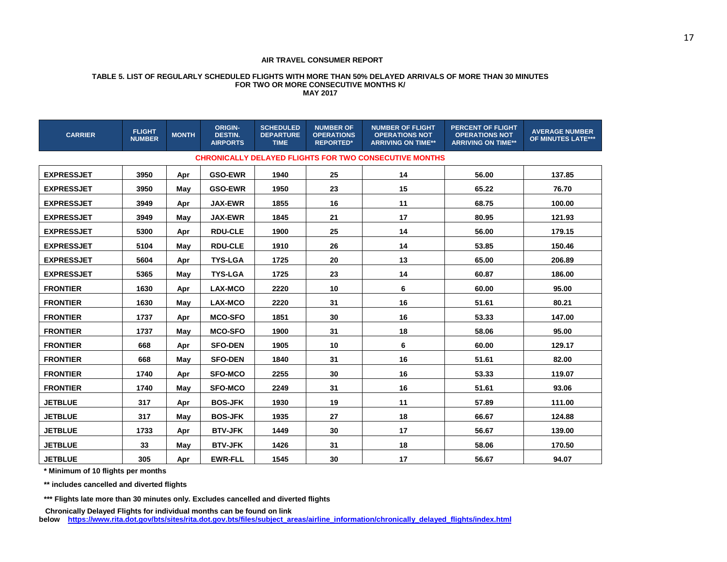#### **TABLE 5. LIST OF REGULARLY SCHEDULED FLIGHTS WITH MORE THAN 50% DELAYED ARRIVALS OF MORE THAN 30 MINUTES FOR TWO OR MORE CONSECUTIVE MONTHS K/ MAY 2017**

| <b>CARRIER</b>    | <b>FLIGHT</b><br><b>NUMBER</b> | <b>MONTH</b> | <b>ORIGIN-</b><br><b>DESTIN.</b><br><b>AIRPORTS</b> | <b>SCHEDULED</b><br><b>DEPARTURE</b><br><b>TIME</b> | <b>NUMBER OF</b><br><b>NUMBER OF FLIGHT</b><br><b>OPERATIONS</b><br><b>OPERATIONS NOT</b><br><b>REPORTED*</b><br><b>ARRIVING ON TIME**</b> |                                                               | <b>PERCENT OF FLIGHT</b><br><b>OPERATIONS NOT</b><br><b>ARRIVING ON TIME**</b> | <b>AVERAGE NUMBER</b><br><b>OF MINUTES LATE***</b> |
|-------------------|--------------------------------|--------------|-----------------------------------------------------|-----------------------------------------------------|--------------------------------------------------------------------------------------------------------------------------------------------|---------------------------------------------------------------|--------------------------------------------------------------------------------|----------------------------------------------------|
|                   |                                |              |                                                     |                                                     |                                                                                                                                            | <b>CHRONICALLY DELAYED FLIGHTS FOR TWO CONSECUTIVE MONTHS</b> |                                                                                |                                                    |
| <b>EXPRESSJET</b> | 3950                           | Apr          | <b>GSO-EWR</b>                                      | 1940                                                | 25                                                                                                                                         | 14                                                            | 56.00                                                                          | 137.85                                             |
| <b>EXPRESSJET</b> | 3950                           | May          | <b>GSO-EWR</b>                                      | 1950                                                | 23                                                                                                                                         | 15                                                            | 65.22                                                                          | 76.70                                              |
| <b>EXPRESSJET</b> | 3949                           | Apr          | <b>JAX-EWR</b>                                      | 1855                                                | 16                                                                                                                                         | 11                                                            | 68.75                                                                          | 100.00                                             |
| <b>EXPRESSJET</b> | 3949                           | May          | <b>JAX-EWR</b>                                      | 1845                                                | 21                                                                                                                                         | 17                                                            | 80.95                                                                          | 121.93                                             |
| <b>EXPRESSJET</b> | 5300                           | Apr          | <b>RDU-CLE</b>                                      | 1900                                                | 25                                                                                                                                         | 14                                                            | 56.00                                                                          | 179.15                                             |
| <b>EXPRESSJET</b> | 5104                           | May          | <b>RDU-CLE</b>                                      | 1910                                                | 26                                                                                                                                         | 14                                                            | 53.85                                                                          | 150.46                                             |
| <b>EXPRESSJET</b> | 5604                           | Apr          | <b>TYS-LGA</b>                                      | 1725                                                | 20                                                                                                                                         | 13                                                            | 65.00                                                                          | 206.89                                             |
| <b>EXPRESSJET</b> | 5365                           | Mav          | <b>TYS-LGA</b>                                      | 1725                                                | 23                                                                                                                                         | 14                                                            | 60.87                                                                          | 186.00                                             |
| <b>FRONTIER</b>   | 1630                           | Apr          | <b>LAX-MCO</b>                                      | 2220                                                | 10                                                                                                                                         | 6                                                             | 60.00                                                                          | 95.00                                              |
| <b>FRONTIER</b>   | 1630                           | May          | <b>LAX-MCO</b>                                      | 2220                                                | 31                                                                                                                                         | 16                                                            | 51.61                                                                          | 80.21                                              |
| <b>FRONTIER</b>   | 1737                           | Apr          | <b>MCO-SFO</b>                                      | 1851                                                | 30                                                                                                                                         | 16                                                            | 53.33                                                                          | 147.00                                             |
| <b>FRONTIER</b>   | 1737                           | May          | <b>MCO-SFO</b>                                      | 1900                                                | 31                                                                                                                                         | 18                                                            | 58.06                                                                          | 95.00                                              |
| <b>FRONTIER</b>   | 668                            | Apr          | <b>SFO-DEN</b>                                      | 1905                                                | 10                                                                                                                                         | 6                                                             | 60.00                                                                          | 129.17                                             |
| <b>FRONTIER</b>   | 668                            | May          | <b>SFO-DEN</b>                                      | 1840                                                | 31                                                                                                                                         | 16                                                            | 51.61                                                                          | 82.00                                              |
| <b>FRONTIER</b>   | 1740                           | Apr          | <b>SFO-MCO</b>                                      | 2255                                                | 30                                                                                                                                         | 16                                                            | 53.33                                                                          | 119.07                                             |
| <b>FRONTIER</b>   | 1740                           | May          | <b>SFO-MCO</b>                                      | 2249                                                | 31                                                                                                                                         | 16                                                            | 51.61                                                                          | 93.06                                              |
| <b>JETBLUE</b>    | 317                            | Apr          | <b>BOS-JFK</b>                                      | 1930                                                | 19                                                                                                                                         | 11                                                            | 57.89                                                                          | 111.00                                             |
| <b>JETBLUE</b>    | 317                            | May          | <b>BOS-JFK</b>                                      | 1935                                                | 27                                                                                                                                         | 18                                                            | 66.67                                                                          | 124.88                                             |
| <b>JETBLUE</b>    | 1733                           | Apr          | <b>BTV-JFK</b>                                      | 1449                                                | 30                                                                                                                                         | 17                                                            | 56.67                                                                          | 139.00                                             |
| <b>JETBLUE</b>    | 33                             | May          | <b>BTV-JFK</b>                                      | 1426                                                | 31                                                                                                                                         | 18                                                            | 58.06                                                                          | 170.50                                             |
| <b>JETBLUE</b>    | 305                            | Apr          | <b>EWR-FLL</b>                                      | 1545                                                | 30                                                                                                                                         | 17                                                            | 56.67                                                                          | 94.07                                              |

**\* Minimum of 10 flights per months**

**\*\* includes cancelled and diverted flights**

**\*\*\* Flights late more than 30 minutes only. Excludes cancelled and diverted flights**

 **Chronically Delayed Flights for individual months can be found on link**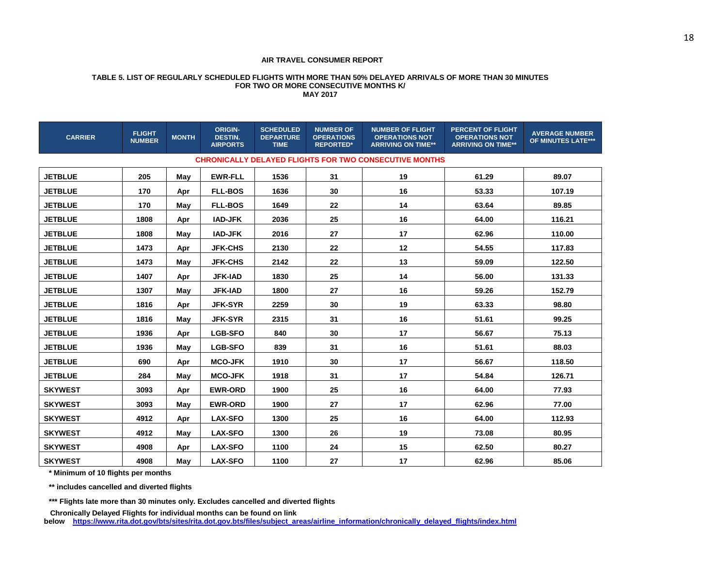#### **TABLE 5. LIST OF REGULARLY SCHEDULED FLIGHTS WITH MORE THAN 50% DELAYED ARRIVALS OF MORE THAN 30 MINUTES FOR TWO OR MORE CONSECUTIVE MONTHS K/ MAY 2017**

**CARRIER FLIGHT NUMBER MONTH ORIGIN-DESTIN. AIRPORTS SCHEDULED DEPARTURE TIME NUMBER OF OPERATIONS REPORTED\* NUMBER OF FLIGHT OPERATIONS NOT ARRIVING ON TIME\*\* PERCENT OF FLIGHT OPERATIONS NOT ARRIVING ON TIME\*\* AVERAGE NUMBER OF MINUTES LATE\*\*\* CHRONICALLY DELAYED FLIGHTS FOR TWO CONSECUTIVE MONTHS JETBLUE 205 May EWR-FLL 1536 31 19 61.29 89.07 JETBLUE 170 Apr FLL-BOS 1636 30 16 53.33 107.19 JETBLUE 170 May FLL-BOS 1649 22 14 63.64 89.85 JETBLUE 1808 Apr IAD-JFK 2036 25 16 64.00 116.21 JETBLUE 1808 May IAD-JFK 2016 27 17 62.96 110.00 JETBLUE 1473 Apr JFK-CHS 2130 22 12 54.55 117.83 JETBLUE 1473 May JFK-CHS 2142 22 13 59.09 122.50 JETBLUE 1407 Apr JFK-IAD 1830 25 14 56.00 131.33 JETBLUE 1307 May JFK-IAD 1800 27 16 59.26 152.79 JETBLUE 1816 Apr JFK-SYR 2259 30 19 63.33 98.80 JETBLUE 1816 May JFK-SYR 2315 31 16 51.61 99.25 JETBLUE 1936 Apr LGB-SFO 840 30 17 56.67 75.13 JETBLUE 1936 May LGB-SFO 839 31 16 51.61 88.03 JETBLUE 690 Apr MCO-JFK 1910 30 17 56.67 118.50 JETBLUE 284 May MCO-JFK 1918 31 17 54.84 126.71 SKYWEST 3093 Apr EWR-ORD 1900 25 16 64.00 77.93 SKYWEST 3093 May EWR-ORD 1900 27 17 62.96 77.00 SKYWEST 4912 Apr LAX-SFO 1300 25 16 64.00 112.93 SKYWEST 4912 May LAX-SFO 1300 26 19 73.08 80.95 SKYWEST 4908 Apr LAX-SFO 1100 24 15 62.50 80.27 SKYWEST 4908 May LAX-SFO 1100 27 17 62.96 85.06**

**\* Minimum of 10 flights per months**

**\*\* includes cancelled and diverted flights**

**\*\*\* Flights late more than 30 minutes only. Excludes cancelled and diverted flights**

 **Chronically Delayed Flights for individual months can be found on link**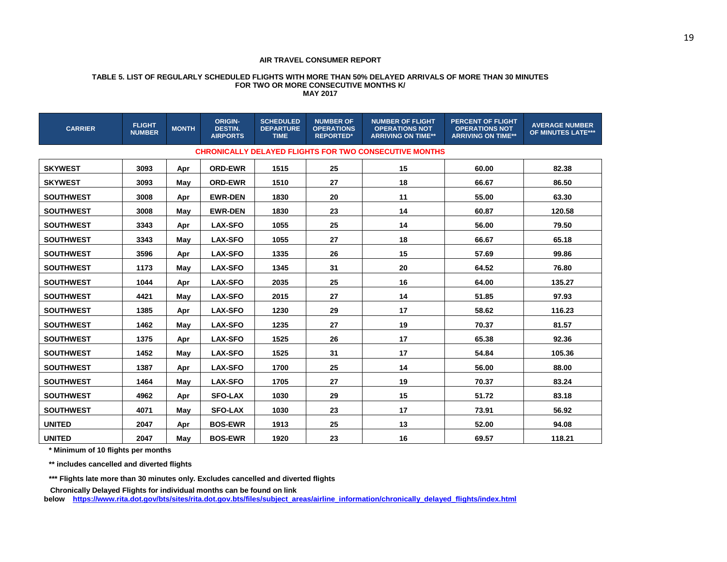#### **TABLE 5. LIST OF REGULARLY SCHEDULED FLIGHTS WITH MORE THAN 50% DELAYED ARRIVALS OF MORE THAN 30 MINUTES FOR TWO OR MORE CONSECUTIVE MONTHS K/ MAY 2017**

| <b>CARRIER</b>   | <b>FLIGHT</b><br><b>NUMBER</b> | <b>MONTH</b> | <b>ORIGIN-</b><br><b>DESTIN.</b><br><b>AIRPORTS</b> | <b>SCHEDULED</b><br><b>DEPARTURE</b><br><b>TIME</b> | <b>NUMBER OF</b><br><b>OPERATIONS</b><br><b>REPORTED*</b> | <b>NUMBER OF FLIGHT</b><br><b>OPERATIONS NOT</b><br><b>ARRIVING ON TIME**</b> | <b>PERCENT OF FLIGHT</b><br><b>OPERATIONS NOT</b><br><b>ARRIVING ON TIME**</b> | <b>AVERAGE NUMBER</b><br>OF MINUTES LATE*** |
|------------------|--------------------------------|--------------|-----------------------------------------------------|-----------------------------------------------------|-----------------------------------------------------------|-------------------------------------------------------------------------------|--------------------------------------------------------------------------------|---------------------------------------------|
|                  |                                |              |                                                     |                                                     |                                                           | <b>CHRONICALLY DELAYED FLIGHTS FOR TWO CONSECUTIVE MONTHS</b>                 |                                                                                |                                             |
| <b>SKYWEST</b>   | 3093                           | Apr          | <b>ORD-EWR</b>                                      | 1515                                                | 25                                                        | 15                                                                            | 60.00                                                                          | 82.38                                       |
| <b>SKYWEST</b>   | 3093                           | May          | <b>ORD-EWR</b>                                      | 1510                                                | 27                                                        | 18                                                                            | 66.67                                                                          | 86.50                                       |
| <b>SOUTHWEST</b> | 3008                           | Apr          | <b>EWR-DEN</b>                                      | 1830                                                | 20                                                        | 11                                                                            | 55.00                                                                          | 63.30                                       |
| <b>SOUTHWEST</b> | 3008                           | May          | <b>EWR-DEN</b>                                      | 1830                                                | 23                                                        | 14                                                                            | 60.87                                                                          | 120.58                                      |
| <b>SOUTHWEST</b> | 3343                           | Apr          | <b>LAX-SFO</b>                                      | 1055                                                | 25                                                        | 14                                                                            | 56.00                                                                          | 79.50                                       |
| <b>SOUTHWEST</b> | 3343                           | May          | <b>LAX-SFO</b>                                      | 1055                                                | 27                                                        | 18                                                                            | 66.67                                                                          | 65.18                                       |
| <b>SOUTHWEST</b> | 3596                           | Apr          | <b>LAX-SFO</b>                                      | 1335                                                | 26                                                        | 15                                                                            | 57.69                                                                          | 99.86                                       |
| <b>SOUTHWEST</b> | 1173                           | May          | <b>LAX-SFO</b>                                      | 1345                                                | 31                                                        | 20                                                                            | 64.52                                                                          | 76.80                                       |
| <b>SOUTHWEST</b> | 1044                           | Apr          | <b>LAX-SFO</b>                                      | 2035                                                | 25                                                        | 16                                                                            | 64.00                                                                          | 135.27                                      |
| <b>SOUTHWEST</b> | 4421                           | May          | <b>LAX-SFO</b>                                      | 2015                                                | 27                                                        | 14                                                                            | 51.85                                                                          | 97.93                                       |
| <b>SOUTHWEST</b> | 1385                           | Apr          | <b>LAX-SFO</b>                                      | 1230                                                | 29                                                        | 17                                                                            | 58.62                                                                          | 116.23                                      |
| <b>SOUTHWEST</b> | 1462                           | May          | <b>LAX-SFO</b>                                      | 1235                                                | 27                                                        | 19                                                                            | 70.37                                                                          | 81.57                                       |
| <b>SOUTHWEST</b> | 1375                           | Apr          | <b>LAX-SFO</b>                                      | 1525                                                | 26                                                        | 17                                                                            | 65.38                                                                          | 92.36                                       |
| <b>SOUTHWEST</b> | 1452                           | May          | <b>LAX-SFO</b>                                      | 1525                                                | 31                                                        | 17                                                                            | 54.84                                                                          | 105.36                                      |
| <b>SOUTHWEST</b> | 1387                           | Apr          | <b>LAX-SFO</b>                                      | 1700                                                | 25                                                        | 14                                                                            | 56.00                                                                          | 88.00                                       |
| <b>SOUTHWEST</b> | 1464                           | May          | <b>LAX-SFO</b>                                      | 1705                                                | 27                                                        | 19                                                                            | 70.37                                                                          | 83.24                                       |
| <b>SOUTHWEST</b> | 4962                           | Apr          | <b>SFO-LAX</b>                                      | 1030                                                | 29                                                        | 15                                                                            | 51.72                                                                          | 83.18                                       |
| <b>SOUTHWEST</b> | 4071                           | May          | <b>SFO-LAX</b>                                      | 1030                                                | 23                                                        | 17                                                                            | 73.91                                                                          | 56.92                                       |
| <b>UNITED</b>    | 2047                           | Apr          | <b>BOS-EWR</b>                                      | 1913                                                | 25                                                        | 13                                                                            | 52.00                                                                          | 94.08                                       |
| <b>UNITED</b>    | 2047                           | Mav          | <b>BOS-EWR</b>                                      | 1920                                                | 23                                                        | 16                                                                            | 69.57                                                                          | 118.21                                      |

**\* Minimum of 10 flights per months**

**\*\* includes cancelled and diverted flights**

**\*\*\* Flights late more than 30 minutes only. Excludes cancelled and diverted flights**

 **Chronically Delayed Flights for individual months can be found on link**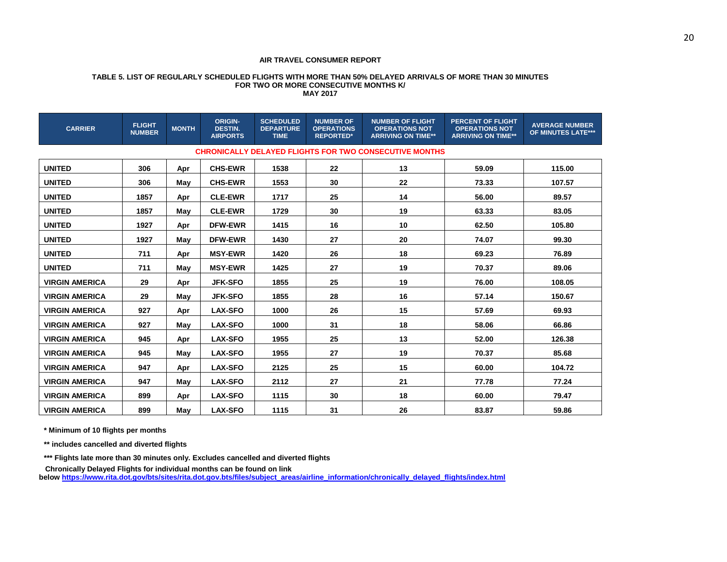#### **TABLE 5. LIST OF REGULARLY SCHEDULED FLIGHTS WITH MORE THAN 50% DELAYED ARRIVALS OF MORE THAN 30 MINUTES FOR TWO OR MORE CONSECUTIVE MONTHS K/ MAY 2017**

| <b>CARRIER</b>                                                                                                                                                                                                                                                                                                                                                                                                                                                                                                                                                                                                                                                                                                                                                                                                                                                                              | <b>FLIGHT</b><br><b>NUMBER</b> | <b>MONTH</b> | <b>ORIGIN-</b><br><b>DESTIN.</b><br><b>AIRPORTS</b> | <b>SCHEDULED</b><br><b>DEPARTURE</b><br><b>TIME</b> | <b>NUMBER OF</b><br><b>OPERATIONS</b><br><b>REPORTED*</b> | <b>NUMBER OF FLIGHT</b><br><b>OPERATIONS NOT</b><br><b>ARRIVING ON TIME**</b> | <b>PERCENT OF FLIGHT</b><br><b>OPERATIONS NOT</b><br><b>ARRIVING ON TIME**</b> | <b>AVERAGE NUMBER</b><br>OF MINUTES LATE*** |  |  |
|---------------------------------------------------------------------------------------------------------------------------------------------------------------------------------------------------------------------------------------------------------------------------------------------------------------------------------------------------------------------------------------------------------------------------------------------------------------------------------------------------------------------------------------------------------------------------------------------------------------------------------------------------------------------------------------------------------------------------------------------------------------------------------------------------------------------------------------------------------------------------------------------|--------------------------------|--------------|-----------------------------------------------------|-----------------------------------------------------|-----------------------------------------------------------|-------------------------------------------------------------------------------|--------------------------------------------------------------------------------|---------------------------------------------|--|--|
|                                                                                                                                                                                                                                                                                                                                                                                                                                                                                                                                                                                                                                                                                                                                                                                                                                                                                             |                                |              |                                                     |                                                     |                                                           |                                                                               |                                                                                |                                             |  |  |
| <b>CHRONICALLY DELAYED FLIGHTS FOR TWO CONSECUTIVE MONTHS</b><br><b>UNITED</b><br><b>CHS-EWR</b><br>115.00<br>306<br>1538<br>22<br>13<br>59.09<br>Apr<br><b>UNITED</b><br><b>CHS-EWR</b><br>22<br>107.57<br>306<br>1553<br>30<br>73.33<br>May<br><b>UNITED</b><br>1857<br><b>CLE-EWR</b><br>25<br>14<br>56.00<br>1717<br>89.57<br>Apr<br><b>UNITED</b><br>1857<br>1729<br>19<br>63.33<br>83.05<br><b>CLE-EWR</b><br>30<br>Mav<br><b>UNITED</b><br>1927<br><b>DFW-EWR</b><br>1415<br>16<br>10<br>62.50<br>105.80<br>Apr<br><b>UNITED</b><br>1927<br><b>DFW-EWR</b><br>27<br>20<br>74.07<br>99.30<br>1430<br>May<br><b>UNITED</b><br>711<br><b>MSY-EWR</b><br>26<br>18<br>1420<br>69.23<br>76.89<br>Apr<br>19<br><b>UNITED</b><br>711<br><b>MSY-EWR</b><br>1425<br>27<br>70.37<br>89.06<br>May<br>25<br><b>VIRGIN AMERICA</b><br>29<br><b>JFK-SFO</b><br>1855<br>19<br>76.00<br>108.05<br>Apr |                                |              |                                                     |                                                     |                                                           |                                                                               |                                                                                |                                             |  |  |
|                                                                                                                                                                                                                                                                                                                                                                                                                                                                                                                                                                                                                                                                                                                                                                                                                                                                                             |                                |              |                                                     |                                                     |                                                           |                                                                               |                                                                                |                                             |  |  |
|                                                                                                                                                                                                                                                                                                                                                                                                                                                                                                                                                                                                                                                                                                                                                                                                                                                                                             |                                |              |                                                     |                                                     |                                                           |                                                                               |                                                                                |                                             |  |  |
|                                                                                                                                                                                                                                                                                                                                                                                                                                                                                                                                                                                                                                                                                                                                                                                                                                                                                             |                                |              |                                                     |                                                     |                                                           |                                                                               |                                                                                |                                             |  |  |
|                                                                                                                                                                                                                                                                                                                                                                                                                                                                                                                                                                                                                                                                                                                                                                                                                                                                                             |                                |              |                                                     |                                                     |                                                           |                                                                               |                                                                                |                                             |  |  |
|                                                                                                                                                                                                                                                                                                                                                                                                                                                                                                                                                                                                                                                                                                                                                                                                                                                                                             |                                |              |                                                     |                                                     |                                                           |                                                                               |                                                                                |                                             |  |  |
|                                                                                                                                                                                                                                                                                                                                                                                                                                                                                                                                                                                                                                                                                                                                                                                                                                                                                             |                                |              |                                                     |                                                     |                                                           |                                                                               |                                                                                |                                             |  |  |
|                                                                                                                                                                                                                                                                                                                                                                                                                                                                                                                                                                                                                                                                                                                                                                                                                                                                                             |                                |              |                                                     |                                                     |                                                           |                                                                               |                                                                                |                                             |  |  |
|                                                                                                                                                                                                                                                                                                                                                                                                                                                                                                                                                                                                                                                                                                                                                                                                                                                                                             |                                |              |                                                     |                                                     |                                                           |                                                                               |                                                                                |                                             |  |  |
| <b>VIRGIN AMERICA</b>                                                                                                                                                                                                                                                                                                                                                                                                                                                                                                                                                                                                                                                                                                                                                                                                                                                                       | 29                             | May          | <b>JFK-SFO</b>                                      | 1855                                                | 28                                                        | 16                                                                            | 57.14                                                                          | 150.67                                      |  |  |
| <b>VIRGIN AMERICA</b>                                                                                                                                                                                                                                                                                                                                                                                                                                                                                                                                                                                                                                                                                                                                                                                                                                                                       | 927                            | Apr          | <b>LAX-SFO</b>                                      | 1000                                                | 26                                                        | 15                                                                            | 57.69                                                                          | 69.93                                       |  |  |
| <b>VIRGIN AMERICA</b>                                                                                                                                                                                                                                                                                                                                                                                                                                                                                                                                                                                                                                                                                                                                                                                                                                                                       | 927                            | May          | <b>LAX-SFO</b>                                      | 1000                                                | 31                                                        | 18                                                                            | 58.06                                                                          | 66.86                                       |  |  |
| <b>VIRGIN AMERICA</b>                                                                                                                                                                                                                                                                                                                                                                                                                                                                                                                                                                                                                                                                                                                                                                                                                                                                       | 945                            | Apr          | <b>LAX-SFO</b>                                      | 1955                                                | 25                                                        | 13                                                                            | 52.00                                                                          | 126.38                                      |  |  |
| <b>VIRGIN AMERICA</b>                                                                                                                                                                                                                                                                                                                                                                                                                                                                                                                                                                                                                                                                                                                                                                                                                                                                       | 945                            | May          | <b>LAX-SFO</b>                                      | 1955                                                | 27                                                        | 19                                                                            | 70.37                                                                          | 85.68                                       |  |  |
| <b>VIRGIN AMERICA</b>                                                                                                                                                                                                                                                                                                                                                                                                                                                                                                                                                                                                                                                                                                                                                                                                                                                                       | 947                            | Apr          | <b>LAX-SFO</b>                                      | 2125                                                | 25                                                        | 15                                                                            | 60.00                                                                          | 104.72                                      |  |  |
| <b>VIRGIN AMERICA</b>                                                                                                                                                                                                                                                                                                                                                                                                                                                                                                                                                                                                                                                                                                                                                                                                                                                                       | 947                            | May          | <b>LAX-SFO</b>                                      | 2112                                                | 27                                                        | 21                                                                            | 77.78                                                                          | 77.24                                       |  |  |
| <b>VIRGIN AMERICA</b>                                                                                                                                                                                                                                                                                                                                                                                                                                                                                                                                                                                                                                                                                                                                                                                                                                                                       | 899                            | Apr          | <b>LAX-SFO</b>                                      | 1115                                                | 30                                                        | 18                                                                            | 60.00                                                                          | 79.47                                       |  |  |
| <b>VIRGIN AMERICA</b>                                                                                                                                                                                                                                                                                                                                                                                                                                                                                                                                                                                                                                                                                                                                                                                                                                                                       | 899                            | May          | <b>LAX-SFO</b>                                      | 1115                                                | 31                                                        | 26                                                                            | 83.87                                                                          | 59.86                                       |  |  |

**\* Minimum of 10 flights per months**

**\*\* includes cancelled and diverted flights**

**\*\*\* Flights late more than 30 minutes only. Excludes cancelled and diverted flights**

 **Chronically Delayed Flights for individual months can be found on link**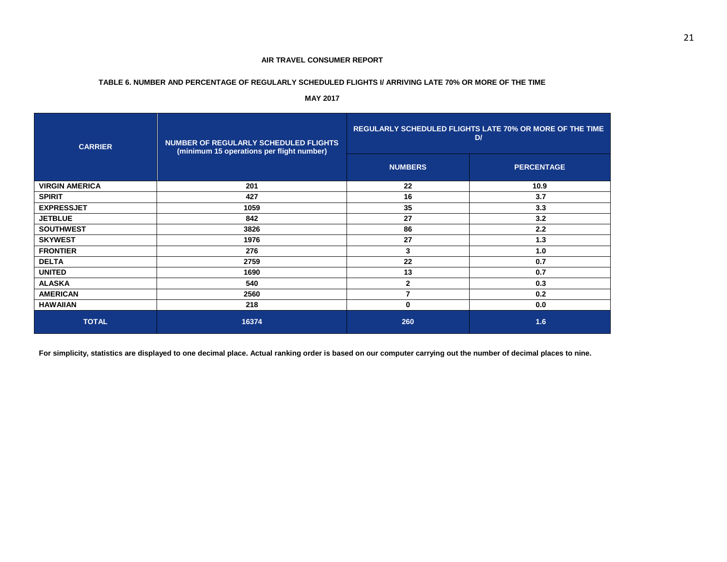# **TABLE 6. NUMBER AND PERCENTAGE OF REGULARLY SCHEDULED FLIGHTS I/ ARRIVING LATE 70% OR MORE OF THE TIME**

#### **MAY 2017**

| <b>CARRIER</b>        | <b>NUMBER OF REGULARLY SCHEDULED FLIGHTS</b><br>(minimum 15 operations per flight number) | <b>REGULARLY SCHEDULED FLIGHTS LATE 70% OR MORE OF THE TIME</b><br>D/ |                   |  |  |  |
|-----------------------|-------------------------------------------------------------------------------------------|-----------------------------------------------------------------------|-------------------|--|--|--|
|                       |                                                                                           | <b>NUMBERS</b>                                                        | <b>PERCENTAGE</b> |  |  |  |
| <b>VIRGIN AMERICA</b> | 201                                                                                       | 22                                                                    | 10.9              |  |  |  |
| <b>SPIRIT</b>         | 427                                                                                       | 16                                                                    | 3.7               |  |  |  |
| <b>EXPRESSJET</b>     | 1059                                                                                      | 35                                                                    | 3.3               |  |  |  |
| <b>JETBLUE</b>        | 842                                                                                       | 27                                                                    | 3.2               |  |  |  |
| <b>SOUTHWEST</b>      | 3826                                                                                      | 86                                                                    | 2.2               |  |  |  |
| <b>SKYWEST</b>        | 1976                                                                                      | 27                                                                    | 1.3               |  |  |  |
| <b>FRONTIER</b>       | 276                                                                                       | 3                                                                     | 1.0               |  |  |  |
| <b>DELTA</b>          | 2759                                                                                      | 22                                                                    | 0.7               |  |  |  |
| <b>UNITED</b>         | 1690                                                                                      | 13                                                                    | 0.7               |  |  |  |
| <b>ALASKA</b>         | 540                                                                                       | $\mathbf{2}$                                                          | 0.3               |  |  |  |
| <b>AMERICAN</b>       | 2560                                                                                      | $\overline{7}$                                                        | 0.2               |  |  |  |
| <b>HAWAIIAN</b>       | 218                                                                                       | $\mathbf 0$                                                           | 0.0               |  |  |  |
| <b>TOTAL</b>          | 16374                                                                                     | 260                                                                   | 1.6               |  |  |  |

**For simplicity, statistics are displayed to one decimal place. Actual ranking order is based on our computer carrying out the number of decimal places to nine.**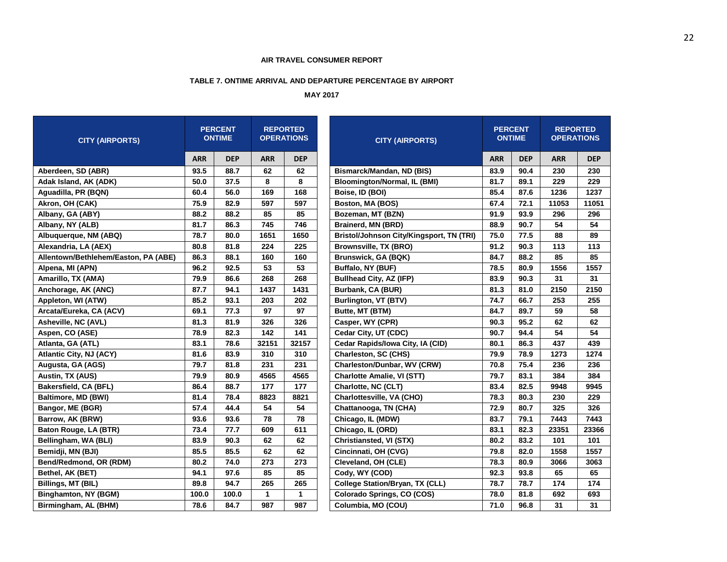#### **TABLE 7. ONTIME ARRIVAL AND DEPARTURE PERCENTAGE BY AIRPORT**

| <b>CITY (AIRPORTS)</b>               |            | <b>PERCENT</b><br><b>ONTIME</b> |              | <b>REPORTED</b><br><b>OPERATIONS</b> | <b>CITY (AIRPORTS)</b>                   | <b>PERCENT</b><br><b>ONTIME</b> |            | <b>REPORTED</b><br><b>OPERATIONS</b> |            |
|--------------------------------------|------------|---------------------------------|--------------|--------------------------------------|------------------------------------------|---------------------------------|------------|--------------------------------------|------------|
|                                      | <b>ARR</b> | <b>DEP</b>                      | <b>ARR</b>   | <b>DEP</b>                           |                                          | <b>ARR</b>                      | <b>DEP</b> | <b>ARR</b>                           | <b>DEP</b> |
| Aberdeen, SD (ABR)                   | 93.5       | 88.7                            | 62           | 62                                   | Bismarck/Mandan, ND (BIS)                | 83.9                            | 90.4       | 230                                  | 230        |
| Adak Island, AK (ADK)                | 50.0       | 37.5                            | 8            | 8                                    | Bloomington/Normal, IL (BMI)             | 81.7                            | 89.1       | 229                                  | 229        |
| Aguadilla, PR (BQN)                  | 60.4       | 56.0                            | 169          | 168                                  | Boise, ID (BOI)                          | 85.4                            | 87.6       | 1236                                 | 1237       |
| Akron, OH (CAK)                      | 75.9       | 82.9                            | 597          | 597                                  | Boston, MA (BOS)                         | 67.4                            | 72.1       | 11053                                | 11051      |
| Albany, GA (ABY)                     | 88.2       | 88.2                            | 85           | 85                                   | Bozeman, MT (BZN)                        | 91.9                            | 93.9       | 296                                  | 296        |
| Albany, NY (ALB)                     | 81.7       | 86.3                            | 745          | 746                                  | <b>Brainerd, MN (BRD)</b>                | 88.9                            | 90.7       | 54                                   | 54         |
| Albuquerque, NM (ABQ)                | 78.7       | 80.0                            | 1651         | 1650                                 | Bristol/Johnson City/Kingsport, TN (TRI) | 75.0                            | 77.5       | 88                                   | 89         |
| Alexandria, LA (AEX)                 | 80.8       | 81.8                            | 224          | 225                                  | <b>Brownsville, TX (BRO)</b>             | 91.2                            | 90.3       | 113                                  | 113        |
| Allentown/Bethlehem/Easton, PA (ABE) | 86.3       | 88.1                            | 160          | 160                                  | <b>Brunswick, GA (BQK)</b>               | 84.7                            | 88.2       | 85                                   | 85         |
| Alpena, MI (APN)                     | 96.2       | 92.5                            | 53           | 53                                   | Buffalo, NY (BUF)                        | 78.5                            | 80.9       | 1556                                 | 1557       |
| Amarillo, TX (AMA)                   | 79.9       | 86.6                            | 268          | 268                                  | <b>Bullhead City, AZ (IFP)</b>           | 83.9                            | 90.3       | 31                                   | 31         |
| Anchorage, AK (ANC)                  | 87.7       | 94.1                            | 1437         | 1431                                 | Burbank, CA (BUR)                        | 81.3                            | 81.0       | 2150                                 | 2150       |
| Appleton, WI (ATW)                   | 85.2       | 93.1                            | 203          | 202                                  | Burlington, VT (BTV)                     | 74.7                            | 66.7       | 253                                  | 255        |
| Arcata/Eureka, CA (ACV)              | 69.1       | 77.3                            | 97           | 97                                   | Butte, MT (BTM)                          | 84.7                            | 89.7       | 59                                   | 58         |
| Asheville, NC (AVL)                  | 81.3       | 81.9                            | 326          | 326                                  | Casper, WY (CPR)                         | 90.3                            | 95.2       | 62                                   | 62         |
| Aspen, CO (ASE)                      | 78.9       | 82.3                            | 142          | 141                                  | Cedar City, UT (CDC)                     | 90.7                            | 94.4       | 54                                   | 54         |
| Atlanta, GA (ATL)                    | 83.1       | 78.6                            | 32151        | 32157                                | Cedar Rapids/Iowa City, IA (CID)         | 80.1                            | 86.3       | 437                                  | 439        |
| <b>Atlantic City, NJ (ACY)</b>       | 81.6       | 83.9                            | 310          | 310                                  | Charleston, SC (CHS)                     | 79.9                            | 78.9       | 1273                                 | 1274       |
| Augusta, GA (AGS)                    | 79.7       | 81.8                            | 231          | 231                                  | Charleston/Dunbar, WV (CRW)              | 70.8                            | 75.4       | 236                                  | 236        |
| Austin, TX (AUS)                     | 79.9       | 80.9                            | 4565         | 4565                                 | Charlotte Amalie, VI (STT)               | 79.7                            | 83.1       | 384                                  | 384        |
| <b>Bakersfield, CA (BFL)</b>         | 86.4       | 88.7                            | 177          | 177                                  | Charlotte, NC (CLT)                      | 83.4                            | 82.5       | 9948                                 | 9945       |
| Baltimore, MD (BWI)                  | 81.4       | 78.4                            | 8823         | 8821                                 | Charlottesville, VA (CHO)                | 78.3                            | 80.3       | 230                                  | 229        |
| Bangor, ME (BGR)                     | 57.4       | 44.4                            | 54           | 54                                   | Chattanooga, TN (CHA)                    | 72.9                            | 80.7       | 325                                  | 326        |
| Barrow, AK (BRW)                     | 93.6       | 93.6                            | 78           | 78                                   | Chicago, IL (MDW)                        | 83.7                            | 79.1       | 7443                                 | 7443       |
| Baton Rouge, LA (BTR)                | 73.4       | 77.7                            | 609          | 611                                  | Chicago, IL (ORD)                        | 83.1                            | 82.3       | 23351                                | 23366      |
| Bellingham, WA (BLI)                 | 83.9       | 90.3                            | 62           | 62                                   | Christiansted, VI (STX)                  | 80.2                            | 83.2       | 101                                  | 101        |
| Bemidji, MN (BJI)                    | 85.5       | 85.5                            | 62           | 62                                   | Cincinnati, OH (CVG)                     | 79.8                            | 82.0       | 1558                                 | 1557       |
| Bend/Redmond, OR (RDM)               | 80.2       | 74.0                            | 273          | 273                                  | Cleveland, OH (CLE)                      | 78.3                            | 80.9       | 3066                                 | 3063       |
| Bethel, AK (BET)                     | 94.1       | 97.6                            | 85           | 85                                   | Cody, WY (COD)                           | 92.3                            | 93.8       | 65                                   | 65         |
| Billings, MT (BIL)                   | 89.8       | 94.7                            | 265          | 265                                  | <b>College Station/Bryan, TX (CLL)</b>   | 78.7                            | 78.7       | 174                                  | 174        |
| Binghamton, NY (BGM)                 | 100.0      | 100.0                           | $\mathbf{1}$ | $\mathbf{1}$                         | Colorado Springs, CO (COS)               | 78.0                            | 81.8       | 692                                  | 693        |
| Birmingham, AL (BHM)                 | 78.6       | 84.7                            | 987          | 987                                  | Columbia, MO (COU)                       | 71.0                            | 96.8       | 31                                   | 31         |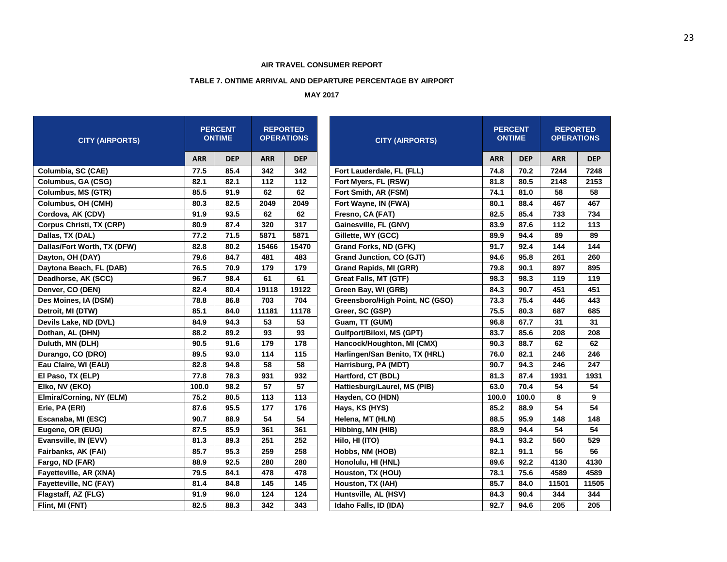#### **TABLE 7. ONTIME ARRIVAL AND DEPARTURE PERCENTAGE BY AIRPORT**

| <b>CITY (AIRPORTS)</b>          |            | <b>PERCENT</b><br><b>ONTIME</b> |            | <b>REPORTED</b><br><b>OPERATIONS</b> | <b>CITY (AIRPORTS)</b>          |            | <b>PERCENT</b><br><b>ONTIME</b> | <b>REPORTED</b><br><b>OPERATIONS</b> |                 |  |
|---------------------------------|------------|---------------------------------|------------|--------------------------------------|---------------------------------|------------|---------------------------------|--------------------------------------|-----------------|--|
|                                 | <b>ARR</b> | <b>DEP</b>                      | <b>ARR</b> | <b>DEP</b>                           |                                 | <b>ARR</b> | <b>DEP</b>                      | <b>ARR</b>                           | <b>DEP</b>      |  |
| Columbia, SC (CAE)              | 77.5       | 85.4                            | 342        | 342                                  | Fort Lauderdale, FL (FLL)       | 74.8       | 70.2                            | 7244                                 | 7248            |  |
| Columbus, GA (CSG)              | 82.1       | 82.1                            | 112        | 112                                  | Fort Myers, FL (RSW)            | 81.8       | 80.5                            | 2148                                 | 2153            |  |
| <b>Columbus, MS (GTR)</b>       | 85.5       | 91.9                            | 62         | 62                                   | Fort Smith, AR (FSM)            | 74.1       | 81.0                            | 58                                   | 58              |  |
| Columbus, OH (CMH)              | 80.3       | 82.5                            | 2049       | 2049                                 | Fort Wayne, IN (FWA)            | 80.1       | 88.4                            | 467                                  | 467             |  |
| Cordova, AK (CDV)               | 91.9       | 93.5                            | 62         | 62                                   | Fresno, CA (FAT)                | 82.5       | 85.4                            | 733                                  | 734             |  |
| <b>Corpus Christi, TX (CRP)</b> | 80.9       | 87.4                            | 320        | 317                                  | Gainesville, FL (GNV)           | 83.9       | 87.6                            | 112                                  | 113             |  |
| Dallas, TX (DAL)                | 77.2       | 71.5                            | 5871       | 5871                                 | Gillette, WY (GCC)              | 89.9       | 94.4                            | 89                                   | 89              |  |
| Dallas/Fort Worth, TX (DFW)     | 82.8       | 80.2                            | 15466      | 15470                                | Grand Forks, ND (GFK)           | 91.7       | 92.4                            | 144                                  | 144             |  |
| Dayton, OH (DAY)                | 79.6       | 84.7                            | 481        | 483                                  | Grand Junction, CO (GJT)        | 94.6       | 95.8                            | 261                                  | 260             |  |
| Daytona Beach, FL (DAB)         | 76.5       | 70.9                            | 179        | 179                                  | Grand Rapids, MI (GRR)          | 79.8       | 90.1                            | 897                                  | 895             |  |
| Deadhorse, AK (SCC)             | 96.7       | 98.4                            | 61         | 61                                   | <b>Great Falls, MT (GTF)</b>    | 98.3       | 98.3                            | 119                                  | 119             |  |
| Denver, CO (DEN)                | 82.4       | 80.4                            | 19118      | 19122                                | Green Bay, WI (GRB)             | 84.3       | 90.7                            | 451                                  | 451             |  |
| Des Moines, IA (DSM)            | 78.8       | 86.8                            | 703        | 704                                  | Greensboro/High Point, NC (GSO) | 73.3       | 75.4                            | 446                                  | 443             |  |
| Detroit, MI (DTW)               | 85.1       | 84.0                            | 11181      | 11178                                | Greer, SC (GSP)                 | 75.5       | 80.3                            | 687                                  | 685             |  |
| Devils Lake, ND (DVL)           | 84.9       | 94.3                            | 53         | 53                                   | Guam, TT (GUM)                  | 96.8       | 67.7                            | 31                                   | 31              |  |
| Dothan, AL (DHN)                | 88.2       | 89.2                            | 93         | 93                                   | Gulfport/Biloxi, MS (GPT)       | 83.7       | 85.6                            | 208                                  | 208             |  |
| Duluth, MN (DLH)                | 90.5       | 91.6                            | 179        | 178                                  | Hancock/Houghton, MI (CMX)      | 90.3       | 88.7                            | 62                                   | 62              |  |
| Durango, CO (DRO)               | 89.5       | 93.0                            | 114        | 115                                  | Harlingen/San Benito, TX (HRL)  | 76.0       | 82.1                            | 246                                  | 246             |  |
| Eau Claire, WI (EAU)            | 82.8       | 94.8                            | 58         | 58                                   | Harrisburg, PA (MDT)            | 90.7       | 94.3                            | 246                                  | 247             |  |
| El Paso, TX (ELP)               | 77.8       | 78.3                            | 931        | 932                                  | Hartford, CT (BDL)              | 81.3       | 87.4                            | 1931                                 | 1931            |  |
| Elko, NV (EKO)                  | 100.0      | 98.2                            | 57         | 57                                   | Hattiesburg/Laurel, MS (PIB)    | 63.0       | 70.4                            | 54                                   | 54              |  |
| Elmira/Corning, NY (ELM)        | 75.2       | 80.5                            | 113        | 113                                  | Hayden, CO (HDN)                | 100.0      | 100.0                           | 8                                    | 9               |  |
| Erie, PA (ERI)                  | 87.6       | 95.5                            | 177        | 176                                  | Hays, KS (HYS)                  | 85.2       | 88.9                            | 54                                   | $\overline{54}$ |  |
| Escanaba, MI (ESC)              | 90.7       | 88.9                            | 54         | 54                                   | Helena, MT (HLN)                | 88.5       | 95.9                            | 148                                  | 148             |  |
| Eugene, OR (EUG)                | 87.5       | 85.9                            | 361        | 361                                  | Hibbing, MN (HIB)               | 88.9       | 94.4                            | 54                                   | 54              |  |
| Evansville, IN (EVV)            | 81.3       | 89.3                            | 251        | 252                                  | Hilo, HI (ITO)                  | 94.1       | 93.2                            | 560                                  | 529             |  |
| Fairbanks, AK (FAI)             | 85.7       | 95.3                            | 259        | 258                                  | Hobbs, NM (HOB)                 | 82.1       | 91.1                            | 56                                   | 56              |  |
| Fargo, ND (FAR)                 | 88.9       | 92.5                            | 280        | 280                                  | Honolulu, HI (HNL)              | 89.6       | 92.2                            | 4130                                 | 4130            |  |
| Fayetteville, AR (XNA)          | 79.5       | 84.1                            | 478        | 478                                  | Houston, TX (HOU)               | 78.1       | 75.6                            | 4589                                 | 4589            |  |
| Fayetteville, NC (FAY)          | 81.4       | 84.8                            | 145        | 145                                  | Houston, TX (IAH)               | 85.7       | 84.0                            | 11501                                | 11505           |  |
| Flagstaff, AZ (FLG)             | 91.9       | 96.0                            | 124        | 124                                  | Huntsville, AL (HSV)            | 84.3       | 90.4                            | 344                                  | 344             |  |
| Flint, MI (FNT)                 | 82.5       | 88.3                            | 342        | 343                                  | Idaho Falls, ID (IDA)           | 92.7       | 94.6                            | 205                                  | 205             |  |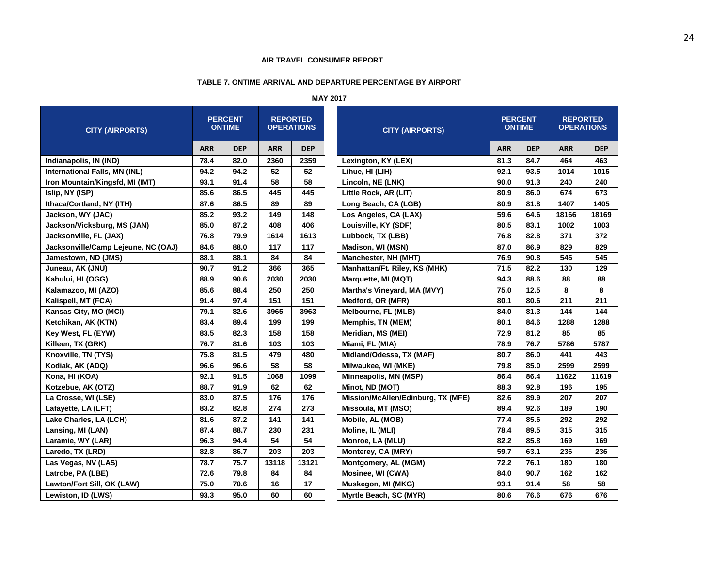# **TABLE 7. ONTIME ARRIVAL AND DEPARTURE PERCENTAGE BY AIRPORT**

| <b>CITY (AIRPORTS)</b>              |            | <b>PERCENT</b><br><b>ONTIME</b> |            | <b>REPORTED</b><br><b>OPERATIONS</b> | <b>CITY (AIRPORTS)</b>             |            | <b>PERCENT</b><br><b>ONTIME</b> | <b>REPORTED</b><br><b>OPERATIONS</b> |            |
|-------------------------------------|------------|---------------------------------|------------|--------------------------------------|------------------------------------|------------|---------------------------------|--------------------------------------|------------|
|                                     | <b>ARR</b> | <b>DEP</b>                      | <b>ARR</b> | <b>DEP</b>                           |                                    | <b>ARR</b> | <b>DEP</b>                      | <b>ARR</b>                           | <b>DEP</b> |
| Indianapolis, IN (IND)              | 78.4       | 82.0                            | 2360       | 2359                                 | Lexington, KY (LEX)                | 81.3       | 84.7                            | 464                                  | 463        |
| International Falls, MN (INL)       | 94.2       | 94.2                            | 52         | 52                                   | Lihue, HI (LIH)                    | 92.1       | 93.5                            | 1014                                 | 1015       |
| Iron Mountain/Kingsfd, MI (IMT)     | 93.1       | 91.4                            | 58         | 58                                   | Lincoln, NE (LNK)                  | 90.0       | 91.3                            | 240                                  | 240        |
| Islip, NY (ISP)                     | 85.6       | 86.5                            | 445        | 445                                  | Little Rock, AR (LIT)              | 80.9       | 86.0                            | 674                                  | 673        |
| Ithaca/Cortland, NY (ITH)           | 87.6       | 86.5                            | 89         | 89                                   | Long Beach, CA (LGB)               | 80.9       | 81.8                            | 1407                                 | 1405       |
| Jackson, WY (JAC)                   | 85.2       | 93.2                            | 149        | 148                                  | Los Angeles, CA (LAX)              | 59.6       | 64.6                            | 18166                                | 18169      |
| Jackson/Vicksburg, MS (JAN)         | 85.0       | 87.2                            | 408        | 406                                  | Louisville, KY (SDF)               | 80.5       | 83.1                            | 1002                                 | 1003       |
| Jacksonville, FL (JAX)              | 76.8       | 79.9                            | 1614       | 1613                                 | Lubbock, TX (LBB)                  | 76.8       | 82.8                            | 371                                  | 372        |
| Jacksonville/Camp Lejeune, NC (OAJ) | 84.6       | 88.0                            | 117        | 117                                  | Madison, WI (MSN)                  | 87.0       | 86.9                            | 829                                  | 829        |
| Jamestown, ND (JMS)                 | 88.1       | 88.1                            | 84         | 84                                   | Manchester, NH (MHT)               | 76.9       | 90.8                            | 545                                  | 545        |
| Juneau, AK (JNU)                    | 90.7       | 91.2                            | 366        | 365                                  | Manhattan/Ft. Riley, KS (MHK)      | 71.5       | 82.2                            | 130                                  | 129        |
| Kahului, HI (OGG)                   | 88.9       | 90.6                            | 2030       | 2030                                 | Marquette, MI (MQT)                | 94.3       | 88.6                            | 88                                   | 88         |
| Kalamazoo, MI (AZO)                 | 85.6       | 88.4                            | 250        | 250                                  | Martha's Vineyard, MA (MVY)        | 75.0       | 12.5                            | 8                                    | 8          |
| Kalispell, MT (FCA)                 | 91.4       | 97.4                            | 151        | 151                                  | Medford, OR (MFR)                  | 80.1       | 80.6                            | 211                                  | 211        |
| Kansas City, MO (MCI)               | 79.1       | 82.6                            | 3965       | 3963                                 | Melbourne, FL (MLB)                | 84.0       | 81.3                            | 144                                  | 144        |
| Ketchikan, AK (KTN)                 | 83.4       | 89.4                            | 199        | 199                                  | Memphis, TN (MEM)                  | 80.1       | 84.6                            | 1288                                 | 1288       |
| Key West, FL (EYW)                  | 83.5       | 82.3                            | 158        | 158                                  | Meridian, MS (MEI)                 | 72.9       | 81.2                            | 85                                   | 85         |
| Killeen, TX (GRK)                   | 76.7       | 81.6                            | 103        | 103                                  | Miami, FL (MIA)                    | 78.9       | 76.7                            | 5786                                 | 5787       |
| Knoxville, TN (TYS)                 | 75.8       | 81.5                            | 479        | 480                                  | Midland/Odessa, TX (MAF)           | 80.7       | 86.0                            | 441                                  | 443        |
| Kodiak, AK (ADQ)                    | 96.6       | 96.6                            | 58         | 58                                   | Milwaukee, WI (MKE)                | 79.8       | 85.0                            | 2599                                 | 2599       |
| Kona, HI (KOA)                      | 92.1       | 91.5                            | 1068       | 1099                                 | Minneapolis, MN (MSP)              | 86.4       | 86.4                            | 11622                                | 11619      |
| Kotzebue, AK (OTZ)                  | 88.7       | 91.9                            | 62         | 62                                   | Minot, ND (MOT)                    | 88.3       | 92.8                            | 196                                  | 195        |
| La Crosse, WI (LSE)                 | 83.0       | 87.5                            | 176        | 176                                  | Mission/McAllen/Edinburg, TX (MFE) | 82.6       | 89.9                            | 207                                  | 207        |
| Lafayette, LA (LFT)                 | 83.2       | 82.8                            | 274        | 273                                  | Missoula, MT (MSO)                 | 89.4       | 92.6                            | 189                                  | 190        |
| Lake Charles, LA (LCH)              | 81.6       | 87.2                            | 141        | 141                                  | Mobile, AL (MOB)                   | 77.4       | 85.6                            | 292                                  | 292        |
| Lansing, MI (LAN)                   | 87.4       | 88.7                            | 230        | 231                                  | Moline, IL (MLI)                   | 78.4       | 89.5                            | 315                                  | 315        |
| Laramie, WY (LAR)                   | 96.3       | 94.4                            | 54         | 54                                   | Monroe, LA (MLU)                   | 82.2       | 85.8                            | 169                                  | 169        |
| Laredo, TX (LRD)                    | 82.8       | 86.7                            | 203        | 203                                  | Monterey, CA (MRY)                 | 59.7       | 63.1                            | 236                                  | 236        |
| Las Vegas, NV (LAS)                 | 78.7       | 75.7                            | 13118      | 13121                                | Montgomery, AL (MGM)               | 72.2       | 76.1                            | 180                                  | 180        |
| Latrobe, PA (LBE)                   | 72.6       | 79.8                            | 84         | 84                                   | Mosinee, WI (CWA)                  | 84.0       | 90.7                            | 162                                  | 162        |
| Lawton/Fort Sill, OK (LAW)          | 75.0       | 70.6                            | 16         | 17                                   | Muskegon, MI (MKG)                 | 93.1       | 91.4                            | 58                                   | 58         |
| Lewiston, ID (LWS)                  | 93.3       | 95.0                            | 60         | 60                                   | Myrtle Beach, SC (MYR)             | 80.6       | 76.6                            | 676                                  | 676        |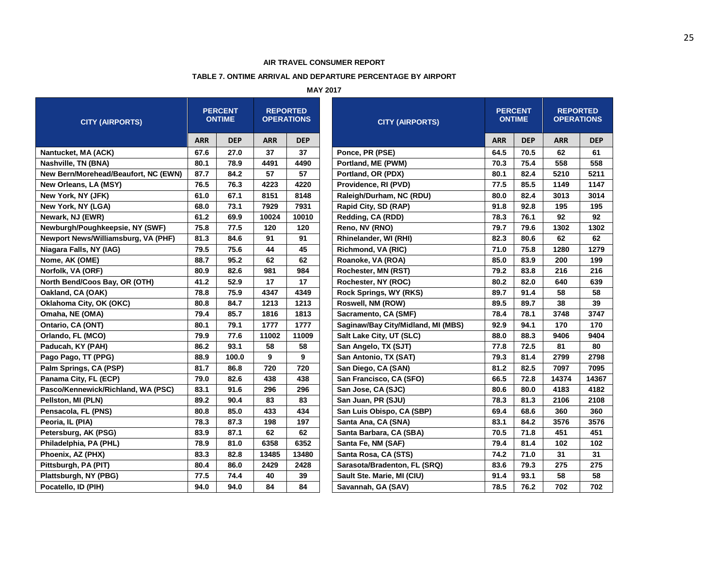#### **TABLE 7. ONTIME ARRIVAL AND DEPARTURE PERCENTAGE BY AIRPORT**

**MAY 2017**

| <b>CITY (AIRPORTS)</b>               |            | <b>PERCENT</b><br><b>ONTIME</b> |            | <b>REPORTED</b><br><b>OPERATIONS</b> | <b>CITY (AIRPORTS)</b>             |            | <b>PERCENT</b><br><b>ONTIME</b> | <b>REPORTED</b><br><b>OPERATIONS</b> |
|--------------------------------------|------------|---------------------------------|------------|--------------------------------------|------------------------------------|------------|---------------------------------|--------------------------------------|
|                                      | <b>ARR</b> | <b>DEP</b>                      | <b>ARR</b> | <b>DEP</b>                           |                                    | <b>ARR</b> | <b>DEP</b>                      | <b>ARR</b>                           |
| Nantucket, MA (ACK)                  | 67.6       | 27.0                            | 37         | 37                                   | Ponce, PR (PSE)                    | 64.5       | 70.5                            | 62                                   |
| Nashville, TN (BNA)                  | 80.1       | 78.9                            | 4491       | 4490                                 | Portland, ME (PWM)                 | 70.3       | 75.4                            | 558                                  |
| New Bern/Morehead/Beaufort, NC (EWN) | 87.7       | 84.2                            | 57         | 57                                   | Portland, OR (PDX)                 | 80.1       | 82.4                            | 5210                                 |
| New Orleans, LA (MSY)                | 76.5       | 76.3                            | 4223       | 4220                                 | Providence, RI (PVD)               | 77.5       | 85.5                            | 1149                                 |
| New York, NY (JFK)                   | 61.0       | 67.1                            | 8151       | 8148                                 | Raleigh/Durham, NC (RDU)           | 80.0       | 82.4                            | 3013                                 |
| New York, NY (LGA)                   | 68.0       | 73.1                            | 7929       | 7931                                 | Rapid City, SD (RAP)               | 91.8       | 92.8                            | 195                                  |
| Newark, NJ (EWR)                     | 61.2       | 69.9                            | 10024      | 10010                                | Redding, CA (RDD)                  | 78.3       | 76.1                            | 92                                   |
| Newburgh/Poughkeepsie, NY (SWF)      | 75.8       | 77.5                            | 120        | 120                                  | Reno, NV (RNO)                     | 79.7       | 79.6                            | 1302                                 |
| Newport News/Williamsburg, VA (PHF)  | 81.3       | 84.6                            | 91         | 91                                   | Rhinelander, WI (RHI)              | 82.3       | 80.6                            | 62                                   |
| Niagara Falls, NY (IAG)              | 79.5       | 75.6                            | 44         | 45                                   | Richmond, VA (RIC)                 | 71.0       | 75.8                            | 1280                                 |
| Nome, AK (OME)                       | 88.7       | 95.2                            | 62         | 62                                   | Roanoke, VA (ROA)                  | 85.0       | 83.9                            | 200                                  |
| Norfolk, VA (ORF)                    | 80.9       | 82.6                            | 981        | 984                                  | Rochester, MN (RST)                | 79.2       | 83.8                            | 216                                  |
| North Bend/Coos Bay, OR (OTH)        | 41.2       | 52.9                            | 17         | 17                                   | Rochester, NY (ROC)                | 80.2       | 82.0                            | 640                                  |
| Oakland, CA (OAK)                    | 78.8       | 75.9                            | 4347       | 4349                                 | Rock Springs, WY (RKS)             | 89.7       | 91.4                            | 58                                   |
| Oklahoma City, OK (OKC)              | 80.8       | 84.7                            | 1213       | 1213                                 | Roswell, NM (ROW)                  | 89.5       | 89.7                            | 38                                   |
| Omaha, NE (OMA)                      | 79.4       | 85.7                            | 1816       | 1813                                 | Sacramento, CA (SMF)               | 78.4       | 78.1                            | 3748                                 |
| Ontario, CA (ONT)                    | 80.1       | 79.1                            | 1777       | 1777                                 | Saginaw/Bay City/Midland, MI (MBS) | 92.9       | 94.1                            | 170                                  |
| Orlando, FL (MCO)                    | 79.9       | 77.6                            | 11002      | 11009                                | Salt Lake City, UT (SLC)           | 88.0       | 88.3                            | 9406                                 |
| Paducah, KY (PAH)                    | 86.2       | 93.1                            | 58         | 58                                   | San Angelo, TX (SJT)               | 77.8       | 72.5                            | 81                                   |
| Pago Pago, TT (PPG)                  | 88.9       | 100.0                           | 9          | 9                                    | San Antonio, TX (SAT)              | 79.3       | 81.4                            | 2799                                 |
| Palm Springs, CA (PSP)               | 81.7       | 86.8                            | 720        | 720                                  | San Diego, CA (SAN)                | 81.2       | 82.5                            | 7097                                 |
| Panama City, FL (ECP)                | 79.0       | 82.6                            | 438        | 438                                  | San Francisco, CA (SFO)            | 66.5       | 72.8                            | 14374                                |
| Pasco/Kennewick/Richland, WA (PSC)   | 83.1       | 91.6                            | 296        | 296                                  | San Jose, CA (SJC)                 | 80.6       | 80.0                            | 4183                                 |
| Pellston, MI (PLN)                   | 89.2       | 90.4                            | 83         | 83                                   | San Juan, PR (SJU)                 | 78.3       | 81.3                            | 2106                                 |
| Pensacola, FL (PNS)                  | 80.8       | 85.0                            | 433        | 434                                  | San Luis Obispo, CA (SBP)          | 69.4       | 68.6                            | 360                                  |
| Peoria, IL (PIA)                     | 78.3       | 87.3                            | 198        | 197                                  | Santa Ana, CA (SNA)                | 83.1       | 84.2                            | 3576                                 |
| Petersburg, AK (PSG)                 | 83.9       | 87.1                            | 62         | 62                                   | Santa Barbara, CA (SBA)            | 70.5       | 71.8                            | 451                                  |
| Philadelphia, PA (PHL)               | 78.9       | 81.0                            | 6358       | 6352                                 | Santa Fe, NM (SAF)                 | 79.4       | 81.4                            | 102                                  |
| Phoenix, AZ (PHX)                    | 83.3       | 82.8                            | 13485      | 13480                                | Santa Rosa, CA (STS)               | 74.2       | 71.0                            | 31                                   |
| Pittsburgh, PA (PIT)                 | 80.4       | 86.0                            | 2429       | 2428                                 | Sarasota/Bradenton, FL (SRQ)       | 83.6       | 79.3                            | 275                                  |
| Plattsburgh, NY (PBG)                | 77.5       | 74.4                            | 40         | 39                                   | Sault Ste. Marie, MI (CIU)         | 91.4       | 93.1                            | 58                                   |
| Pocatello, ID (PIH)                  | 94.0       | 94.0                            | 84         | 84                                   | Savannah, GA (SAV)                 | 78.5       | 76.2                            | 702                                  |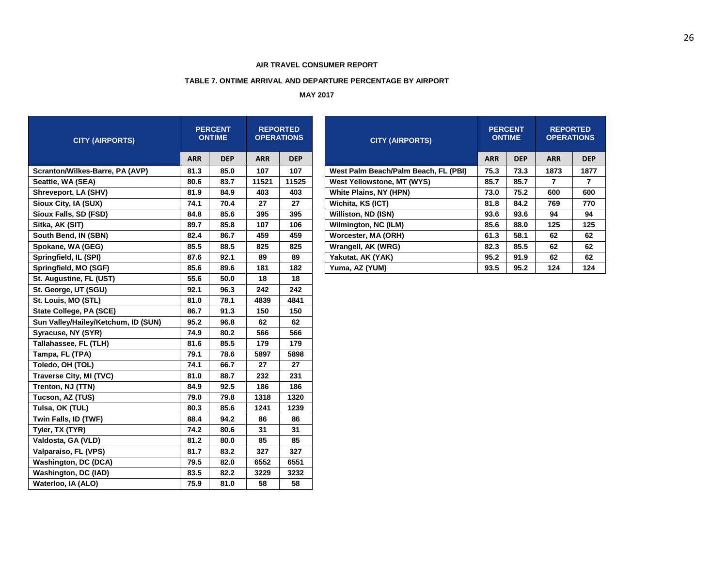#### **TABLE 7. ONTIME ARRIVAL AND DEPARTURE PERCENTAGE BY AIRPORT**

| <b>CITY (AIRPORTS)</b>              |            | <b>PERCENT</b><br><b>ONTIME</b> |            | <b>REPORTED</b><br><b>OPERATIONS</b> | <b>CITY (AIRPORTS)</b>               | <b>PERCENT</b><br><b>ONTIME</b> |            | <b>REPORTED</b><br><b>OPERATIONS</b> |                |
|-------------------------------------|------------|---------------------------------|------------|--------------------------------------|--------------------------------------|---------------------------------|------------|--------------------------------------|----------------|
|                                     | <b>ARR</b> | <b>DEP</b>                      | <b>ARR</b> | <b>DEP</b>                           |                                      | <b>ARR</b>                      | <b>DEP</b> | <b>ARR</b>                           | <b>DEP</b>     |
| Scranton/Wilkes-Barre, PA (AVP)     | 81.3       | 85.0                            | 107        | 107                                  | West Palm Beach/Palm Beach, FL (PBI) | 75.3                            | 73.3       | 1873                                 | 1877           |
| Seattle, WA (SEA)                   | 80.6       | 83.7                            | 11521      | 11525                                | West Yellowstone, MT (WYS)           | 85.7                            | 85.7       | $\overline{7}$                       | $\overline{7}$ |
| Shreveport, LA (SHV)                | 81.9       | 84.9                            | 403        | 403                                  | White Plains, NY (HPN)               | 73.0                            | 75.2       | 600                                  | 600            |
| Sioux City, IA (SUX)                | 74.1       | 70.4                            | 27         | 27                                   | Wichita, KS (ICT)                    | 81.8                            | 84.2       | 769                                  | 770            |
| Sioux Falls, SD (FSD)               | 84.8       | 85.6                            | 395        | 395                                  | Williston, ND (ISN)                  | 93.6                            | 93.6       | 94                                   | 94             |
| Sitka, AK (SIT)                     | 89.7       | 85.8                            | 107        | 106                                  | Wilmington, NC (ILM)                 | 85.6                            | 88.0       | 125                                  | 125            |
| South Bend, IN (SBN)                | 82.4       | 86.7                            | 459        | 459                                  | Worcester, MA (ORH)                  | 61.3                            | 58.1       | 62                                   | 62             |
| Spokane, WA (GEG)                   | 85.5       | 88.5                            | 825        | 825                                  | Wrangell, AK (WRG)                   | 82.3                            | 85.5       | 62                                   | 62             |
| Springfield, IL (SPI)               | 87.6       | 92.1                            | 89         | 89                                   | Yakutat, AK (YAK)                    | 95.2                            | 91.9       | 62                                   | 62             |
| Springfield, MO (SGF)               | 85.6       | 89.6                            | 181        | 182                                  | Yuma, AZ (YUM)                       | 93.5                            | 95.2       | 124                                  | 124            |
| St. Augustine, FL (UST)             | 55.6       | 50.0                            | 18         | 18                                   |                                      |                                 |            |                                      |                |
| St. George, UT (SGU)                | 92.1       | 96.3                            | 242        | 242                                  |                                      |                                 |            |                                      |                |
| St. Louis, MO (STL)                 | 81.0       | 78.1                            | 4839       | 4841                                 |                                      |                                 |            |                                      |                |
| State College, PA (SCE)             | 86.7       | 91.3                            | 150        | 150                                  |                                      |                                 |            |                                      |                |
| Sun Valley/Hailey/Ketchum, ID (SUN) | 95.2       | 96.8                            | 62         | 62                                   |                                      |                                 |            |                                      |                |
| Syracuse, NY (SYR)                  | 74.9       | 80.2                            | 566        | 566                                  |                                      |                                 |            |                                      |                |
| Tallahassee, FL (TLH)               | 81.6       | 85.5                            | 179        | 179                                  |                                      |                                 |            |                                      |                |
| Tampa, FL (TPA)                     | 79.1       | 78.6                            | 5897       | 5898                                 |                                      |                                 |            |                                      |                |
| Toledo, OH (TOL)                    | 74.1       | 66.7                            | 27         | 27                                   |                                      |                                 |            |                                      |                |
| Traverse City, MI (TVC)             | 81.0       | 88.7                            | 232        | 231                                  |                                      |                                 |            |                                      |                |
| Trenton, NJ (TTN)                   | 84.9       | 92.5                            | 186        | 186                                  |                                      |                                 |            |                                      |                |
| Tucson, AZ (TUS)                    | 79.0       | 79.8                            | 1318       | 1320                                 |                                      |                                 |            |                                      |                |
| Tulsa, OK (TUL)                     | 80.3       | 85.6                            | 1241       | 1239                                 |                                      |                                 |            |                                      |                |
| Twin Falls, ID (TWF)                | 88.4       | 94.2                            | 86         | 86                                   |                                      |                                 |            |                                      |                |
| Tyler, TX (TYR)                     | 74.2       | 80.6                            | 31         | 31                                   |                                      |                                 |            |                                      |                |
| Valdosta, GA (VLD)                  | 81.2       | 80.0                            | 85         | 85                                   |                                      |                                 |            |                                      |                |
| Valparaiso, FL (VPS)                | 81.7       | 83.2                            | 327        | 327                                  |                                      |                                 |            |                                      |                |
| <b>Washington, DC (DCA)</b>         | 79.5       | 82.0                            | 6552       | 6551                                 |                                      |                                 |            |                                      |                |
| Washington, DC (IAD)                | 83.5       | 82.2                            | 3229       | 3232                                 |                                      |                                 |            |                                      |                |
| Waterloo, IA (ALO)                  | 75.9       | 81.0                            | 58         | 58                                   |                                      |                                 |            |                                      |                |

| <b>PERCENT</b><br><b>ONTIME</b> |            | <b>REPORTED</b><br><b>OPERATIONS</b> |            | <b>CITY (AIRPORTS)</b>               |            | <b>PERCENT</b><br><b>ONTIME</b> | <b>REPORTED</b><br><b>OPERATIONS</b> |            |  |
|---------------------------------|------------|--------------------------------------|------------|--------------------------------------|------------|---------------------------------|--------------------------------------|------------|--|
| <b>ARR</b>                      | <b>DEP</b> | <b>ARR</b>                           | <b>DEP</b> |                                      | <b>ARR</b> | <b>DEP</b>                      | <b>ARR</b>                           | <b>DEP</b> |  |
| 81.3                            | 85.0       | 107                                  | 107        | West Palm Beach/Palm Beach, FL (PBI) | 75.3       | 73.3                            | 1873                                 | 1877       |  |
| 80.6                            | 83.7       | 11521                                | 11525      | West Yellowstone, MT (WYS)           | 85.7       | 85.7                            | 7                                    | 7          |  |
| 81.9                            | 84.9       | 403                                  | 403        | <b>White Plains, NY (HPN)</b>        | 73.0       | 75.2                            | 600                                  | 600        |  |
| 74.1                            | 70.4       | 27                                   | 27         | Wichita, KS (ICT)                    | 81.8       | 84.2                            | 769                                  | 770        |  |
| 84.8                            | 85.6       | 395                                  | 395        | Williston, ND (ISN)                  | 93.6       | 93.6                            | 94                                   | 94         |  |
| 89.7                            | 85.8       | 107                                  | 106        | Wilmington, NC (ILM)                 | 85.6       | 88.0                            | 125                                  | 125        |  |
| 82.4                            | 86.7       | 459                                  | 459        | Worcester, MA (ORH)                  | 61.3       | 58.1                            | 62                                   | 62         |  |
| 85.5                            | 88.5       | 825                                  | 825        | Wrangell, AK (WRG)                   | 82.3       | 85.5                            | 62                                   | 62         |  |
| 87.6                            | 92.1       | 89                                   | 89         | Yakutat, AK (YAK)                    | 95.2       | 91.9                            | 62                                   | 62         |  |
| 85.6                            | 89.6       | 181                                  | 182        | Yuma, AZ (YUM)                       | 93.5       | 95.2                            | 124                                  | 124        |  |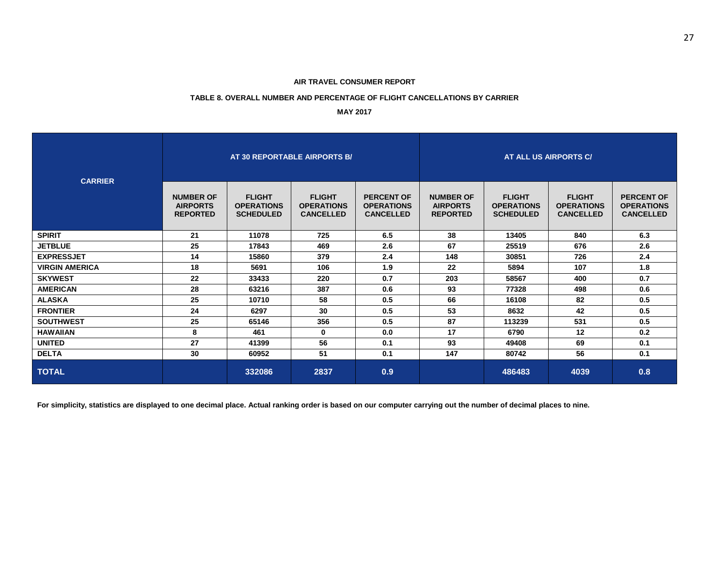# **TABLE 8. OVERALL NUMBER AND PERCENTAGE OF FLIGHT CANCELLATIONS BY CARRIER**

## **MAY 2017**

| <b>CARRIER</b>        |                                                        | AT 30 REPORTABLE AIRPORTS B/                           |                                                        |                                                            | AT ALL US AIRPORTS C/                                  |                                                        |                                                        |                                                            |  |
|-----------------------|--------------------------------------------------------|--------------------------------------------------------|--------------------------------------------------------|------------------------------------------------------------|--------------------------------------------------------|--------------------------------------------------------|--------------------------------------------------------|------------------------------------------------------------|--|
|                       | <b>NUMBER OF</b><br><b>AIRPORTS</b><br><b>REPORTED</b> | <b>FLIGHT</b><br><b>OPERATIONS</b><br><b>SCHEDULED</b> | <b>FLIGHT</b><br><b>OPERATIONS</b><br><b>CANCELLED</b> | <b>PERCENT OF</b><br><b>OPERATIONS</b><br><b>CANCELLED</b> | <b>NUMBER OF</b><br><b>AIRPORTS</b><br><b>REPORTED</b> | <b>FLIGHT</b><br><b>OPERATIONS</b><br><b>SCHEDULED</b> | <b>FLIGHT</b><br><b>OPERATIONS</b><br><b>CANCELLED</b> | <b>PERCENT OF</b><br><b>OPERATIONS</b><br><b>CANCELLED</b> |  |
| <b>SPIRIT</b>         | 21                                                     | 11078                                                  | 725                                                    | 6.5                                                        | 38                                                     | 13405                                                  | 840                                                    | 6.3                                                        |  |
| <b>JETBLUE</b>        | 25                                                     | 17843                                                  | 469                                                    | 2.6                                                        | 67                                                     | 25519                                                  | 676                                                    | 2.6                                                        |  |
| <b>EXPRESSJET</b>     | 14                                                     | 15860                                                  | 379                                                    | 2.4                                                        | 148                                                    | 30851                                                  | 726                                                    | 2.4                                                        |  |
| <b>VIRGIN AMERICA</b> | 18                                                     | 5691                                                   | 106                                                    | 1.9                                                        | 22                                                     | 5894                                                   | 107                                                    | 1.8                                                        |  |
| <b>SKYWEST</b>        | 22                                                     | 33433                                                  | 220                                                    | 0.7                                                        | 203                                                    | 58567                                                  | 400                                                    | 0.7                                                        |  |
| <b>AMERICAN</b>       | 28                                                     | 63216                                                  | 387                                                    | 0.6                                                        | 93                                                     | 77328                                                  | 498                                                    | 0.6                                                        |  |
| <b>ALASKA</b>         | 25                                                     | 10710                                                  | 58                                                     | 0.5                                                        | 66                                                     | 16108                                                  | 82                                                     | 0.5                                                        |  |
| <b>FRONTIER</b>       | 24                                                     | 6297                                                   | 30                                                     | 0.5                                                        | 53                                                     | 8632                                                   | 42                                                     | 0.5                                                        |  |
| <b>SOUTHWEST</b>      | 25                                                     | 65146                                                  | 356                                                    | 0.5                                                        | 87                                                     | 113239                                                 | 531                                                    | 0.5                                                        |  |
| <b>HAWAIIAN</b>       | 8                                                      | 461                                                    | $\bf{0}$                                               | 0.0                                                        | 17                                                     | 6790                                                   | 12                                                     | 0.2                                                        |  |
| <b>UNITED</b>         | 27                                                     | 41399                                                  | 56                                                     | 0.1                                                        | 93                                                     | 49408                                                  | 69                                                     | 0.1                                                        |  |
| <b>DELTA</b>          | 30                                                     | 60952                                                  | 51                                                     | 0.1                                                        | 147                                                    | 80742                                                  | 56                                                     | 0.1                                                        |  |
| <b>TOTAL</b>          |                                                        | 332086                                                 | 2837                                                   | 0.9                                                        |                                                        | 486483                                                 | 4039                                                   | 0.8                                                        |  |

 **For simplicity, statistics are displayed to one decimal place. Actual ranking order is based on our computer carrying out the number of decimal places to nine.**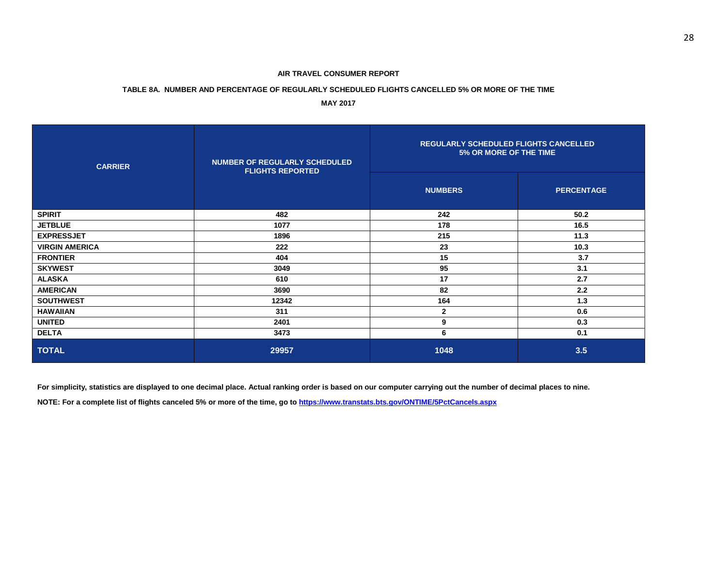## **TABLE 8A. NUMBER AND PERCENTAGE OF REGULARLY SCHEDULED FLIGHTS CANCELLED 5% OR MORE OF THE TIME**

**MAY 2017**

| <b>CARRIER</b>        | <b>NUMBER OF REGULARLY SCHEDULED</b><br><b>FLIGHTS REPORTED</b> | <b>REGULARLY SCHEDULED FLIGHTS CANCELLED</b><br>5% OR MORE OF THE TIME |                   |  |  |  |
|-----------------------|-----------------------------------------------------------------|------------------------------------------------------------------------|-------------------|--|--|--|
|                       |                                                                 | <b>NUMBERS</b>                                                         | <b>PERCENTAGE</b> |  |  |  |
| <b>SPIRIT</b>         | 482                                                             | 242                                                                    | 50.2              |  |  |  |
| <b>JETBLUE</b>        | 1077                                                            | 178                                                                    | 16.5              |  |  |  |
| <b>EXPRESSJET</b>     | 1896                                                            | 215                                                                    | 11.3              |  |  |  |
| <b>VIRGIN AMERICA</b> | 222                                                             | 23                                                                     | 10.3              |  |  |  |
| <b>FRONTIER</b>       | 404                                                             | 15                                                                     | 3.7               |  |  |  |
| <b>SKYWEST</b>        | 3049                                                            | 95                                                                     | 3.1               |  |  |  |
| <b>ALASKA</b>         | 610                                                             | 17                                                                     | 2.7               |  |  |  |
| <b>AMERICAN</b>       | 3690                                                            | 82                                                                     | 2.2               |  |  |  |
| <b>SOUTHWEST</b>      | 12342                                                           | 164                                                                    | 1.3               |  |  |  |
| <b>HAWAIIAN</b>       | 311                                                             | $\mathbf{2}$                                                           | 0.6               |  |  |  |
| <b>UNITED</b>         | 2401                                                            | 9                                                                      | 0.3               |  |  |  |
| <b>DELTA</b>          | 3473                                                            | 6                                                                      | 0.1               |  |  |  |
| <b>TOTAL</b>          | 29957                                                           | 1048                                                                   | 3.5               |  |  |  |

**For simplicity, statistics are displayed to one decimal place. Actual ranking order is based on our computer carrying out the number of decimal places to nine.**

**NOTE: For a complete list of flights canceled 5% or more of the time, go to <https://www.transtats.bts.gov/ONTIME/5PctCancels.aspx>**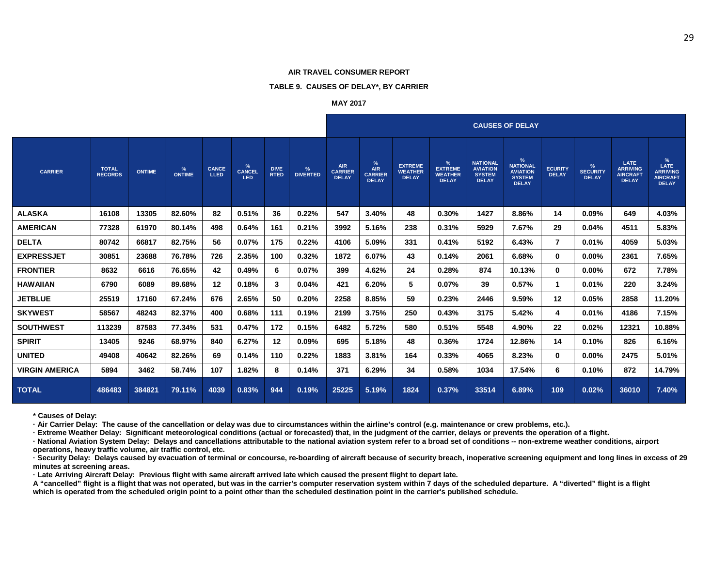## **TABLE 9. CAUSES OF DELAY\*, BY CARRIER**

**MAY 2017**

|                       |                                |               |                    |                             |                            |                            |                      |                                              |                                                   |                                                  |                                                       |                                                                     | <b>CAUSES OF DELAY</b>                                                   |                                |                                      |                                                            |                                                                        |
|-----------------------|--------------------------------|---------------|--------------------|-----------------------------|----------------------------|----------------------------|----------------------|----------------------------------------------|---------------------------------------------------|--------------------------------------------------|-------------------------------------------------------|---------------------------------------------------------------------|--------------------------------------------------------------------------|--------------------------------|--------------------------------------|------------------------------------------------------------|------------------------------------------------------------------------|
| <b>CARRIER</b>        | <b>TOTAL</b><br><b>RECORDS</b> | <b>ONTIME</b> | %<br><b>ONTIME</b> | <b>CANCE</b><br><b>LLED</b> | %<br><b>CANCEL</b><br>LED. | <b>DIVE</b><br><b>RTED</b> | %<br><b>DIVERTED</b> | <b>AIR</b><br><b>CARRIER</b><br><b>DELAY</b> | %<br><b>AIR</b><br><b>CARRIER</b><br><b>DELAY</b> | <b>EXTREME</b><br><b>WEATHER</b><br><b>DELAY</b> | %<br><b>EXTREME</b><br><b>WEATHER</b><br><b>DELAY</b> | <b>NATIONAL</b><br><b>AVIATION</b><br><b>SYSTEM</b><br><b>DELAY</b> | %<br><b>NATIONAL</b><br><b>AVIATION</b><br><b>SYSTEM</b><br><b>DELAY</b> | <b>ECURITY</b><br><b>DELAY</b> | %<br><b>SECURITY</b><br><b>DELAY</b> | LATE<br><b>ARRIVING</b><br><b>AIRCRAFT</b><br><b>DELAY</b> | %<br><b>LATE</b><br><b>ARRIVING</b><br><b>AIRCRAFT</b><br><b>DELAY</b> |
| <b>ALASKA</b>         | 16108                          | 13305         | 82.60%             | 82                          | 0.51%                      | 36                         | 0.22%                | 547                                          | 3.40%                                             | 48                                               | 0.30%                                                 | 1427                                                                | 8.86%                                                                    | 14                             | 0.09%                                | 649                                                        | 4.03%                                                                  |
| <b>AMERICAN</b>       | 77328                          | 61970         | 80.14%             | 498                         | 0.64%                      | 161                        | 0.21%                | 3992                                         | 5.16%                                             | 238                                              | 0.31%                                                 | 5929                                                                | 7.67%                                                                    | 29                             | 0.04%                                | 4511                                                       | 5.83%                                                                  |
| <b>DELTA</b>          | 80742                          | 66817         | 82.75%             | 56                          | 0.07%                      | 175                        | 0.22%                | 4106                                         | 5.09%                                             | 331                                              | 0.41%                                                 | 5192                                                                | 6.43%                                                                    | 7                              | 0.01%                                | 4059                                                       | 5.03%                                                                  |
| <b>EXPRESSJET</b>     | 30851                          | 23688         | 76.78%             | 726                         | 2.35%                      | 100                        | 0.32%                | 1872                                         | 6.07%                                             | 43                                               | 0.14%                                                 | 2061                                                                | 6.68%                                                                    | $\mathbf 0$                    | $0.00\%$                             | 2361                                                       | 7.65%                                                                  |
| <b>FRONTIER</b>       | 8632                           | 6616          | 76.65%             | 42                          | 0.49%                      | 6                          | 0.07%                | 399                                          | 4.62%                                             | 24                                               | 0.28%                                                 | 874                                                                 | 10.13%                                                                   | $\bf{0}$                       | 0.00%                                | 672                                                        | 7.78%                                                                  |
| <b>HAWAIIAN</b>       | 6790                           | 6089          | 89.68%             | 12                          | 0.18%                      | $\mathbf{3}$               | 0.04%                | 421                                          | 6.20%                                             | 5                                                | 0.07%                                                 | 39                                                                  | 0.57%                                                                    | $\mathbf{1}$                   | 0.01%                                | 220                                                        | 3.24%                                                                  |
| <b>JETBLUE</b>        | 25519                          | 17160         | 67.24%             | 676                         | 2.65%                      | 50                         | 0.20%                | 2258                                         | 8.85%                                             | 59                                               | 0.23%                                                 | 2446                                                                | 9.59%                                                                    | 12                             | 0.05%                                | 2858                                                       | 11.20%                                                                 |
| <b>SKYWEST</b>        | 58567                          | 48243         | 82.37%             | 400                         | 0.68%                      | 111                        | 0.19%                | 2199                                         | 3.75%                                             | 250                                              | 0.43%                                                 | 3175                                                                | 5.42%                                                                    | 4                              | 0.01%                                | 4186                                                       | 7.15%                                                                  |
| <b>SOUTHWEST</b>      | 113239                         | 87583         | 77.34%             | 531                         | 0.47%                      | 172                        | 0.15%                | 6482                                         | 5.72%                                             | 580                                              | 0.51%                                                 | 5548                                                                | 4.90%                                                                    | 22                             | 0.02%                                | 12321                                                      | 10.88%                                                                 |
| <b>SPIRIT</b>         | 13405                          | 9246          | 68.97%             | 840                         | 6.27%                      | 12                         | 0.09%                | 695                                          | 5.18%                                             | 48                                               | 0.36%                                                 | 1724                                                                | 12.86%                                                                   | 14                             | 0.10%                                | 826                                                        | 6.16%                                                                  |
| <b>UNITED</b>         | 49408                          | 40642         | 82.26%             | 69                          | 0.14%                      | 110                        | 0.22%                | 1883                                         | 3.81%                                             | 164                                              | 0.33%                                                 | 4065                                                                | 8.23%                                                                    | $\bf{0}$                       | 0.00%                                | 2475                                                       | 5.01%                                                                  |
| <b>VIRGIN AMERICA</b> | 5894                           | 3462          | 58.74%             | 107                         | 1.82%                      | 8                          | 0.14%                | 371                                          | 6.29%                                             | 34                                               | 0.58%                                                 | 1034                                                                | 17.54%                                                                   | 6                              | 0.10%                                | 872                                                        | 14.79%                                                                 |
| <b>TOTAL</b>          | 486483                         | 384821        | 79.11%             | 4039                        | 0.83%                      | 944                        | 0.19%                | 25225                                        | 5.19%                                             | 1824                                             | 0.37%                                                 | 33514                                                               | 6.89%                                                                    | 109                            | 0.02%                                | 36010                                                      | 7.40%                                                                  |

**\* Causes of Delay:** 

**· Air Carrier Delay: The cause of the cancellation or delay was due to circumstances within the airline's control (e.g. maintenance or crew problems, etc.).** 

**· Extreme Weather Delay: Significant meteorological conditions (actual or forecasted) that, in the judgment of the carrier, delays or prevents the operation of a flight.** 

**· National Aviation System Delay: Delays and cancellations attributable to the national aviation system refer to a broad set of conditions -- non-extreme weather conditions, airport operations, heavy traffic volume, air traffic control, etc.** 

**· Security Delay: Delays caused by evacuation of terminal or concourse, re-boarding of aircraft because of security breach, inoperative screening equipment and long lines in excess of 29 minutes at screening areas.** 

**· Late Arriving Aircraft Delay: Previous flight with same aircraft arrived late which caused the present flight to depart late.** 

A "cancelled" flight is a flight that was not operated, but was in the carrier's computer reservation system within 7 days of the scheduled departure. A "diverted" flight is a flight **which is operated from the scheduled origin point to a point other than the scheduled destination point in the carrier's published schedule.**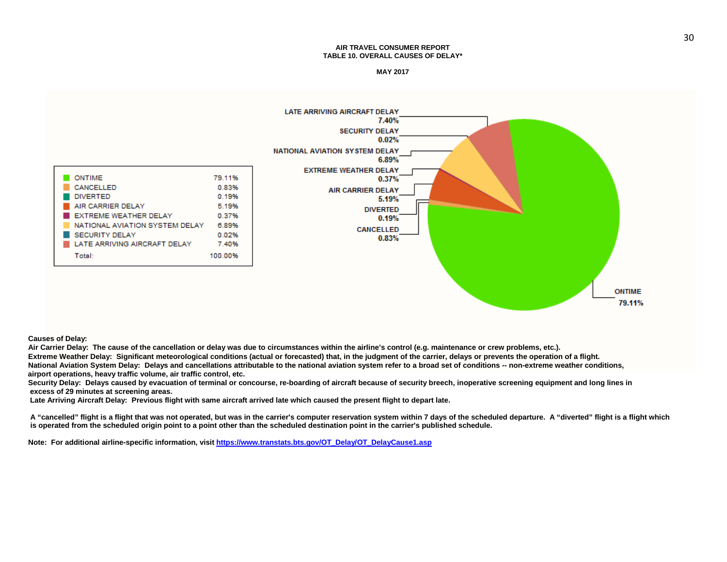#### **AIR TRAVEL CONSUMER REPORT TABLE 10. OVERALL CAUSES OF DELAY\***

**MAY 2017**



#### **Causes of Delay:**

**Air Carrier Delay: The cause of the cancellation or delay was due to circumstances within the airline's control (e.g. maintenance or crew problems, etc.). Extreme Weather Delay: Significant meteorological conditions (actual or forecasted) that, in the judgment of the carrier, delays or prevents the operation of a flight. National Aviation System Delay: Delays and cancellations attributable to the national aviation system refer to a broad set of conditions -- non-extreme weather conditions, airport operations, heavy traffic volume, air traffic control, etc.**

Security Delay: Delays caused by evacuation of terminal or concourse, re-boarding of aircraft because of security breech, inoperative screening equipment and long lines in  **excess of 29 minutes at screening areas.**

**Late Arriving Aircraft Delay: Previous flight with same aircraft arrived late which caused the present flight to depart late.**

**A "cancelled" flight is a flight that was not operated, but was in the carrier's computer reservation system within 7 days of the scheduled departure. A "diverted" flight is a flight which is operated from the scheduled origin point to a point other than the scheduled destination point in the carrier's published schedule.**

**Note: For additional airline-specific information, visi[t https://www.transtats.bts.gov/OT\\_Delay/OT\\_DelayCause1.asp](https://www.transtats.bts.gov/OT_Delay/OT_DelayCause1.asp)**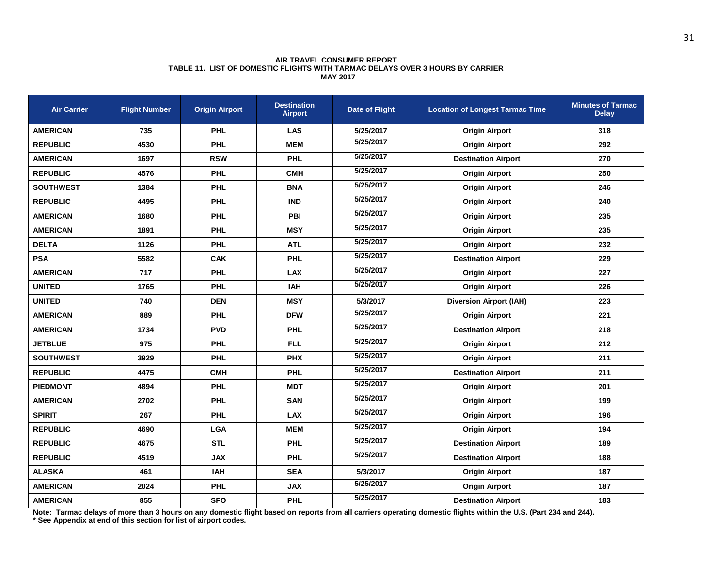#### **AIR TRAVEL CONSUMER REPORT TABLE 11. LIST OF DOMESTIC FLIGHTS WITH TARMAC DELAYS OVER 3 HOURS BY CARRIER MAY 2017**

| <b>Air Carrier</b> | <b>Flight Number</b> | <b>Origin Airport</b> | <b>Destination</b><br><b>Airport</b> | <b>Date of Flight</b> | <b>Location of Longest Tarmac Time</b> | <b>Minutes of Tarmac</b><br><b>Delay</b> |
|--------------------|----------------------|-----------------------|--------------------------------------|-----------------------|----------------------------------------|------------------------------------------|
| <b>AMERICAN</b>    | 735                  | <b>PHL</b>            | <b>LAS</b>                           | 5/25/2017             | <b>Origin Airport</b>                  | 318                                      |
| <b>REPUBLIC</b>    | 4530                 | <b>PHL</b>            | <b>MEM</b>                           | 5/25/2017             | <b>Origin Airport</b>                  | 292                                      |
| <b>AMERICAN</b>    | 1697                 | <b>RSW</b>            | <b>PHL</b>                           | 5/25/2017             | <b>Destination Airport</b>             | 270                                      |
| <b>REPUBLIC</b>    | 4576                 | <b>PHL</b>            | <b>CMH</b>                           | 5/25/2017             | <b>Origin Airport</b>                  | 250                                      |
| <b>SOUTHWEST</b>   | 1384                 | <b>PHL</b>            | <b>BNA</b>                           | 5/25/2017             | <b>Origin Airport</b>                  | 246                                      |
| <b>REPUBLIC</b>    | 4495                 | <b>PHL</b>            | <b>IND</b>                           | 5/25/2017             | <b>Origin Airport</b>                  | 240                                      |
| <b>AMERICAN</b>    | 1680                 | <b>PHL</b>            | PBI                                  | 5/25/2017             | <b>Origin Airport</b>                  | 235                                      |
| <b>AMERICAN</b>    | 1891                 | <b>PHL</b>            | <b>MSY</b>                           | 5/25/2017             | <b>Origin Airport</b>                  | 235                                      |
| <b>DELTA</b>       | 1126                 | <b>PHL</b>            | <b>ATL</b>                           | 5/25/2017             | <b>Origin Airport</b>                  | 232                                      |
| <b>PSA</b>         | 5582                 | <b>CAK</b>            | <b>PHL</b>                           | 5/25/2017             | <b>Destination Airport</b>             | 229                                      |
| <b>AMERICAN</b>    | 717                  | <b>PHL</b>            | <b>LAX</b>                           | 5/25/2017             | <b>Origin Airport</b>                  | 227                                      |
| <b>UNITED</b>      | 1765                 | <b>PHL</b>            | <b>IAH</b>                           | 5/25/2017             | <b>Origin Airport</b>                  | 226                                      |
| <b>UNITED</b>      | 740                  | <b>DEN</b>            | <b>MSY</b>                           | 5/3/2017              | <b>Diversion Airport (IAH)</b>         | 223                                      |
| <b>AMERICAN</b>    | 889                  | <b>PHL</b>            | <b>DFW</b>                           | 5/25/2017             | <b>Origin Airport</b>                  | 221                                      |
| <b>AMERICAN</b>    | 1734                 | <b>PVD</b>            | PHL                                  | 5/25/2017             | <b>Destination Airport</b>             | 218                                      |
| <b>JETBLUE</b>     | 975                  | <b>PHL</b>            | <b>FLL</b>                           | 5/25/2017             | <b>Origin Airport</b>                  | 212                                      |
| <b>SOUTHWEST</b>   | 3929                 | <b>PHL</b>            | <b>PHX</b>                           | 5/25/2017             | <b>Origin Airport</b>                  | 211                                      |
| <b>REPUBLIC</b>    | 4475                 | <b>CMH</b>            | <b>PHL</b>                           | 5/25/2017             | <b>Destination Airport</b>             | 211                                      |
| <b>PIEDMONT</b>    | 4894                 | <b>PHL</b>            | <b>MDT</b>                           | 5/25/2017             | <b>Origin Airport</b>                  | 201                                      |
| <b>AMERICAN</b>    | 2702                 | <b>PHL</b>            | <b>SAN</b>                           | 5/25/2017             | <b>Origin Airport</b>                  | 199                                      |
| <b>SPIRIT</b>      | 267                  | <b>PHL</b>            | <b>LAX</b>                           | 5/25/2017             | <b>Origin Airport</b>                  | 196                                      |
| <b>REPUBLIC</b>    | 4690                 | <b>LGA</b>            | <b>MEM</b>                           | 5/25/2017             | <b>Origin Airport</b>                  | 194                                      |
| <b>REPUBLIC</b>    | 4675                 | <b>STL</b>            | <b>PHL</b>                           | 5/25/2017             | <b>Destination Airport</b>             | 189                                      |
| <b>REPUBLIC</b>    | 4519                 | <b>JAX</b>            | PHL                                  | 5/25/2017             | <b>Destination Airport</b>             | 188                                      |
| <b>ALASKA</b>      | 461                  | <b>IAH</b>            | <b>SEA</b>                           | 5/3/2017              | <b>Origin Airport</b>                  | 187                                      |
| <b>AMERICAN</b>    | 2024                 | <b>PHL</b>            | <b>JAX</b>                           | 5/25/2017             | <b>Origin Airport</b>                  | 187                                      |
| <b>AMERICAN</b>    | 855                  | <b>SFO</b>            | <b>PHL</b>                           | 5/25/2017             | <b>Destination Airport</b>             | 183                                      |

**Note: Tarmac delays of more than 3 hours on any domestic flight based on reports from all carriers operating domestic flights within the U.S. (Part 234 and 244). \* See Appendix at end of this section for list of airport codes.**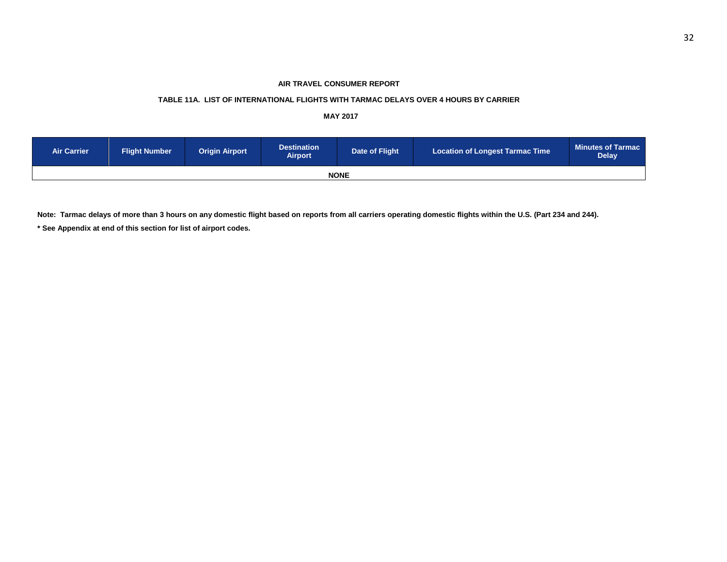## **TABLE 11A. LIST OF INTERNATIONAL FLIGHTS WITH TARMAC DELAYS OVER 4 HOURS BY CARRIER**

 **MAY 2017**

| <b>Air Carrier</b> | <b>Flight Number</b> | <b>Origin Airport</b> | Destination <sup>1</sup><br><b>Airport</b> | Date of Flight | Location of Longest Tarmac Time | <b>Minutes of Tarmac</b><br><b>Delay</b> |  |  |  |  |
|--------------------|----------------------|-----------------------|--------------------------------------------|----------------|---------------------------------|------------------------------------------|--|--|--|--|
| <b>NONE</b>        |                      |                       |                                            |                |                                 |                                          |  |  |  |  |

**Note: Tarmac delays of more than 3 hours on any domestic flight based on reports from all carriers operating domestic flights within the U.S. (Part 234 and 244).**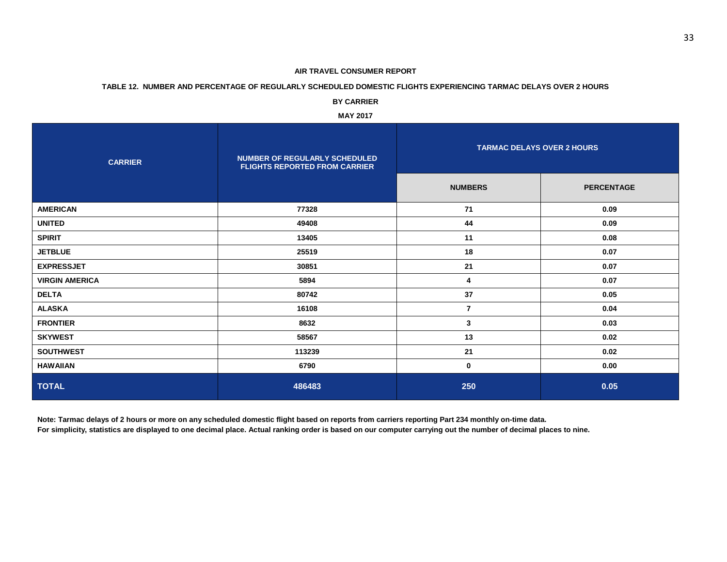## **TABLE 12. NUMBER AND PERCENTAGE OF REGULARLY SCHEDULED DOMESTIC FLIGHTS EXPERIENCING TARMAC DELAYS OVER 2 HOURS**

**BY CARRIER**

**MAY 2017**

| <b>CARRIER</b>        | <b>NUMBER OF REGULARLY SCHEDULED</b><br><b>FLIGHTS REPORTED FROM CARRIER</b> | <b>TARMAC DELAYS OVER 2 HOURS</b> |                   |  |  |  |
|-----------------------|------------------------------------------------------------------------------|-----------------------------------|-------------------|--|--|--|
|                       |                                                                              | <b>NUMBERS</b>                    | <b>PERCENTAGE</b> |  |  |  |
| <b>AMERICAN</b>       | 77328                                                                        | 71                                | 0.09              |  |  |  |
| <b>UNITED</b>         | 49408                                                                        | 44                                | 0.09              |  |  |  |
| <b>SPIRIT</b>         | 13405                                                                        | 11                                | 0.08              |  |  |  |
| <b>JETBLUE</b>        | 25519                                                                        | 18                                | 0.07              |  |  |  |
| <b>EXPRESSJET</b>     | 30851                                                                        | 21                                | 0.07              |  |  |  |
| <b>VIRGIN AMERICA</b> | 5894                                                                         | 4                                 | 0.07              |  |  |  |
| <b>DELTA</b>          | 80742                                                                        | 37                                | 0.05              |  |  |  |
| <b>ALASKA</b>         | 16108                                                                        | $\overline{7}$                    | 0.04              |  |  |  |
| <b>FRONTIER</b>       | 8632                                                                         | 3                                 | 0.03              |  |  |  |
| <b>SKYWEST</b>        | 58567                                                                        | 13                                | 0.02              |  |  |  |
| <b>SOUTHWEST</b>      | 113239                                                                       | 21                                | 0.02              |  |  |  |
| <b>HAWAIIAN</b>       | 6790                                                                         | $\bf{0}$                          | 0.00              |  |  |  |
| <b>TOTAL</b>          | 486483                                                                       | 250                               | 0.05              |  |  |  |

**Note: Tarmac delays of 2 hours or more on any scheduled domestic flight based on reports from carriers reporting Part 234 monthly on-time data. For simplicity, statistics are displayed to one decimal place. Actual ranking order is based on our computer carrying out the number of decimal places to nine.**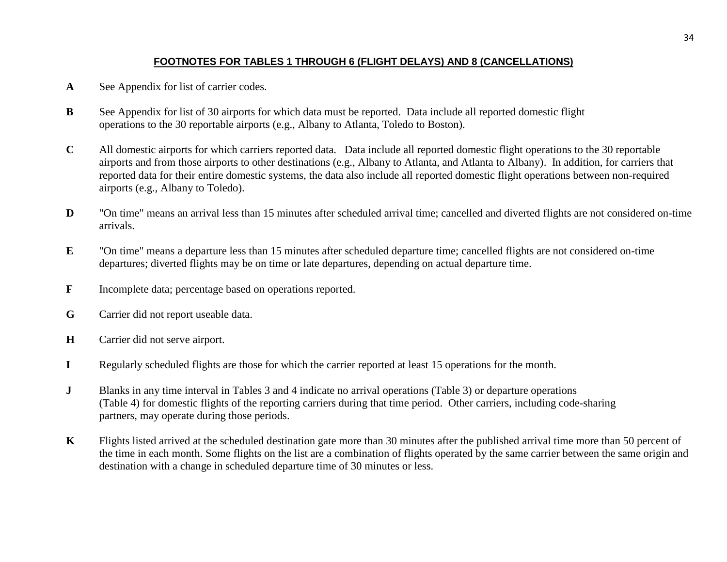# **FOOTNOTES FOR TABLES 1 THROUGH 6 (FLIGHT DELAYS) AND 8 (CANCELLATIONS)**

- **A** See Appendix for list of carrier codes.
- **B** See Appendix for list of 30 airports for which data must be reported. Data include all reported domestic flight operations to the 30 reportable airports (e.g., Albany to Atlanta, Toledo to Boston).
- **C** All domestic airports for which carriers reported data. Data include all reported domestic flight operations to the 30 reportable airports and from those airports to other destinations (e.g., Albany to Atlanta, and Atlanta to Albany). In addition, for carriers that reported data for their entire domestic systems, the data also include all reported domestic flight operations between non-required airports (e.g., Albany to Toledo).
- **D** "On time" means an arrival less than 15 minutes after scheduled arrival time; cancelled and diverted flights are not considered on-time arrivals.
- **E** "On time" means a departure less than 15 minutes after scheduled departure time; cancelled flights are not considered on-time departures; diverted flights may be on time or late departures, depending on actual departure time.
- **F** Incomplete data; percentage based on operations reported.
- **G** Carrier did not report useable data.
- **H** Carrier did not serve airport.
- **I** Regularly scheduled flights are those for which the carrier reported at least 15 operations for the month.
- **J** Blanks in any time interval in Tables 3 and 4 indicate no arrival operations (Table 3) or departure operations (Table 4) for domestic flights of the reporting carriers during that time period. Other carriers, including code-sharing partners, may operate during those periods.
- **K** Flights listed arrived at the scheduled destination gate more than 30 minutes after the published arrival time more than 50 percent of the time in each month. Some flights on the list are a combination of flights operated by the same carrier between the same origin and destination with a change in scheduled departure time of 30 minutes or less.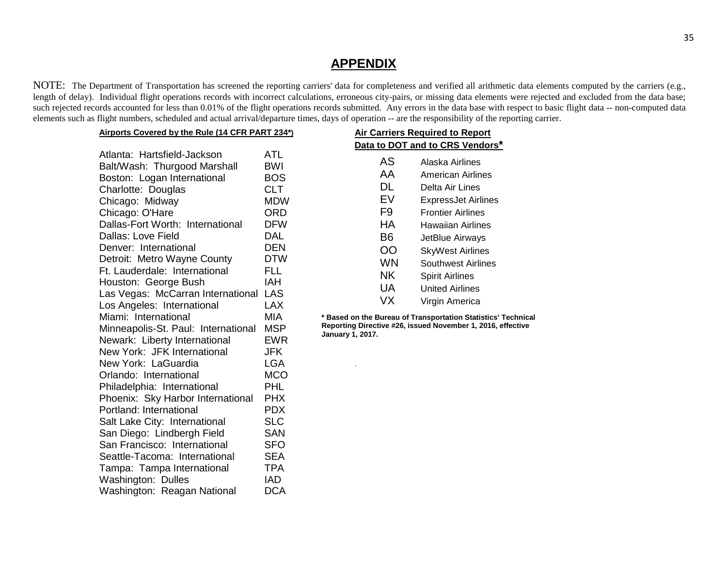# **APPENDIX**

NOTE: The Department of Transportation has screened the reporting carriers' data for completeness and verified all arithmetic data elements computed by the carriers (e.g., length of delay). Individual flight operations records with incorrect calculations, erroneous city-pairs, or missing data elements were rejected and excluded from the data base; such rejected records accounted for less than 0.01% of the flight operations records submitted. Any errors in the data base with respect to basic flight data -- non-computed data elements such as flight numbers, scheduled and actual arrival/departure times, days of operation -- are the responsibility of the reporting carrier.

| Airports Covered by the Rule (14 CFR PART 234*) |            | <b>Air Carriers Required to Repe</b>                                     |
|-------------------------------------------------|------------|--------------------------------------------------------------------------|
|                                                 |            | Data to DOT and to CRS Ven                                               |
| Atlanta: Hartsfield-Jackson                     | <b>ATL</b> | <b>AS</b><br>Alaska Airlines                                             |
| Balt/Wash: Thurgood Marshall                    | <b>BWI</b> | AA                                                                       |
| Boston: Logan International                     | <b>BOS</b> | American Airlir                                                          |
| Charlotte: Douglas                              | <b>CLT</b> | DL<br>Delta Air Lines                                                    |
| Chicago: Midway                                 | <b>MDW</b> | EV<br><b>ExpressJet Air</b>                                              |
| Chicago: O'Hare                                 | <b>ORD</b> | F <sub>9</sub><br><b>Frontier Airline</b>                                |
| Dallas-Fort Worth: International                | <b>DFW</b> | <b>HA</b><br>Hawaiian Airlin                                             |
| Dallas: Love Field                              | <b>DAL</b> | B <sub>6</sub><br>JetBlue Airway                                         |
| Denver: International                           | <b>DEN</b> | OO<br><b>SkyWest Airlin</b>                                              |
| Detroit: Metro Wayne County                     | <b>DTW</b> | <b>WN</b><br>Southwest Airli                                             |
| Ft. Lauderdale: International                   | <b>FLL</b> | <b>NK</b><br><b>Spirit Airlines</b>                                      |
| Houston: George Bush                            | <b>IAH</b> | <b>UA</b><br><b>United Airlines</b>                                      |
| Las Vegas: McCarran International LAS           |            | <b>VX</b>                                                                |
| Los Angeles: International                      | <b>LAX</b> | Virgin America                                                           |
| Miami: International                            | <b>MIA</b> | * Based on the Bureau of Transportation Stati                            |
| Minneapolis-St. Paul: International             | <b>MSP</b> | Reporting Directive #26, issued November 1, 2<br><b>January 1, 2017.</b> |
| Newark: Liberty International                   | <b>EWR</b> |                                                                          |
| New York: JFK International                     | <b>JFK</b> |                                                                          |
| New York: LaGuardia                             | <b>LGA</b> |                                                                          |
| Orlando: International                          | <b>MCO</b> |                                                                          |
| Philadelphia: International                     | <b>PHL</b> |                                                                          |
| Phoenix: Sky Harbor International               | <b>PHX</b> |                                                                          |
| Portland: International                         | <b>PDX</b> |                                                                          |
| Salt Lake City: International                   | <b>SLC</b> |                                                                          |
| San Diego: Lindbergh Field                      | SAN        |                                                                          |
| San Francisco: International                    | <b>SFO</b> |                                                                          |
| Seattle-Tacoma: International                   | <b>SEA</b> |                                                                          |
| Tampa: Tampa International                      | TPA        |                                                                          |
| <b>Washington: Dulles</b>                       | <b>IAD</b> |                                                                          |

Washington: Reagan National DCA

|     | <b>Air Carriers Required to Report</b> |
|-----|----------------------------------------|
|     | Data to DOT and to CRS Vendors*        |
| AS  | Alaska Airlines                        |
| AA  | American Airlines                      |
| DL  | Delta Air Lines                        |
| EV  | <b>ExpressJet Airlines</b>             |
| F9  | <b>Frontier Airlines</b>               |
| НA  | Hawaiian Airlines                      |
| B6  | JetBlue Airways                        |
| OO  | <b>SkyWest Airlines</b>                |
| WN  | Southwest Airlines                     |
| NΚ  | <b>Spirit Airlines</b>                 |
| UA  | <b>United Airlines</b>                 |
| \/X | Virgin America                         |

**tion Statistics' Technical Report 1, 2016, effective**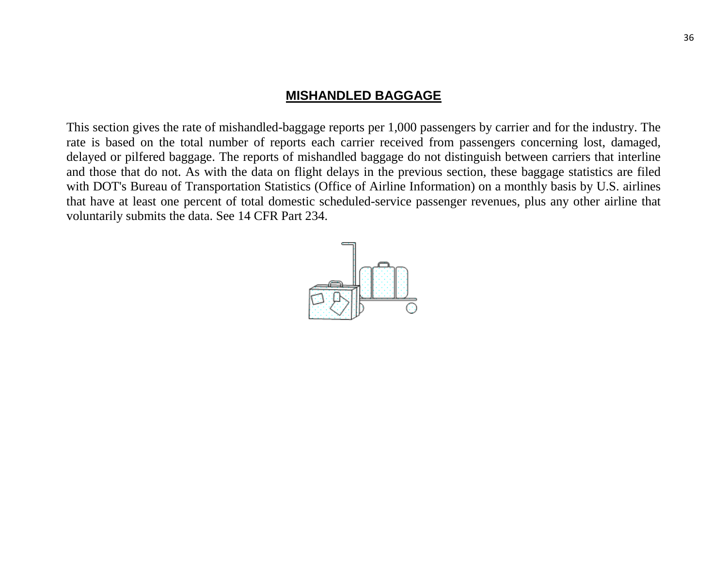# **MISHANDLED BAGGAGE**

This section gives the rate of mishandled-baggage reports per 1,000 passengers by carrier and for the industry. The rate is based on the total number of reports each carrier received from passengers concerning lost, damaged, delayed or pilfered baggage. The reports of mishandled baggage do not distinguish between carriers that interline and those that do not. As with the data on flight delays in the previous section, these baggage statistics are filed with DOT's Bureau of Transportation Statistics (Office of Airline Information) on a monthly basis by U.S. airlines that have at least one percent of total domestic scheduled-service passenger revenues, plus any other airline that voluntarily submits the data. See 14 CFR Part 234.

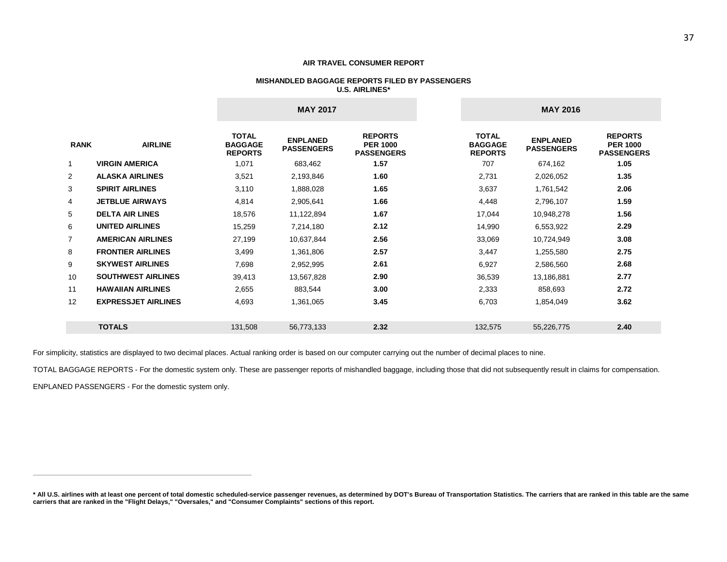#### **MISHANDLED BAGGAGE REPORTS FILED BY PASSENGERS U.S. AIRLINES\***

|             |                            |                                                  | <b>MAY 2017</b>                      |                                                        | <b>MAY 2016</b>                                  |                                      |                                                        |
|-------------|----------------------------|--------------------------------------------------|--------------------------------------|--------------------------------------------------------|--------------------------------------------------|--------------------------------------|--------------------------------------------------------|
| <b>RANK</b> | <b>AIRLINE</b>             | <b>TOTAL</b><br><b>BAGGAGE</b><br><b>REPORTS</b> | <b>ENPLANED</b><br><b>PASSENGERS</b> | <b>REPORTS</b><br><b>PER 1000</b><br><b>PASSENGERS</b> | <b>TOTAL</b><br><b>BAGGAGE</b><br><b>REPORTS</b> | <b>ENPLANED</b><br><b>PASSENGERS</b> | <b>REPORTS</b><br><b>PER 1000</b><br><b>PASSENGERS</b> |
|             | <b>VIRGIN AMERICA</b>      | 1,071                                            | 683,462                              | 1.57                                                   | 707                                              | 674,162                              | 1.05                                                   |
| 2           | <b>ALASKA AIRLINES</b>     | 3,521                                            | 2,193,846                            | 1.60                                                   | 2,731                                            | 2,026,052                            | 1.35                                                   |
| 3           | <b>SPIRIT AIRLINES</b>     | 3,110                                            | 1,888,028                            | 1.65                                                   | 3,637                                            | 1,761,542                            | 2.06                                                   |
| 4           | <b>JETBLUE AIRWAYS</b>     | 4,814                                            | 2,905,641                            | 1.66                                                   | 4,448                                            | 2,796,107                            | 1.59                                                   |
| 5           | <b>DELTA AIR LINES</b>     | 18,576                                           | 11,122,894                           | 1.67                                                   | 17,044                                           | 10,948,278                           | 1.56                                                   |
| 6           | <b>UNITED AIRLINES</b>     | 15,259                                           | 7,214,180                            | 2.12                                                   | 14,990                                           | 6,553,922                            | 2.29                                                   |
|             | <b>AMERICAN AIRLINES</b>   | 27,199                                           | 10,637,844                           | 2.56                                                   | 33,069                                           | 10,724,949                           | 3.08                                                   |
| 8           | <b>FRONTIER AIRLINES</b>   | 3,499                                            | 1,361,806                            | 2.57                                                   | 3,447                                            | 1,255,580                            | 2.75                                                   |
| 9           | <b>SKYWEST AIRLINES</b>    | 7,698                                            | 2,952,995                            | 2.61                                                   | 6,927                                            | 2,586,560                            | 2.68                                                   |
| 10          | <b>SOUTHWEST AIRLINES</b>  | 39,413                                           | 13,567,828                           | 2.90                                                   | 36,539                                           | 13,186,881                           | 2.77                                                   |
| 11          | <b>HAWAIIAN AIRLINES</b>   | 2,655                                            | 883,544                              | 3.00                                                   | 2,333                                            | 858,693                              | 2.72                                                   |
| 12          | <b>EXPRESSJET AIRLINES</b> | 4,693                                            | 1,361,065                            | 3.45                                                   | 6,703                                            | 1,854,049                            | 3.62                                                   |
|             |                            |                                                  |                                      |                                                        |                                                  |                                      |                                                        |
|             | <b>TOTALS</b>              | 131,508                                          | 56,773,133                           | 2.32                                                   | 132,575                                          | 55,226,775                           | 2.40                                                   |
|             |                            |                                                  |                                      |                                                        |                                                  |                                      |                                                        |

For simplicity, statistics are displayed to two decimal places. Actual ranking order is based on our computer carrying out the number of decimal places to nine.

TOTAL BAGGAGE REPORTS - For the domestic system only. These are passenger reports of mishandled baggage, including those that did not subsequently result in claims for compensation.

ENPLANED PASSENGERS - For the domestic system only.

<sup>\*</sup> All U.S. airlines with at least one percent of total domestic scheduled-service passenger revenues, as determined by DOT's Bureau of Transportation Statistics. The carriers that are ranked in this table are the same **carriers that are ranked in the "Flight Delays," "Oversales," and "Consumer Complaints" sections of this report.**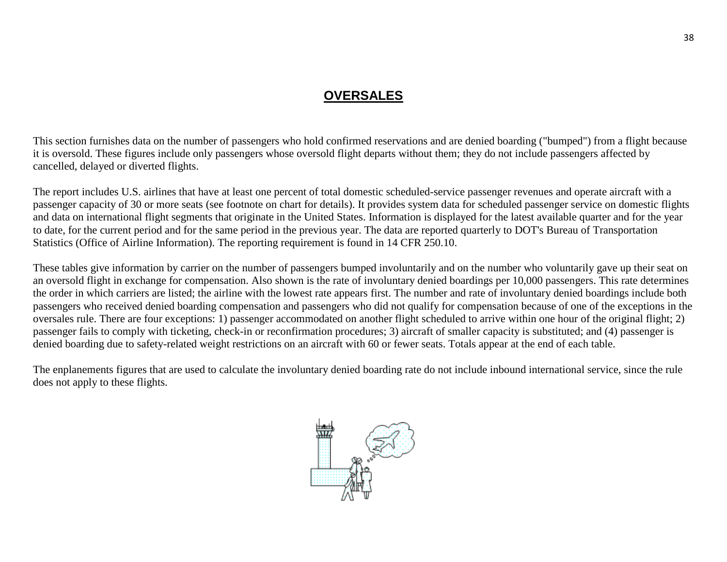# **OVERSALES**

This section furnishes data on the number of passengers who hold confirmed reservations and are denied boarding ("bumped") from a flight because it is oversold. These figures include only passengers whose oversold flight departs without them; they do not include passengers affected by cancelled, delayed or diverted flights.

The report includes U.S. airlines that have at least one percent of total domestic scheduled-service passenger revenues and operate aircraft with a passenger capacity of 30 or more seats (see footnote on chart for details). It provides system data for scheduled passenger service on domestic flights and data on international flight segments that originate in the United States. Information is displayed for the latest available quarter and for the year to date, for the current period and for the same period in the previous year. The data are reported quarterly to DOT's Bureau of Transportation Statistics (Office of Airline Information). The reporting requirement is found in 14 CFR 250.10.

These tables give information by carrier on the number of passengers bumped involuntarily and on the number who voluntarily gave up their seat on an oversold flight in exchange for compensation. Also shown is the rate of involuntary denied boardings per 10,000 passengers. This rate determines the order in which carriers are listed; the airline with the lowest rate appears first. The number and rate of involuntary denied boardings include both passengers who received denied boarding compensation and passengers who did not qualify for compensation because of one of the exceptions in the oversales rule. There are four exceptions: 1) passenger accommodated on another flight scheduled to arrive within one hour of the original flight; 2) passenger fails to comply with ticketing, check-in or reconfirmation procedures; 3) aircraft of smaller capacity is substituted; and (4) passenger is denied boarding due to safety-related weight restrictions on an aircraft with 60 or fewer seats. Totals appear at the end of each table.

The enplanements figures that are used to calculate the involuntary denied boarding rate do not include inbound international service, since the rule does not apply to these flights.

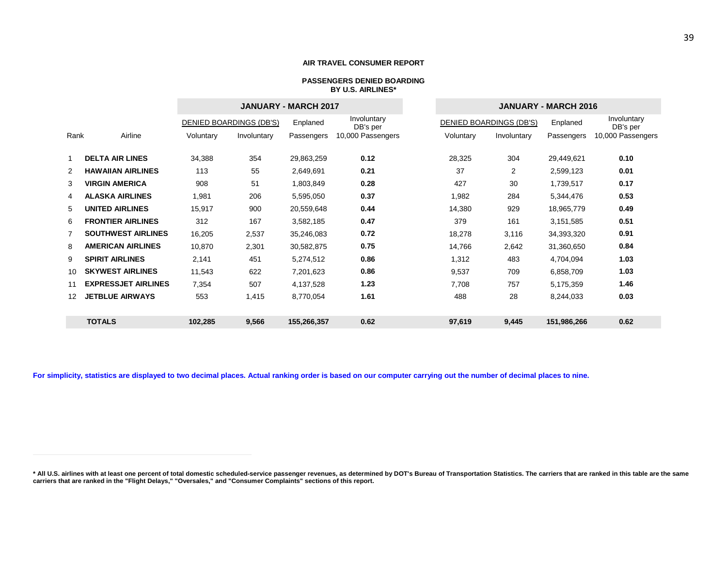#### **PASSENGERS DENIED BOARDING BY U.S. AIRLINES\***

|                |                                                                | <b>JANUARY - MARCH 2017</b> |             |             | <b>JANUARY - MARCH 2016</b> |                                                                |                |             |                   |  |
|----------------|----------------------------------------------------------------|-----------------------------|-------------|-------------|-----------------------------|----------------------------------------------------------------|----------------|-------------|-------------------|--|
|                | Involuntary<br>DENIED BOARDINGS (DB'S)<br>Enplaned<br>DB's per |                             |             |             |                             | Involuntary<br>DENIED BOARDINGS (DB'S)<br>Enplaned<br>DB's per |                |             |                   |  |
| Rank           | Airline                                                        | Voluntary                   | Involuntary | Passengers  | 10,000 Passengers           | Voluntary                                                      | Involuntary    | Passengers  | 10,000 Passengers |  |
|                |                                                                |                             |             |             |                             |                                                                |                |             |                   |  |
|                | <b>DELTA AIR LINES</b>                                         | 34,388                      | 354         | 29,863,259  | 0.12                        | 28,325                                                         | 304            | 29,449,621  | 0.10              |  |
| $\overline{2}$ | <b>HAWAIIAN AIRLINES</b>                                       | 113                         | 55          | 2,649,691   | 0.21                        | 37                                                             | $\overline{2}$ | 2,599,123   | 0.01              |  |
| 3              | <b>VIRGIN AMERICA</b>                                          | 908                         | 51          | 1,803,849   | 0.28                        | 427                                                            | 30             | 1,739,517   | 0.17              |  |
| 4              | <b>ALASKA AIRLINES</b>                                         | 1,981                       | 206         | 5,595,050   | 0.37                        | 1,982                                                          | 284            | 5,344,476   | 0.53              |  |
| 5              | <b>UNITED AIRLINES</b>                                         | 15,917                      | 900         | 20,559,648  | 0.44                        | 14,380                                                         | 929            | 18,965,779  | 0.49              |  |
| 6              | <b>FRONTIER AIRLINES</b>                                       | 312                         | 167         | 3,582,185   | 0.47                        | 379                                                            | 161            | 3,151,585   | 0.51              |  |
|                | <b>SOUTHWEST AIRLINES</b>                                      | 16,205                      | 2,537       | 35,246,083  | 0.72                        | 18,278                                                         | 3,116          | 34,393,320  | 0.91              |  |
| 8              | <b>AMERICAN AIRLINES</b>                                       | 10,870                      | 2,301       | 30,582,875  | 0.75                        | 14,766                                                         | 2,642          | 31,360,650  | 0.84              |  |
| 9              | <b>SPIRIT AIRLINES</b>                                         | 2,141                       | 451         | 5,274,512   | 0.86                        | 1,312                                                          | 483            | 4,704,094   | 1.03              |  |
| 10             | <b>SKYWEST AIRLINES</b>                                        | 11,543                      | 622         | 7,201,623   | 0.86                        | 9,537                                                          | 709            | 6,858,709   | 1.03              |  |
| 11             | <b>EXPRESSJET AIRLINES</b>                                     | 7,354                       | 507         | 4,137,528   | 1.23                        | 7,708                                                          | 757            | 5,175,359   | 1.46              |  |
| 12             | <b>JETBLUE AIRWAYS</b>                                         | 553                         | 1,415       | 8,770,054   | 1.61                        | 488                                                            | 28             | 8,244,033   | 0.03              |  |
|                |                                                                |                             |             |             |                             |                                                                |                |             |                   |  |
|                | <b>TOTALS</b>                                                  | 102,285                     | 9,566       | 155,266,357 | 0.62                        | 97,619                                                         | 9,445          | 151,986,266 | 0.62              |  |

**For simplicity, statistics are displayed to two decimal places. Actual ranking order is based on our computer carrying out the number of decimal places to nine.**

<sup>\*</sup> All U.S. airlines with at least one percent of total domestic scheduled-service passenger revenues, as determined by DOT's Bureau of Transportation Statistics. The carriers that are ranked in this table are the same **carriers that are ranked in the "Flight Delays," "Oversales," and "Consumer Complaints" sections of this report.**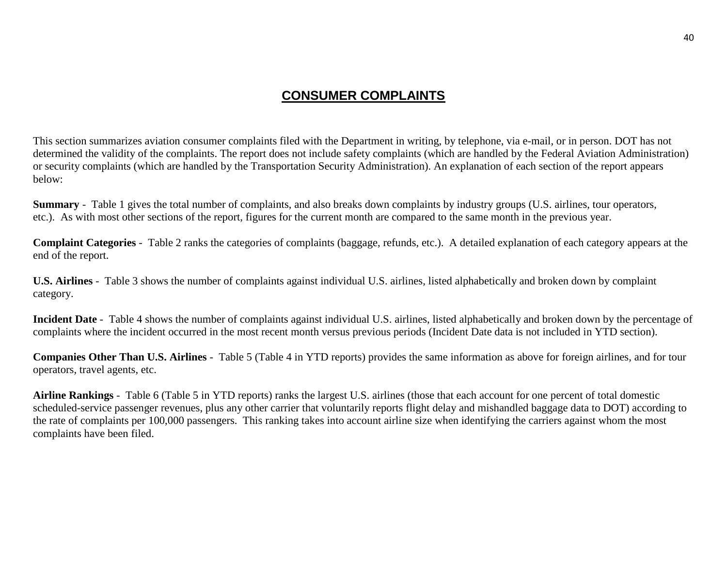# **CONSUMER COMPLAINTS**

This section summarizes aviation consumer complaints filed with the Department in writing, by telephone, via e-mail, or in person. DOT has not determined the validity of the complaints. The report does not include safety complaints (which are handled by the Federal Aviation Administration) or security complaints (which are handled by the Transportation Security Administration). An explanation of each section of the report appears below:

**Summary** - Table 1 gives the total number of complaints, and also breaks down complaints by industry groups (U.S. airlines, tour operators, etc.). As with most other sections of the report, figures for the current month are compared to the same month in the previous year.

**Complaint Categories** - Table 2 ranks the categories of complaints (baggage, refunds, etc.). A detailed explanation of each category appears at the end of the report.

**U.S. Airlines** - Table 3 shows the number of complaints against individual U.S. airlines, listed alphabetically and broken down by complaint category.

**Incident Date** - Table 4 shows the number of complaints against individual U.S. airlines, listed alphabetically and broken down by the percentage of complaints where the incident occurred in the most recent month versus previous periods (Incident Date data is not included in YTD section).

**Companies Other Than U.S. Airlines** - Table 5 (Table 4 in YTD reports) provides the same information as above for foreign airlines, and for tour operators, travel agents, etc.

**Airline Rankings** - Table 6 (Table 5 in YTD reports) ranks the largest U.S. airlines (those that each account for one percent of total domestic scheduled-service passenger revenues, plus any other carrier that voluntarily reports flight delay and mishandled baggage data to DOT) according to the rate of complaints per 100,000 passengers. This ranking takes into account airline size when identifying the carriers against whom the most complaints have been filed.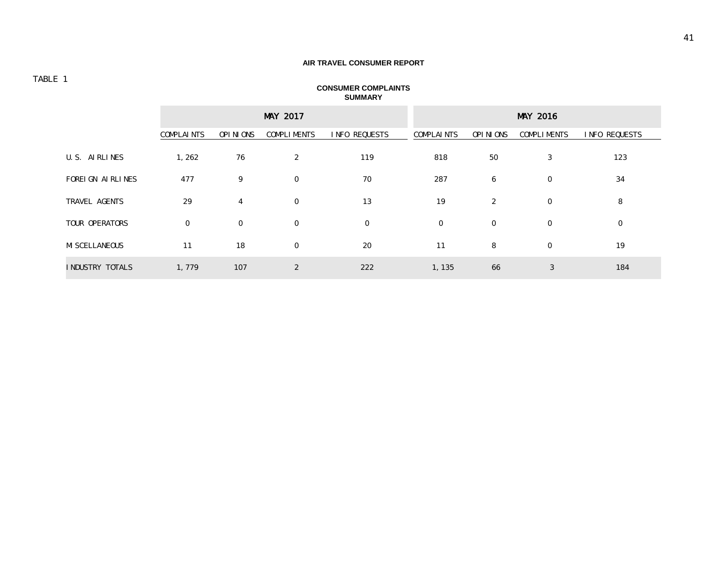# TABLE 1

## **CONSUMER COMPLAINTS SUMMARY**

|                       |                   |                 | <b>MAY 2017</b>    |                      | <b>MAY 2016</b>   |                  |                    |                      |  |  |
|-----------------------|-------------------|-----------------|--------------------|----------------------|-------------------|------------------|--------------------|----------------------|--|--|
|                       | <b>COMPLAINTS</b> | <b>OPINIONS</b> | <b>COMPLIMENTS</b> | <b>INFO REQUESTS</b> | <b>COMPLAINTS</b> | OPINIONS         | <b>COMPLIMENTS</b> | <b>INFO REQUESTS</b> |  |  |
| U.S. AIRLINES         | 1,262             | 76              | $\mathbf{2}$       | 119                  | 818               | 50               | 3                  | 123                  |  |  |
| FOREI GN AIRLINES     | 477               | 9               | $\bf{0}$           | 70                   | 287               | 6                | $\bf{0}$           | 34                   |  |  |
| <b>TRAVEL AGENTS</b>  | 29                | 4               | $\mathbf{0}$       | 13                   | 19                | $\boldsymbol{2}$ | $\bf{0}$           | 8                    |  |  |
| <b>TOUR OPERATORS</b> | $\bf{0}$          | $\bf{0}$        | $\mathbf{0}$       | $\bf{0}$             | $\bf{0}$          | $\bf{0}$         | $\bf{0}$           | $\bf{0}$             |  |  |
| <b>MI SCELLANEOUS</b> | 11                | 18              | $\mathbf{0}$       | 20                   | 11                | 8                | $\bf{0}$           | 19                   |  |  |
| INDUSTRY TOTALS       | 1,779             | 107             | $\mathbf{2}$       | 222                  | 1, 135            | 66               | 3                  | 184                  |  |  |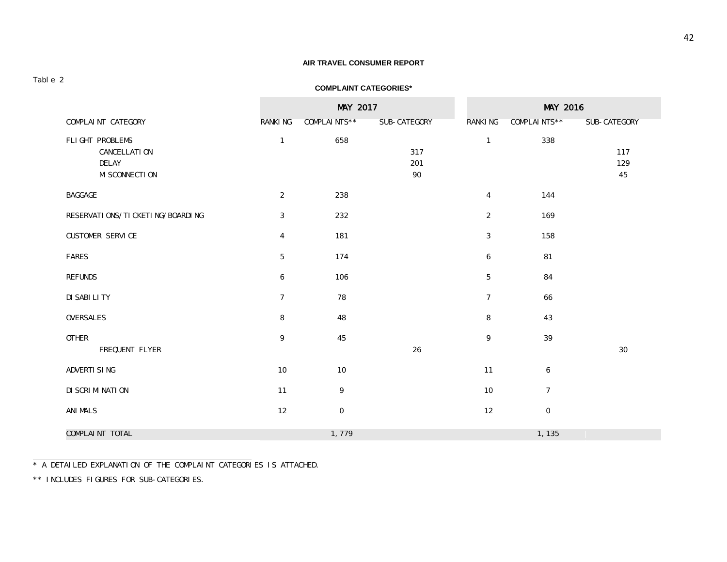#### Table 2

#### **COMPLAINT CATEGORIES\***

|                                                                           |                         | <b>MAY 2017</b>     |                     |                         | <b>MAY 2016</b> |                     |  |  |
|---------------------------------------------------------------------------|-------------------------|---------------------|---------------------|-------------------------|-----------------|---------------------|--|--|
| COMPLAINT CATEGORY                                                        | <b>RANKING</b>          | <b>COMPLAINTS**</b> | <b>SUB-CATEGORY</b> | <b>RANKING</b>          | COMPLAINTS**    | <b>SUB-CATEGORY</b> |  |  |
| FLIGHT PROBLEMS<br><b>CANCELLATION</b><br><b>DELAY</b><br>MI SCONNECTI ON | $\mathbf{1}$            | 658                 | 317<br>201<br>90    | $\mathbf{1}$            | 338             | 117<br>129<br>45    |  |  |
| <b>BAGGAGE</b>                                                            | $\boldsymbol{2}$        | 238                 |                     | $\overline{\mathbf{4}}$ | 144             |                     |  |  |
| RESERVATI ONS/TI CKETI NG/BOARDI NG                                       | 3                       | 232                 |                     | $\boldsymbol{2}$        | 169             |                     |  |  |
| <b>CUSTOMER SERVICE</b>                                                   | $\overline{\mathbf{4}}$ | 181                 |                     | $\bf 3$                 | 158             |                     |  |  |
| <b>FARES</b>                                                              | $\overline{5}$          | 174                 |                     | $\bf 6$                 | 81              |                     |  |  |
| <b>REFUNDS</b>                                                            | $6\phantom{1}6$         | 106                 |                     | ${\bf 5}$               | 84              |                     |  |  |
| DI SABI LI TY                                                             | $\boldsymbol{7}$        | 78                  |                     | $\tau$                  | 66              |                     |  |  |
| <b>OVERSALES</b>                                                          | 8                       | 48                  |                     | 8                       | 43              |                     |  |  |
| <b>OTHER</b><br>FREQUENT FLYER                                            | 9                       | 45                  | 26                  | 9                       | 39              | 30                  |  |  |
| ADVERTI SI NG                                                             | 10                      | 10                  |                     | 11                      | $\bf{6}$        |                     |  |  |
| DI SCRI MI NATI ON                                                        | 11                      | $\boldsymbol{9}$    |                     | 10                      | $\tau$          |                     |  |  |
| <b>ANI MALS</b>                                                           | 12                      | $\boldsymbol{0}$    |                     | 12                      | $\bf{0}$        |                     |  |  |
| <b>COMPLAINT TOTAL</b>                                                    |                         | 1,779               |                     |                         | 1, 135          |                     |  |  |

\* A DETAILED EXPLANATION OF THE COMPLAINT CATEGORIES IS ATTACHED.

\*\* INCLUDES FIGURES FOR SUB-CATEGORIES.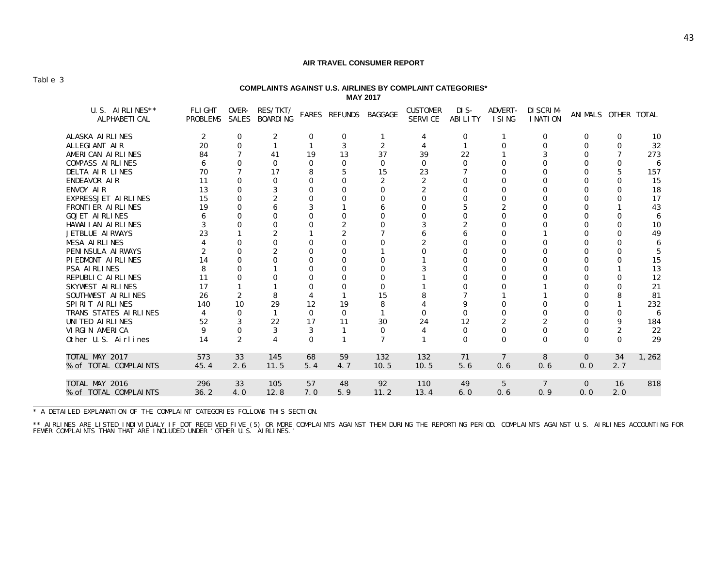Table 3

#### **COMPLAINTS AGAINST U.S. AIRLINES BY COMPLAINT CATEGORIES\* MAY 2017**

| U.S. AIRLINES**<br><b>ALPHABETI CAL</b> | <b>FLIGHT</b><br><b>PROBLEMS</b> | OVER-<br><b>SALES</b> | RES/TKT/<br><b>BOARDING</b> |              | FARES REFUNDS BAGGAGE |              | <b>CUSTOMER</b><br><b>SERVICE</b> | DI S-<br><b>ABILITY</b> | <b>ADVERT-</b><br>I SING | DI SCRIM-<br>I NATI ON | ANIMALS OTHER TOTAL |          |       |
|-----------------------------------------|----------------------------------|-----------------------|-----------------------------|--------------|-----------------------|--------------|-----------------------------------|-------------------------|--------------------------|------------------------|---------------------|----------|-------|
| <b>ALASKA AIRLINES</b>                  | 2                                | $\bf{0}$              | 2                           | 0            | 0                     |              | 4                                 | 0                       |                          | $\bf{0}$               | 0                   | $\bf{0}$ | 10    |
| ALLEGIANT AIR                           | 20                               | $\Omega$              |                             |              | 3                     | $\mathbf{2}$ | 4                                 |                         | 0                        | $\Omega$               | 0                   | $\Omega$ | 32    |
| AMERICAN AIRLINES                       | 84                               |                       | 41                          | 19           | 13                    | 37           | 39                                | 22                      |                          |                        |                     |          | 273   |
| <b>COMPASS AIRLINES</b>                 | 6                                |                       | $\mathbf{0}$                | $\Omega$     |                       | $\mathbf{0}$ | $\mathbf{0}$                      | $\Omega$                |                          |                        |                     |          | 6     |
| DELTA AIR LINES                         | 70                               |                       | 17                          | 8            |                       | 15           | 23                                |                         |                          |                        |                     | 5        | 157   |
| ENDEAVOR AIR                            | 11                               | 0                     | $\mathbf{0}$                | $\Omega$     |                       | 2.           | $\overline{2}$                    | $\Omega$                |                          |                        |                     | 0        | 15    |
| ENVOY AIR                               | 13                               |                       |                             | 0            |                       |              | 2                                 |                         |                          |                        |                     |          | 18    |
| <b>EXPRESSJET AIRLINES</b>              | 15                               |                       | 2                           |              |                       |              |                                   |                         |                          |                        |                     |          | 17    |
| <b>FRONTI ER AIRLINES</b>               | 19                               | 0                     |                             |              |                       |              |                                   | 5                       |                          |                        |                     |          | 43    |
| <b>GOJET AIRLINES</b>                   |                                  | 0                     | 0                           |              |                       |              |                                   |                         |                          |                        |                     |          | 6     |
| HAWAI I AN AI RLINES                    |                                  |                       |                             |              |                       |              |                                   |                         |                          |                        |                     |          | 10    |
| <b>JETBLUE AIRWAYS</b>                  | 23                               |                       |                             |              |                       |              |                                   |                         |                          |                        |                     |          | 49    |
| <b>MESA AIRLINES</b>                    |                                  |                       |                             |              |                       |              |                                   |                         |                          |                        |                     |          | 6     |
| PENINSULA AIRWAYS                       |                                  |                       |                             |              |                       |              |                                   |                         |                          |                        |                     |          |       |
| PI EDMONT AIRLINES                      | 14                               |                       |                             |              |                       |              |                                   |                         |                          |                        |                     |          | 15    |
| <b>PSA AIRLINES</b>                     |                                  |                       |                             |              |                       |              |                                   |                         |                          |                        |                     |          | 13    |
| REPUBLIC AIRLINES                       | 11                               |                       |                             |              |                       |              |                                   |                         |                          |                        |                     |          | 12    |
| <b>SKYWEST AIRLINES</b>                 | 17                               |                       |                             | $\Omega$     |                       |              |                                   |                         |                          |                        |                     | $\Omega$ | 21    |
| SOUTHWEST AIRLINES                      | 26                               |                       |                             |              |                       | 15           |                                   |                         |                          |                        |                     |          | 81    |
| SPIRIT AIRLINES                         | 140                              | 10                    | 29                          | 12           | 19                    |              |                                   |                         |                          |                        |                     |          | 232   |
| TRANS STATES AIRLINES                   | 4                                | $\Omega$              |                             | $\mathbf{0}$ |                       |              |                                   | 0                       |                          |                        |                     |          | 6     |
| UNITED AIRLINES                         | 52                               |                       | 22                          | 17           | 11                    | 30           | 24                                | 12                      |                          |                        |                     | 9        | 184   |
| VIRGIN AMERICA                          | 9                                | $\Omega$              | 3                           | 3            |                       | 0            | 4                                 | $\Omega$                | 0                        | $\Omega$               | 0                   |          | 22    |
| Other U.S. Airlines                     | 14                               | $\overline{2}$        | 4                           | $\mathbf{0}$ |                       | 7            |                                   | $\Omega$                | 0                        | $\Omega$               | $\Omega$            | $\Omega$ | 29    |
| TOTAL MAY 2017                          | 573                              | 33                    | 145                         | 68           | 59                    | 132          | 132                               | 71                      | $\mathbf 7$              | 8                      | $\bf{0}$            | 34       | 1,262 |
| % of TOTAL COMPLAINTS                   | 45.4                             | 2.6                   | 11.5                        | 5.4          | 4.7                   | 10.5         | 10.5                              | 5.6                     | 0.6                      | 0.6                    | 0.0                 | 2.7      |       |
| TOTAL MAY 2016                          | 296                              | 33                    | 105                         | 57           | 48                    | 92           | 110                               | 49                      | $5\overline{)}$          | 7                      | $\Omega$            | 16       | 818   |
| % of TOTAL COMPLAINTS                   | 36.2                             | 4.0                   | 12.8                        | 7.0          | 5.9                   | 11.2         | 13.4                              | 6.0                     | 0.6                      | 0.9                    | 0.0                 | 2.0      |       |

\* A DETAILED EXPLANATION OF THE COMPLAINT CATEGORIES FOLLOWS THIS SECTION.

\*\* AIRLINES ARE LISTED INDIVIDUALY IF DOT RECEIVED FIVE (5) OR MORE COMPLAINTS AGAINST THEM DURING THE REPORTING PERIOD. COMPLAINTS AGAINST U.S. AIRLINES ACCOUNTING FOR<br>FEWER COMPLAINTS THAN THAT ARE INCLUDED UNDER 'OTHER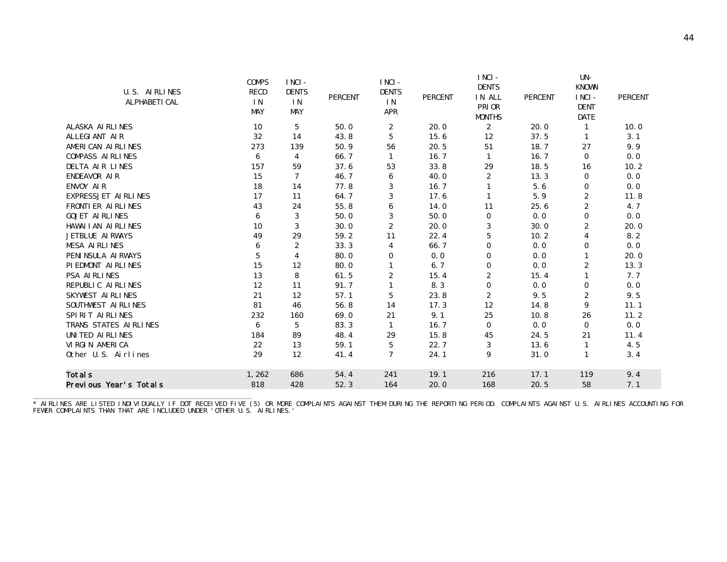| U.S. AIRLINES<br>ALPHABETI CAL | <b>COMPS</b><br><b>RECD</b><br>IN<br><b>MAY</b> | INCI-<br><b>DENTS</b><br>IN<br><b>MAY</b> | <b>PERCENT</b> | INCI-<br><b>DENTS</b><br>IN<br><b>APR</b> | <b>PERCENT</b> | INCI-<br><b>DENTS</b><br>IN ALL<br>PRI OR<br><b>MONTHS</b> | <b>PERCENT</b> | $UN -$<br><b>KNOWN</b><br>INCI-<br><b>DENT</b><br><b>DATE</b> | <b>PERCENT</b> |
|--------------------------------|-------------------------------------------------|-------------------------------------------|----------------|-------------------------------------------|----------------|------------------------------------------------------------|----------------|---------------------------------------------------------------|----------------|
| ALASKA AIRLINES                | 10                                              | $\sqrt{5}$                                | 50.0           | 2                                         | 20.0           | $\boldsymbol{2}$                                           | 20.0           | 1                                                             | 10.0           |
| ALLEGIANT AIR                  | 32                                              | 14                                        | 43.8           | 5                                         | 15.6           | 12                                                         | 37.5           | 1                                                             | 3.1            |
| AMERICAN AIRLINES              | 273                                             | 139                                       | 50.9           | 56                                        | 20.5           | 51                                                         | 18.7           | 27                                                            | 9.9            |
| <b>COMPASS AIRLINES</b>        | 6                                               | 4                                         | 66.7           | 1                                         | 16.7           | 1                                                          | 16.7           | $\bf{0}$                                                      | 0.0            |
| DELTA AIR LINES                | 157                                             | 59                                        | 37.6           | 53                                        | 33.8           | 29                                                         | 18.5           | 16                                                            | 10.2           |
| ENDEAVOR AIR                   | 15                                              | 7                                         | 46.7           | 6                                         | 40.0           | 2                                                          | 13.3           | $\bf{0}$                                                      | 0.0            |
| ENVOY AIR                      | 18                                              | 14                                        | 77.8           | 3                                         | 16.7           |                                                            | 5.6            | 0                                                             | 0.0            |
| <b>EXPRESSJET AIRLINES</b>     | 17                                              | 11                                        | 64.7           | 3                                         | 17.6           | 1                                                          | 5.9            | $\boldsymbol{2}$                                              | 11.8           |
| FRONTI ER AI RLINES            | 43                                              | 24                                        | 55.8           | 6                                         | 14.0           | 11                                                         | 25.6           | $\boldsymbol{2}$                                              | 4.7            |
| <b>GOJET AIRLINES</b>          | 6                                               | 3                                         | 50.0           | 3                                         | 50.0           | $\bf{0}$                                                   | 0.0            | $\bf{0}$                                                      | 0.0            |
| HAWAI I AN AI RLINES           | 10                                              | 3                                         | 30.0           | $\boldsymbol{2}$                          | 20.0           | 3                                                          | 30.0           | $\boldsymbol{2}$                                              | 20.0           |
| JETBLUE AIRWAYS                | 49                                              | 29                                        | 59.2           | 11                                        | 22.4           | 5                                                          | 10.2           | $\overline{4}$                                                | 8.2            |
| <b>MESA AIRLINES</b>           | 6                                               | $\boldsymbol{2}$                          | 33.3           | $\overline{4}$                            | 66.7           | $\bf{0}$                                                   | 0.0            | $\bf{0}$                                                      | 0.0            |
| PENINSULA AIRWAYS              | 5                                               | 4                                         | 80.0           | $\bf{0}$                                  | 0.0            | $\Omega$                                                   | 0.0            | $\mathbf{1}$                                                  | 20.0           |
| PI EDMONT AIRLINES             | 15                                              | 12                                        | 80.0           | 1                                         | 6.7            | $\bf{0}$                                                   | 0.0            | $\boldsymbol{2}$                                              | 13.3           |
| <b>PSA AIRLINES</b>            | 13                                              | 8                                         | 61.5           | $\boldsymbol{2}$                          | 15.4           | $\boldsymbol{2}$                                           | 15.4           |                                                               | 7.7            |
| REPUBLIC AIRLINES              | 12                                              | 11                                        | 91.7           | $\mathbf{1}$                              | 8.3            | $\bf{0}$                                                   | 0.0            | $\Omega$                                                      | 0.0            |
| SKYWEST AIRLINES               | 21                                              | 12                                        | 57.1           | 5                                         | 23.8           | 2                                                          | 9.5            | 2                                                             | 9.5            |
| SOUTHWEST AIRLINES             | 81                                              | 46                                        | 56.8           | 14                                        | 17.3           | 12                                                         | 14.8           | 9                                                             | 11.1           |
| SPIRIT AIRLINES                | 232                                             | 160                                       | 69.0           | 21                                        | 9.1            | 25                                                         | 10.8           | 26                                                            | 11.2           |
| TRANS STATES AIRLINES          | 6                                               | 5                                         | 83.3           | 1                                         | 16.7           | $\bf{0}$                                                   | 0.0            | $\bf{0}$                                                      | 0.0            |
| UNITED AIRLINES                | 184                                             | 89                                        | 48.4           | 29                                        | 15.8           | 45                                                         | 24.5           | 21                                                            | 11.4           |
| VIRGIN AMERICA                 | 22                                              | 13                                        | 59.1           | 5                                         | 22.7           | 3                                                          | 13.6           | 1                                                             | 4.5            |
| Other U.S. Airlines            | 29                                              | 12                                        | 41.4           | 7                                         | 24.1           | 9                                                          | 31.0           | 1                                                             | 3.4            |
| <b>Totals</b>                  | 1,262                                           | 686                                       | 54.4           | 241                                       | 19.1           | 216                                                        | 17.1           | 119                                                           | 9.4            |
| Previous Year's Totals         | 818                                             | 428                                       | 52.3           | 164                                       | 20.0           | 168                                                        | 20.5           | 58                                                            | 7.1            |

\* AIRLINES ARE LISTED INDIVIDUALLY IF DOT RECEIVED FIVE (5) OR MORE COMPLAINTS AGAINST THEM DURING THE REPORTING PERIOD. COMPLAINTS AGAINST U.S. AIRLINES ACCOUNTING FOR<br>FEWER COMPLAINTS THAN THAT ARE INCLUDED UNDER 'OTHER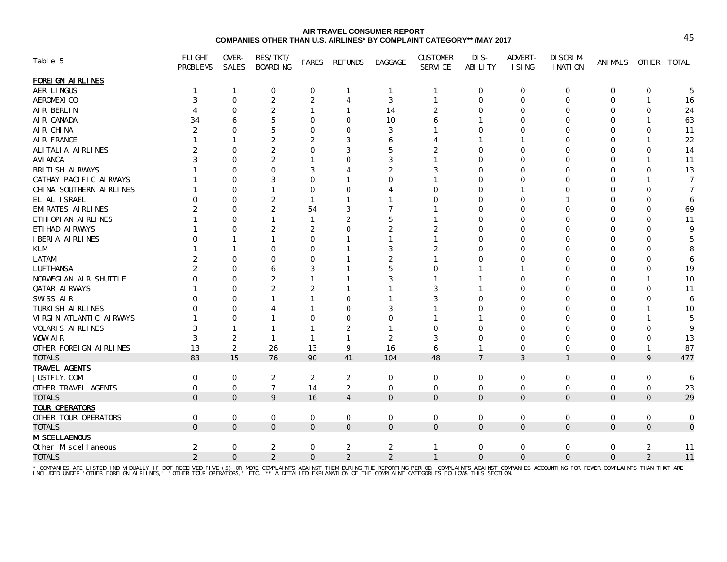## **AIR TRAVEL CONSUMER REPORT COMPANIES OTHER THAN U.S. AIRLINES\* BY COMPLAINT CATEGORY\*\* /MAY 2017**

| Table 5                    | <b>FLIGHT</b><br><b>PROBLEMS</b> | OVER-<br><b>SALES</b> | RES/TKT/<br><b>BOARDING</b> | <b>FARES</b>     | <b>REFUNDS</b>   | <b>BAGGAGE</b>   | <b>CUSTOMER</b><br><b>SERVICE</b> | DI S-<br><b>ABILITY</b> | <b>ADVERT-</b><br>I SING | DI SCRIM-<br>I NATI ON | <b>ANI MALS</b> | <b>OTHER</b>     | <b>TOTAL</b> |
|----------------------------|----------------------------------|-----------------------|-----------------------------|------------------|------------------|------------------|-----------------------------------|-------------------------|--------------------------|------------------------|-----------------|------------------|--------------|
| <b>FOREI GN AI RLINES</b>  |                                  |                       |                             |                  |                  |                  |                                   |                         |                          |                        |                 |                  |              |
| AER LINGUS                 | 1                                | -1                    | $\bf{0}$                    | 0                | 1                | 1                | $\mathbf{1}$                      | 0                       | 0                        | 0                      | $\bf{0}$        | $\bf{0}$         | 5            |
| <b>AEROMEXICO</b>          |                                  | $\Omega$              | $\boldsymbol{2}$            | $\boldsymbol{2}$ | $\overline{4}$   | 3                | 1                                 | $\mathbf{0}$            | $\mathbf{0}$             | ∩                      | $\Omega$        |                  | 16           |
| AIR BERLIN                 | 4                                | $\Omega$              | $\boldsymbol{2}$            | 1                | $\mathbf{1}$     | 14               | $\overline{2}$                    | 0                       | 0                        | $\Omega$               | ∩               | 0                | 24           |
| AIR CANADA                 | 34                               | 6                     | 5                           | $\bf{0}$         | $\bf{0}$         | 10               | 6                                 |                         | 0                        |                        |                 |                  | 63           |
| AIR CHINA                  |                                  |                       | 5                           | $\bf{0}$         | $\bf{0}$         | 3                |                                   | 0                       | 0                        |                        |                 | 0                | 11           |
| AIR FRANCE                 |                                  |                       | $\boldsymbol{2}$            | $\overline{2}$   | 3                |                  | 4                                 |                         |                          |                        | ŋ               |                  | 22           |
| ALITALIA AIRLINES          |                                  | 0                     | $\boldsymbol{2}$            | $\Omega$         | 3                |                  | $\overline{2}$                    | 0                       | 0                        |                        | ŋ               | 0                | 14           |
| <b>AVI ANCA</b>            |                                  | 0                     | $\overline{2}$              |                  | $\Omega$         |                  |                                   | 0                       | 0                        |                        |                 |                  | 11           |
| <b>BRITISH AIRWAYS</b>     |                                  | 0                     | $\bf{0}$                    | 3                |                  |                  | 3                                 | 0                       | 0                        |                        |                 | 0                | 13           |
| CATHAY PACIFIC AIRWAYS     |                                  | $\Omega$              | 3                           | $\Omega$         |                  |                  |                                   | 0                       | 0                        |                        |                 |                  | $\tau$       |
| CHI NA SOUTHERN AIRLINES   |                                  | $\Omega$              | $\mathbf{1}$                | $\bf{0}$         | $\Omega$         |                  | 0                                 | 0                       |                          |                        |                 | 0                |              |
| EL AL ISRAEL               |                                  | 0                     | $\overline{2}$              | 1                | $\mathbf{1}$     |                  | 0                                 | 0                       | 0                        |                        | ŋ               | 0                | 6            |
| <b>EMI RATES AI RLINES</b> |                                  | 0                     | $\overline{c}$              | 54               | 3                |                  |                                   | 0                       | 0                        |                        |                 | 0                | 69           |
| ETHI OPI AN AIRLINES       |                                  | 0                     | $\mathbf{1}$                | 1                | $\boldsymbol{2}$ |                  |                                   | 0                       | 0                        |                        | 0               | 0                | 11           |
| ETI HAD AI RWAYS           |                                  | 0                     | $\boldsymbol{2}$            | $\overline{2}$   | $\Omega$         | 2                | $\overline{2}$                    | 0                       | 0                        |                        |                 | U                | 9            |
| <b>IBERIA AIRLINES</b>     |                                  |                       | $\mathbf{1}$                | $\Omega$         |                  |                  | 1                                 | 0                       | O                        |                        |                 | U                |              |
| <b>KLM</b>                 |                                  |                       | $\bf{0}$                    | $\mathbf{0}$     |                  | 3                | $\overline{2}$                    | 0                       | O                        |                        |                 | 0                |              |
| <b>LATAM</b>               |                                  | O                     | $\Omega$                    | $\Omega$         |                  |                  |                                   | 0                       | 0                        |                        |                 | ∩                | 6            |
| <b>LUFTHANSA</b>           |                                  | O                     | 6                           | 3                |                  |                  | 0                                 |                         |                          |                        |                 | O                | 19           |
| NORWEGIAN AIR SHUTTLE      |                                  | 0                     | $\overline{2}$              |                  |                  | 3                |                                   |                         | 0                        |                        |                 |                  | ${\bf 10}$   |
| <b>QATAR AIRWAYS</b>       |                                  |                       | $\overline{2}$              | $\overline{2}$   |                  |                  | 3                                 |                         | 0                        |                        |                 | 0                | 11           |
| SWISS AIR                  |                                  | O                     |                             |                  | $\Omega$         |                  | 3                                 | 0                       | O                        |                        |                 | U                | 6            |
| TURKI SH AI RLI NES        |                                  | 0                     | $\boldsymbol{\Delta}$       |                  | $\Omega$         |                  |                                   | 0                       | 0                        |                        | ŋ               |                  | 10           |
| VIRGIN ATLANTIC AIRWAYS    |                                  | 0                     | $\mathbf{1}$                | $\Omega$         | $\Omega$         |                  |                                   |                         | 0                        |                        |                 |                  | 5            |
| <b>VOLARIS AIRLINES</b>    | 3                                |                       | -1                          | 1                | $\boldsymbol{2}$ |                  | 0                                 | 0                       | 0                        |                        | O               | 0                | 9            |
| WOW AIR                    | 3                                | $\overline{2}$        | 1                           | 1                | -1               | $\boldsymbol{2}$ | 3                                 | 0                       | 0                        |                        | 0               | 0                | 13           |
| OTHER FOREIGN AIRLINES     | 13                               | $\overline{c}$        | 26                          | 13               | 9                | 16               | 6                                 | 1                       | $\mathbf{0}$             | $\Omega$               | $\mathbf{0}$    | $\mathbf{1}$     | 87           |
| <b>TOTALS</b>              | 83                               | 15                    | 76                          | 90               | 41               | 104              | 48                                | $\overline{7}$          | 3                        |                        | $\bf{0}$        | 9                | 477          |
| <b>TRAVEL AGENTS</b>       |                                  |                       |                             |                  |                  |                  |                                   |                         |                          |                        |                 |                  |              |
| <b>JUSTFLY. COM</b>        | 0                                | $\bf{0}$              | $\boldsymbol{2}$            | $\boldsymbol{2}$ | 2                | 0                | $\bf{0}$                          | 0                       | 0                        | 0                      | $\bf{0}$        | $\bf{0}$         | 6            |
| OTHER TRAVEL AGENTS        | $\bf{0}$                         | $\bf{0}$              | $\mathbf{7}$                | 14               | $\boldsymbol{2}$ | 0                | $\bf{0}$                          | $\bf{0}$                | $\bf{0}$                 | $\bf{0}$               | $\bf{0}$        | $\bf{0}$         | 23           |
| <b>TOTALS</b>              | $\mathbf{0}$                     | $\bf{0}$              | 9                           | 16               | $\overline{4}$   | $\mathbf{0}$     | $\mathbf{0}$                      | $\mathbf{0}$            | $\bf{0}$                 | $\mathbf{0}$           | $\mathbf{0}$    | $\mathbf{0}$     | 29           |
| <b>TOUR OPERATORS</b>      |                                  |                       |                             |                  |                  |                  |                                   |                         |                          |                        |                 |                  |              |
| OTHER TOUR OPERATORS       | $\bf{0}$                         | $\bf{0}$              | $\bf{0}$                    | $\bf{0}$         | $\bf{0}$         | $\bf{0}$         | $\bf{0}$                          | $\bf{0}$                | $\bf{0}$                 | $\bf{0}$               | $\bf{0}$        | $\bf{0}$         | $\bf{0}$     |
| <b>TOTALS</b>              | $\mathbf{0}$                     | $\mathbf{0}$          | $\mathbf{0}$                | $\mathbf{0}$     | $\bf{0}$         | $\bf{0}$         | $\mathbf{0}$                      | $\bf{0}$                | $\bf{0}$                 | $\bf{0}$               | $\mathbf{0}$    | $\bf{0}$         | $\bf{0}$     |
| <b>MI SCELLAENOUS</b>      |                                  |                       |                             |                  |                  |                  |                                   |                         |                          |                        |                 |                  |              |
| Other Miscellaneous        | $\boldsymbol{2}$                 | $\bf{0}$              | $\boldsymbol{2}$            | $\bf{0}$         | $\boldsymbol{2}$ | $\boldsymbol{2}$ | 1                                 | $\bf{0}$                | $\bf{0}$                 | 0                      | $\bf{0}$        | $\boldsymbol{2}$ | 11           |
| <b>TOTALS</b>              | $\boldsymbol{2}$                 | $\bf{0}$              | $\boldsymbol{2}$            | $\bf{0}$         | $\boldsymbol{2}$ | $\boldsymbol{2}$ | $\mathbf{1}$                      | $\bf{0}$                | $\bf{0}$                 | $\bf{0}$               | $\bf{0}$        | $\boldsymbol{2}$ | 11           |

\* COMPANIES ARE LISTED INDIVIDUALLY IF DOT RECEIVED FIVE (5) OR MORE COMPLAINTS AGAINST THEM DURING THE REPORTING PERIOD. COMPLAINTS AGAINST COMPANIES ACCOUNTING FOR FEWER COMPLAINTS THAN THAT ARE<br>INCLUDED UNDER 'OTHER FOR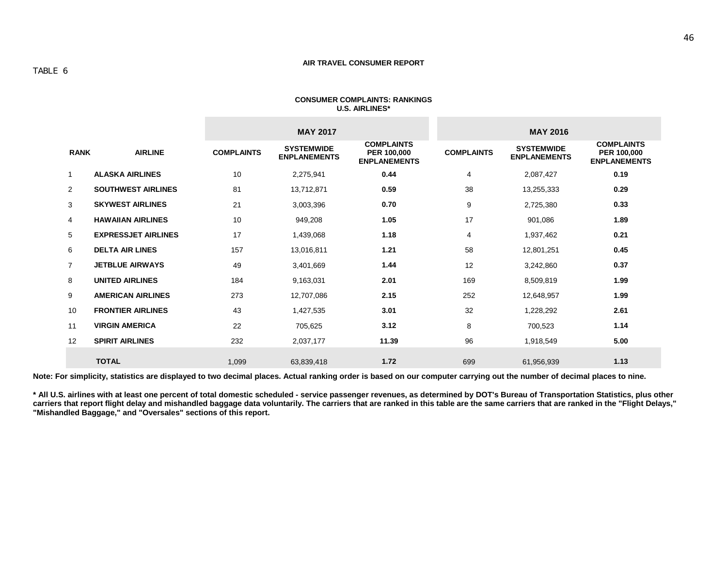# **MAY 2017 MAY 2016 RANK AIRLINE COMPLAINTS SYSTEMWIDE ENPLANEMENTS COMPLAINTS PER 100,000 ENPLANEMENTS COMPLAINTS SYSTEMWIDE ENPLANEMENTS COMPLAINTS PER 100,000 ENPLANEMENTS** 1 **ALASKA AIRLINES** 10 2,275,941 **0.44** 4 2,087,427 **0.19** 2 **SOUTHWEST AIRLINES** 81 13,712,871 **0.59** 38 13,255,333 **0.29** 3 **SKYWEST AIRLINES** 21 3,003,396 **0.70** 9 2,725,380 **0.33** 4 **HAWAIIAN AIRLINES** 10 949,208 **1.05** 17 901,086 **1.89** 5 **EXPRESSJET AIRLINES** 17 1,439,068 **1.18** 4 1,937,462 **0.21** 6 **DELTA AIR LINES** 157 13,016,811 **1.21** 58 12,801,251 **0.45** 7 **JETBLUE AIRWAYS** 49 3,401,669 **1.44** 12 3,242,860 **0.37** 8 **UNITED AIRLINES** 184 9,163,031 **2.01** 169 8,509,819 **1.99** 9 **AMERICAN AIRLINES** 273 12,707,086 **2.15** 252 12,648,957 **1.99** 10 **FRONTIER AIRLINES** 43 1,427,535 **3.01** 32 1,228,292 **2.61** 11 **VIRGIN AMERICA** 22 705,625 **3.12** 8 700,523 **1.14** 12 **SPIRIT AIRLINES** 232 2,037,177 **11.39** 96 1,918,549 **5.00 TOTAL** 1,099 63,839,418 **1.72** 699 61,956,939 **1.13**

#### **CONSUMER COMPLAINTS: RANKINGS U.S. AIRLINES\***

**Note: For simplicity, statistics are displayed to two decimal places. Actual ranking order is based on our computer carrying out the number of decimal places to nine.**

**\* All U.S. airlines with at least one percent of total domestic scheduled - service passenger revenues, as determined by DOT's Bureau of Transportation Statistics, plus other carriers that report flight delay and mishandled baggage data voluntarily. The carriers that are ranked in this table are the same carriers that are ranked in the "Flight Delays," "Mishandled Baggage," and "Oversales" sections of this report.**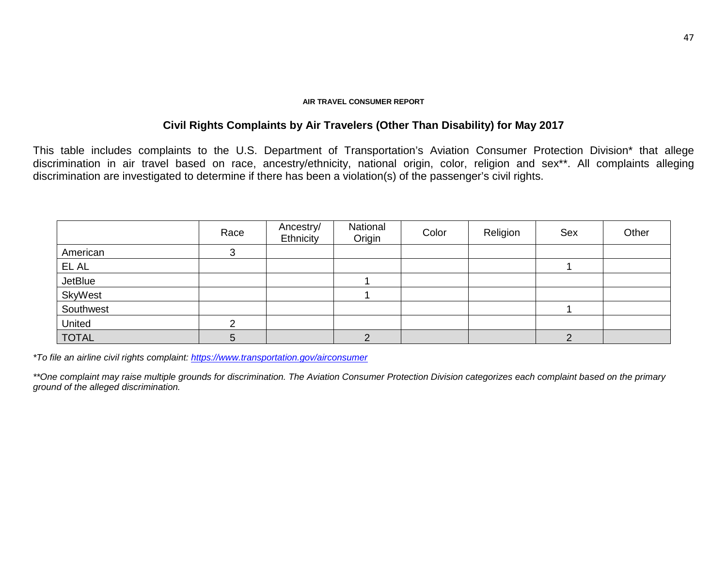# **Civil Rights Complaints by Air Travelers (Other Than Disability) for May 2017**

This table includes complaints to the U.S. Department of Transportation's Aviation Consumer Protection Division\* that allege discrimination in air travel based on race, ancestry/ethnicity, national origin, color, religion and sex\*\*. All complaints alleging discrimination are investigated to determine if there has been a violation(s) of the passenger's civil rights.

|                | Race | Ancestry/<br>Ethnicity | National<br>Origin | Color | Religion | Sex | Other |
|----------------|------|------------------------|--------------------|-------|----------|-----|-------|
| American       |      |                        |                    |       |          |     |       |
| EL AL          |      |                        |                    |       |          |     |       |
| <b>JetBlue</b> |      |                        |                    |       |          |     |       |
| SkyWest        |      |                        |                    |       |          |     |       |
| Southwest      |      |                        |                    |       |          |     |       |
| United         |      |                        |                    |       |          |     |       |
| <b>TOTAL</b>   |      |                        |                    |       |          | ◠   |       |

*\*To file an airline civil rights complaint:<https://www.transportation.gov/airconsumer>*

*\*\*One complaint may raise multiple grounds for discrimination. The Aviation Consumer Protection Division categorizes each complaint based on the primary ground of the alleged discrimination.*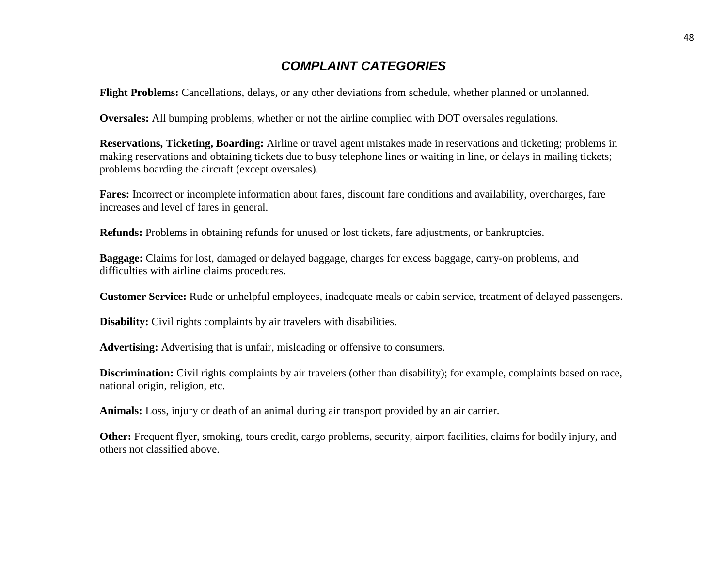# *COMPLAINT CATEGORIES*

**Flight Problems:** Cancellations, delays, or any other deviations from schedule, whether planned or unplanned.

**Oversales:** All bumping problems, whether or not the airline complied with DOT oversales regulations.

**Reservations, Ticketing, Boarding:** Airline or travel agent mistakes made in reservations and ticketing; problems in making reservations and obtaining tickets due to busy telephone lines or waiting in line, or delays in mailing tickets; problems boarding the aircraft (except oversales).

**Fares:** Incorrect or incomplete information about fares, discount fare conditions and availability, overcharges, fare increases and level of fares in general.

**Refunds:** Problems in obtaining refunds for unused or lost tickets, fare adjustments, or bankruptcies.

**Baggage:** Claims for lost, damaged or delayed baggage, charges for excess baggage, carry-on problems, and difficulties with airline claims procedures.

**Customer Service:** Rude or unhelpful employees, inadequate meals or cabin service, treatment of delayed passengers.

**Disability:** Civil rights complaints by air travelers with disabilities.

**Advertising:** Advertising that is unfair, misleading or offensive to consumers.

**Discrimination:** Civil rights complaints by air travelers (other than disability); for example, complaints based on race, national origin, religion, etc.

**Animals:** Loss, injury or death of an animal during air transport provided by an air carrier.

**Other:** Frequent flyer, smoking, tours credit, cargo problems, security, airport facilities, claims for bodily injury, and others not classified above.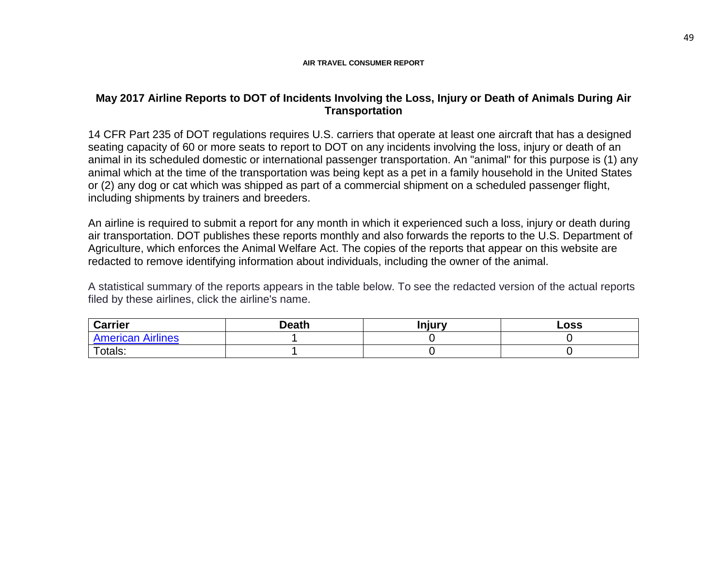# **May 2017 Airline Reports to DOT of Incidents Involving the Loss, Injury or Death of Animals During Air Transportation**

14 CFR Part 235 of DOT regulations requires U.S. carriers that operate at least one aircraft that has a designed seating capacity of 60 or more seats to report to DOT on any incidents involving the loss, injury or death of an animal in its scheduled domestic or international passenger transportation. An "animal" for this purpose is (1) any animal which at the time of the transportation was being kept as a pet in a family household in the United States or (2) any dog or cat which was shipped as part of a commercial shipment on a scheduled passenger flight, including shipments by trainers and breeders.

An airline is required to submit a report for any month in which it experienced such a loss, injury or death during air transportation. DOT publishes these reports monthly and also forwards the reports to the U.S. Department of Agriculture, which enforces the Animal Welfare Act. The copies of the reports that appear on this website are redacted to remove identifying information about individuals, including the owner of the animal.

A statistical summary of the reports appears in the table below. To see the redacted version of the actual reports filed by these airlines, click the airline's name.

| <b>Carrier</b>   | <b>Death</b> | Injury | LOSS |
|------------------|--------------|--------|------|
| A 1. JP<br>lines |              |        |      |
| Totals:          |              |        |      |